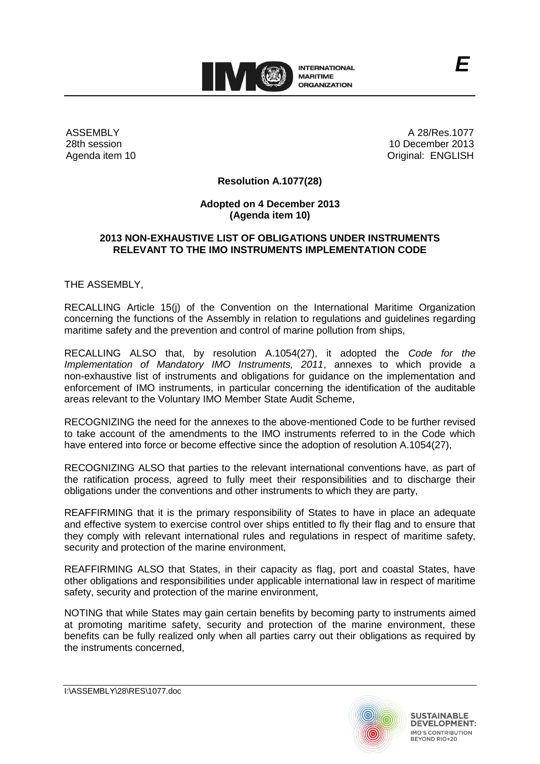

ASSEMBLY 28th session Agenda item 10

A 28/Res.1077 10 December 2013 Original: ENGLISH

*E*

### **Resolution A.1077(28)**

### **Adopted on 4 December 2013 (Agenda item 10)**

#### **2013 NON-EXHAUSTIVE LIST OF OBLIGATIONS UNDER INSTRUMENTS RELEVANT TO THE IMO INSTRUMENTS IMPLEMENTATION CODE**

THE ASSEMBLY,

RECALLING Article 15(j) of the Convention on the International Maritime Organization concerning the functions of the Assembly in relation to regulations and guidelines regarding maritime safety and the prevention and control of marine pollution from ships,

RECALLING ALSO that, by resolution A.1054(27), it adopted the *Code for the Implementation of Mandatory IMO Instruments, 2011*, annexes to which provide a non-exhaustive list of instruments and obligations for guidance on the implementation and enforcement of IMO instruments, in particular concerning the identification of the auditable areas relevant to the Voluntary IMO Member State Audit Scheme,

RECOGNIZING the need for the annexes to the above-mentioned Code to be further revised to take account of the amendments to the IMO instruments referred to in the Code which have entered into force or become effective since the adoption of resolution A.1054(27).

RECOGNIZING ALSO that parties to the relevant international conventions have, as part of the ratification process, agreed to fully meet their responsibilities and to discharge their obligations under the conventions and other instruments to which they are party,

REAFFIRMING that it is the primary responsibility of States to have in place an adequate and effective system to exercise control over ships entitled to fly their flag and to ensure that they comply with relevant international rules and regulations in respect of maritime safety, security and protection of the marine environment,

REAFFIRMING ALSO that States, in their capacity as flag, port and coastal States, have other obligations and responsibilities under applicable international law in respect of maritime safety, security and protection of the marine environment,

NOTING that while States may gain certain benefits by becoming party to instruments aimed at promoting maritime safety, security and protection of the marine environment, these benefits can be fully realized only when all parties carry out their obligations as required by the instruments concerned,



I:\ASSEMBLY\28\RES\1077.doc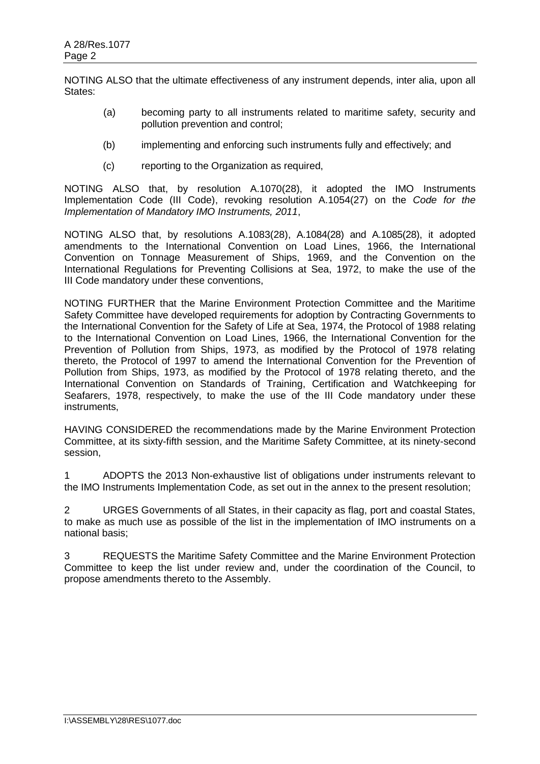NOTING ALSO that the ultimate effectiveness of any instrument depends, inter alia, upon all States:

- (a) becoming party to all instruments related to maritime safety, security and pollution prevention and control;
- (b) implementing and enforcing such instruments fully and effectively; and
- (c) reporting to the Organization as required,

NOTING ALSO that, by resolution A.1070(28), it adopted the IMO Instruments Implementation Code (III Code), revoking resolution A.1054(27) on the *Code for the Implementation of Mandatory IMO Instruments, 2011*,

NOTING ALSO that, by resolutions A.1083(28), A.1084(28) and A.1085(28), it adopted amendments to the International Convention on Load Lines, 1966, the International Convention on Tonnage Measurement of Ships, 1969, and the Convention on the International Regulations for Preventing Collisions at Sea, 1972, to make the use of the III Code mandatory under these conventions,

NOTING FURTHER that the Marine Environment Protection Committee and the Maritime Safety Committee have developed requirements for adoption by Contracting Governments to the International Convention for the Safety of Life at Sea, 1974, the Protocol of 1988 relating to the International Convention on Load Lines, 1966, the International Convention for the Prevention of Pollution from Ships, 1973, as modified by the Protocol of 1978 relating thereto, the Protocol of 1997 to amend the International Convention for the Prevention of Pollution from Ships, 1973, as modified by the Protocol of 1978 relating thereto, and the International Convention on Standards of Training, Certification and Watchkeeping for Seafarers, 1978, respectively, to make the use of the III Code mandatory under these instruments,

HAVING CONSIDERED the recommendations made by the Marine Environment Protection Committee, at its sixty-fifth session, and the Maritime Safety Committee, at its ninety-second session,

1 ADOPTS the 2013 Non-exhaustive list of obligations under instruments relevant to the IMO Instruments Implementation Code, as set out in the annex to the present resolution;

2 URGES Governments of all States, in their capacity as flag, port and coastal States, to make as much use as possible of the list in the implementation of IMO instruments on a national basis;

3 REQUESTS the Maritime Safety Committee and the Marine Environment Protection Committee to keep the list under review and, under the coordination of the Council, to propose amendments thereto to the Assembly.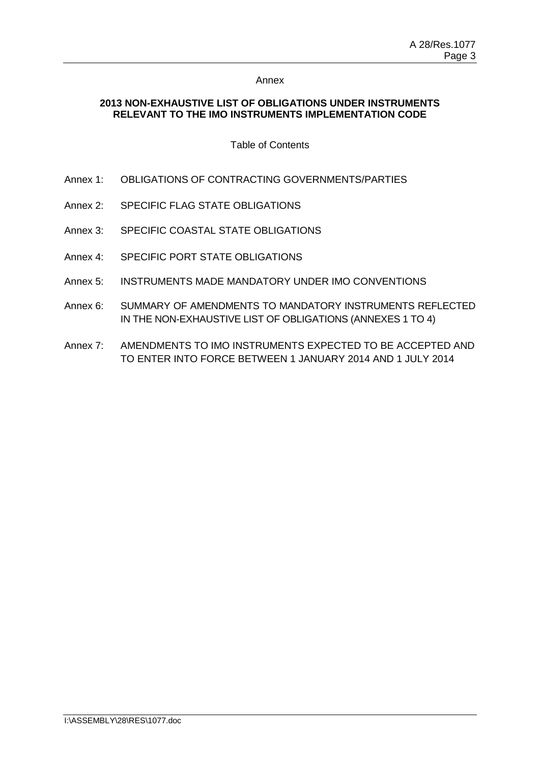# **2013 NON-EXHAUSTIVE LIST OF OBLIGATIONS UNDER INSTRUMENTS RELEVANT TO THE IMO INSTRUMENTS IMPLEMENTATION CODE**

#### Table of Contents

- Annex 1: OBLIGATIONS OF CONTRACTING GOVERNMENTS/PARTIES
- Annex 2: SPECIFIC FLAG STATE OBLIGATIONS
- Annex 3: SPECIFIC COASTAL STATE OBLIGATIONS
- Annex 4: SPECIFIC PORT STATE OBLIGATIONS
- Annex 5: INSTRUMENTS MADE MANDATORY UNDER IMO CONVENTIONS
- Annex 6: SUMMARY OF AMENDMENTS TO MANDATORY INSTRUMENTS REFLECTED IN THE NON-EXHAUSTIVE LIST OF OBLIGATIONS (ANNEXES 1 TO 4)
- Annex 7: AMENDMENTS TO IMO INSTRUMENTS EXPECTED TO BE ACCEPTED AND TO ENTER INTO FORCE BETWEEN 1 JANUARY 2014 AND 1 JULY 2014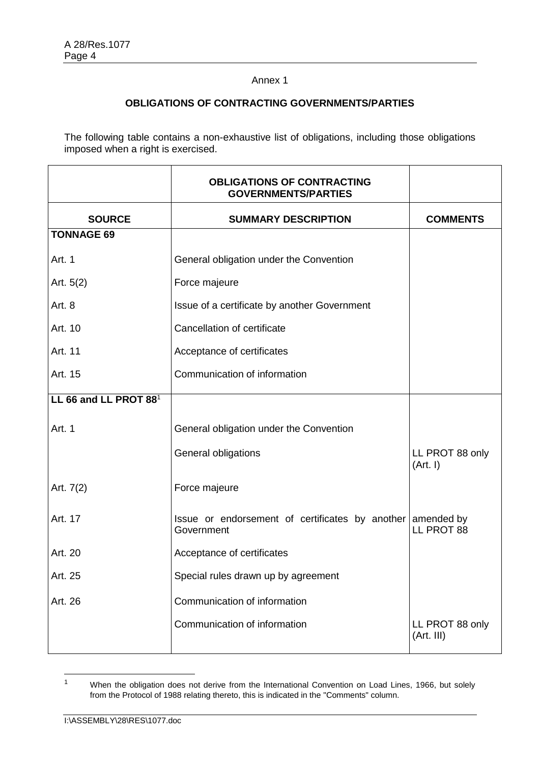# **OBLIGATIONS OF CONTRACTING GOVERNMENTS/PARTIES**

The following table contains a non-exhaustive list of obligations, including those obligations imposed when a right is exercised.

|                                   | <b>OBLIGATIONS OF CONTRACTING</b><br><b>GOVERNMENTS/PARTIES</b>          |                               |
|-----------------------------------|--------------------------------------------------------------------------|-------------------------------|
| <b>SOURCE</b>                     | <b>SUMMARY DESCRIPTION</b>                                               | <b>COMMENTS</b>               |
| <b>TONNAGE 69</b>                 |                                                                          |                               |
| Art. 1                            | General obligation under the Convention                                  |                               |
| Art. $5(2)$                       | Force majeure                                                            |                               |
| Art. 8                            | Issue of a certificate by another Government                             |                               |
| Art. 10                           | Cancellation of certificate                                              |                               |
| Art. 11                           | Acceptance of certificates                                               |                               |
| Art. 15                           | Communication of information                                             |                               |
| LL 66 and LL PROT 88 <sup>1</sup> |                                                                          |                               |
| Art. 1                            | General obligation under the Convention                                  |                               |
|                                   | General obligations                                                      | LL PROT 88 only<br>(Art. I)   |
| Art. 7(2)                         | Force majeure                                                            |                               |
| Art. 17                           | Issue or endorsement of certificates by another amended by<br>Government | LL PROT 88                    |
| Art. 20                           | Acceptance of certificates                                               |                               |
| Art. 25                           | Special rules drawn up by agreement                                      |                               |
| Art. 26                           | Communication of information                                             |                               |
|                                   | Communication of information                                             | LL PROT 88 only<br>(Art. III) |

 $\overline{1}$ <sup>1</sup> When the obligation does not derive from the International Convention on Load Lines, 1966, but solely from the Protocol of 1988 relating thereto, this is indicated in the "Comments" column.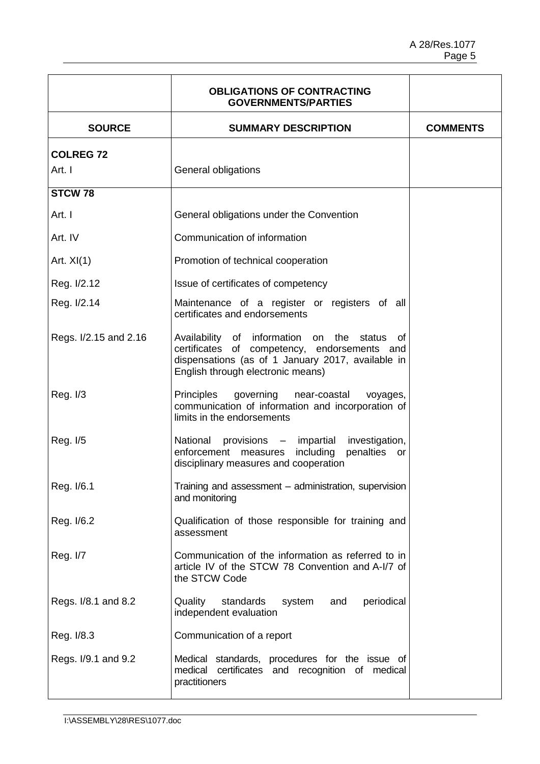|                       | <b>OBLIGATIONS OF CONTRACTING</b><br><b>GOVERNMENTS/PARTIES</b>                                                                                                                        |                 |
|-----------------------|----------------------------------------------------------------------------------------------------------------------------------------------------------------------------------------|-----------------|
| <b>SOURCE</b>         | <b>SUMMARY DESCRIPTION</b>                                                                                                                                                             | <b>COMMENTS</b> |
| <b>COLREG 72</b>      |                                                                                                                                                                                        |                 |
| Art. I                | General obligations                                                                                                                                                                    |                 |
| STCW <sub>78</sub>    |                                                                                                                                                                                        |                 |
| Art. I                | General obligations under the Convention                                                                                                                                               |                 |
| Art. IV               | Communication of information                                                                                                                                                           |                 |
| Art. $XI(1)$          | Promotion of technical cooperation                                                                                                                                                     |                 |
| Reg. I/2.12           | Issue of certificates of competency                                                                                                                                                    |                 |
| Reg. I/2.14           | Maintenance of a register or registers of all<br>certificates and endorsements                                                                                                         |                 |
| Regs. I/2.15 and 2.16 | Availability of information on the status of<br>certificates of competency, endorsements and<br>dispensations (as of 1 January 2017, available in<br>English through electronic means) |                 |
| Reg. $I/3$            | Principles<br>governing<br>near-coastal<br>voyages,<br>communication of information and incorporation of<br>limits in the endorsements                                                 |                 |
| Reg. I/5              | National provisions - impartial<br>investigation,<br>enforcement measures including<br>penalties or<br>disciplinary measures and cooperation                                           |                 |
| Reg. I/6.1            | Training and assessment - administration, supervision<br>and monitoring                                                                                                                |                 |
| Reg. I/6.2            | Qualification of those responsible for training and<br>assessment                                                                                                                      |                 |
| Reg. I/7              | Communication of the information as referred to in<br>article IV of the STCW 78 Convention and A-I/7 of<br>the STCW Code                                                               |                 |
| Regs. I/8.1 and 8.2   | Quality<br>standards<br>system<br>periodical<br>and<br>independent evaluation                                                                                                          |                 |
| Reg. I/8.3            | Communication of a report                                                                                                                                                              |                 |
| Regs. I/9.1 and 9.2   | Medical standards, procedures for the issue of<br>medical certificates and recognition of medical<br>practitioners                                                                     |                 |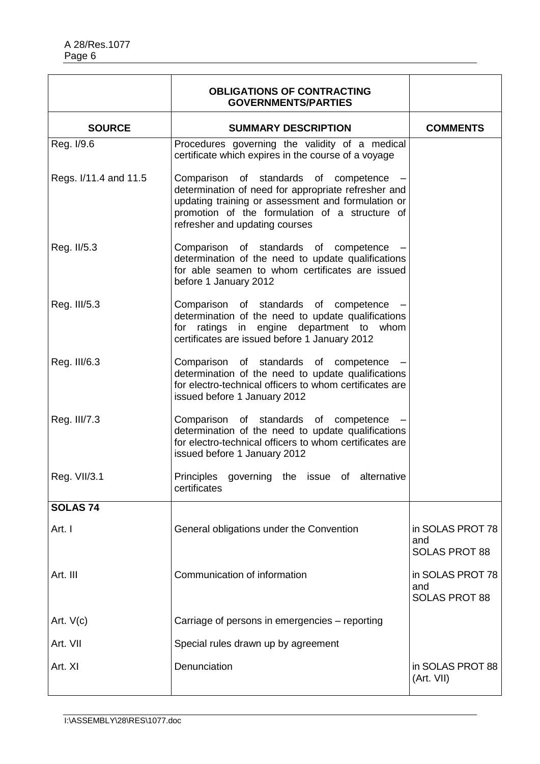|                       | <b>OBLIGATIONS OF CONTRACTING</b><br><b>GOVERNMENTS/PARTIES</b>                                                                                                                                                                        |                                                 |
|-----------------------|----------------------------------------------------------------------------------------------------------------------------------------------------------------------------------------------------------------------------------------|-------------------------------------------------|
| <b>SOURCE</b>         | <b>SUMMARY DESCRIPTION</b>                                                                                                                                                                                                             | <b>COMMENTS</b>                                 |
| Reg. I/9.6            | Procedures governing the validity of a medical<br>certificate which expires in the course of a voyage                                                                                                                                  |                                                 |
| Regs. I/11.4 and 11.5 | Comparison of standards of competence<br>determination of need for appropriate refresher and<br>updating training or assessment and formulation or<br>promotion of the formulation of a structure of<br>refresher and updating courses |                                                 |
| Reg. II/5.3           | Comparison of standards of competence -<br>determination of the need to update qualifications<br>for able seamen to whom certificates are issued<br>before 1 January 2012                                                              |                                                 |
| Reg. III/5.3          | Comparison of standards of competence<br>determination of the need to update qualifications<br>ratings in engine department to whom<br>for<br>certificates are issued before 1 January 2012                                            |                                                 |
| Reg. III/6.3          | Comparison of standards of competence<br>determination of the need to update qualifications<br>for electro-technical officers to whom certificates are<br>issued before 1 January 2012                                                 |                                                 |
| Reg. III/7.3          | Comparison of standards of competence<br>determination of the need to update qualifications<br>for electro-technical officers to whom certificates are<br>issued before 1 January 2012                                                 |                                                 |
| Reg. VII/3.1          | governing the issue of alternative<br><b>Principles</b><br>certificates                                                                                                                                                                |                                                 |
| <b>SOLAS 74</b>       |                                                                                                                                                                                                                                        |                                                 |
| Art. I                | General obligations under the Convention                                                                                                                                                                                               | in SOLAS PROT 78<br>and<br><b>SOLAS PROT 88</b> |
| Art. III              | Communication of information                                                                                                                                                                                                           | in SOLAS PROT 78<br>and<br><b>SOLAS PROT 88</b> |
| Art. $V(c)$           | Carriage of persons in emergencies - reporting                                                                                                                                                                                         |                                                 |
| Art. VII              | Special rules drawn up by agreement                                                                                                                                                                                                    |                                                 |
| Art. XI               | Denunciation                                                                                                                                                                                                                           | in SOLAS PROT 88<br>(Art. VII)                  |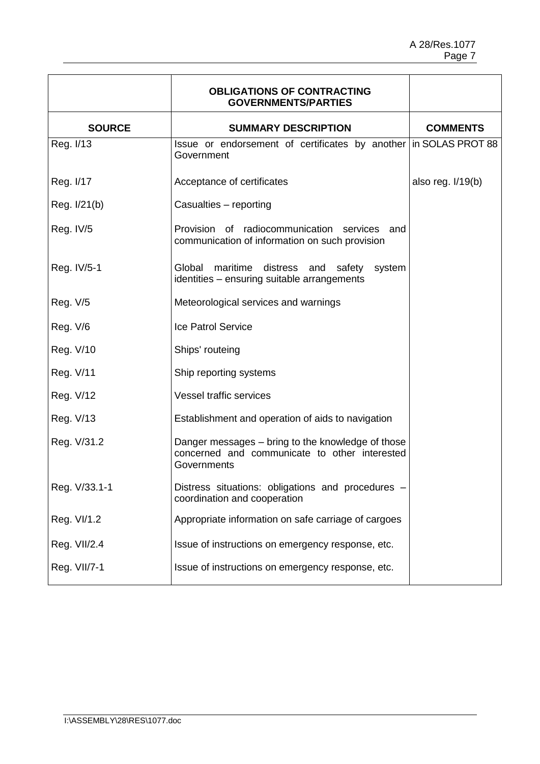|               | <b>OBLIGATIONS OF CONTRACTING</b><br><b>GOVERNMENTS/PARTIES</b>                                                   |                     |
|---------------|-------------------------------------------------------------------------------------------------------------------|---------------------|
| <b>SOURCE</b> | <b>SUMMARY DESCRIPTION</b>                                                                                        | <b>COMMENTS</b>     |
| Reg. I/13     | Issue or endorsement of certificates by another in SOLAS PROT 88<br>Government                                    |                     |
| Reg. I/17     | Acceptance of certificates                                                                                        | also reg. $I/19(b)$ |
| Reg. I/21(b)  | Casualties - reporting                                                                                            |                     |
| Reg. IV/5     | Provision of radiocommunication services<br>and<br>communication of information on such provision                 |                     |
| Reg. IV/5-1   | Global maritime distress and safety<br>system<br>identities - ensuring suitable arrangements                      |                     |
| Reg. V/5      | Meteorological services and warnings                                                                              |                     |
| Reg. V/6      | <b>Ice Patrol Service</b>                                                                                         |                     |
| Reg. V/10     | Ships' routeing                                                                                                   |                     |
| Reg. V/11     | Ship reporting systems                                                                                            |                     |
| Reg. V/12     | <b>Vessel traffic services</b>                                                                                    |                     |
| Reg. V/13     | Establishment and operation of aids to navigation                                                                 |                     |
| Reg. V/31.2   | Danger messages – bring to the knowledge of those<br>concerned and communicate to other interested<br>Governments |                     |
| Reg. V/33.1-1 | Distress situations: obligations and procedures -<br>coordination and cooperation                                 |                     |
| Reg. VI/1.2   | Appropriate information on safe carriage of cargoes                                                               |                     |
| Reg. VII/2.4  | Issue of instructions on emergency response, etc.                                                                 |                     |
| Reg. VII/7-1  | Issue of instructions on emergency response, etc.                                                                 |                     |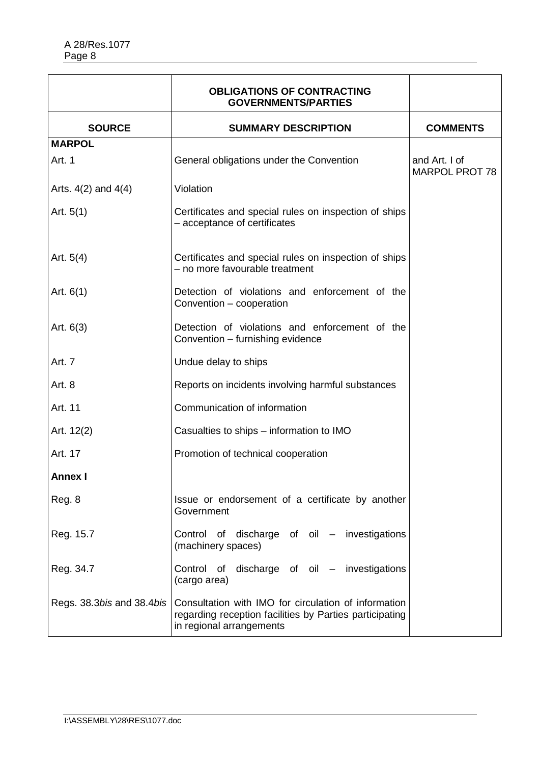|                           | <b>OBLIGATIONS OF CONTRACTING</b><br><b>GOVERNMENTS/PARTIES</b>                                                                             |                                        |
|---------------------------|---------------------------------------------------------------------------------------------------------------------------------------------|----------------------------------------|
| <b>SOURCE</b>             | <b>SUMMARY DESCRIPTION</b>                                                                                                                  | <b>COMMENTS</b>                        |
| <b>MARPOL</b>             |                                                                                                                                             |                                        |
| Art. 1                    | General obligations under the Convention                                                                                                    | and Art. I of<br><b>MARPOL PROT 78</b> |
| Arts. $4(2)$ and $4(4)$   | Violation                                                                                                                                   |                                        |
| Art. $5(1)$               | Certificates and special rules on inspection of ships<br>- acceptance of certificates                                                       |                                        |
| Art. $5(4)$               | Certificates and special rules on inspection of ships<br>- no more favourable treatment                                                     |                                        |
| Art. $6(1)$               | Detection of violations and enforcement of the<br>Convention - cooperation                                                                  |                                        |
| Art. $6(3)$               | Detection of violations and enforcement of the<br>Convention - furnishing evidence                                                          |                                        |
| Art. 7                    | Undue delay to ships                                                                                                                        |                                        |
| Art. 8                    | Reports on incidents involving harmful substances                                                                                           |                                        |
| Art. 11                   | Communication of information                                                                                                                |                                        |
| Art. 12(2)                | Casualties to ships – information to IMO                                                                                                    |                                        |
| Art. 17                   | Promotion of technical cooperation                                                                                                          |                                        |
| <b>Annex I</b>            |                                                                                                                                             |                                        |
| Reg. 8                    | Issue or endorsement of a certificate by another<br>Government                                                                              |                                        |
| Reg. 15.7                 | Control of discharge of oil - investigations<br>(machinery spaces)                                                                          |                                        |
| Reg. 34.7                 | Control of discharge of oil - investigations<br>(cargo area)                                                                                |                                        |
| Regs. 38.3bis and 38.4bis | Consultation with IMO for circulation of information<br>regarding reception facilities by Parties participating<br>in regional arrangements |                                        |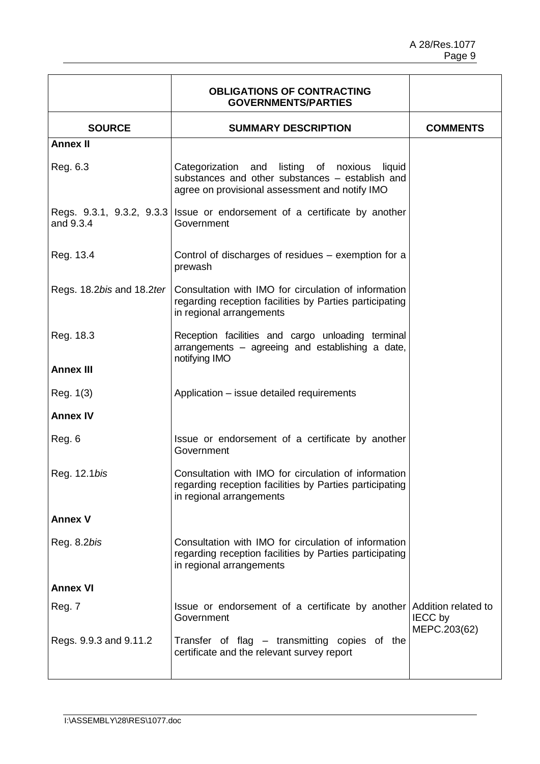|                           | <b>OBLIGATIONS OF CONTRACTING</b><br><b>GOVERNMENTS/PARTIES</b>                                                                                   |                                |
|---------------------------|---------------------------------------------------------------------------------------------------------------------------------------------------|--------------------------------|
| <b>SOURCE</b>             | <b>SUMMARY DESCRIPTION</b>                                                                                                                        | <b>COMMENTS</b>                |
| <b>Annex II</b>           |                                                                                                                                                   |                                |
| Reg. 6.3                  | Categorization and listing of noxious liquid<br>substances and other substances - establish and<br>agree on provisional assessment and notify IMO |                                |
| and 9.3.4                 | Regs. $9.3.1$ , $9.3.2$ , $9.3.3$ Issue or endorsement of a certificate by another<br>Government                                                  |                                |
| Reg. 13.4                 | Control of discharges of residues - exemption for a<br>prewash                                                                                    |                                |
| Regs. 18.2bis and 18.2ter | Consultation with IMO for circulation of information<br>regarding reception facilities by Parties participating<br>in regional arrangements       |                                |
| Reg. 18.3                 | Reception facilities and cargo unloading terminal<br>arrangements – agreeing and establishing a date,<br>notifying IMO                            |                                |
| <b>Annex III</b>          |                                                                                                                                                   |                                |
| Reg. 1(3)                 | Application – issue detailed requirements                                                                                                         |                                |
| <b>Annex IV</b>           |                                                                                                                                                   |                                |
| Reg. 6                    | Issue or endorsement of a certificate by another<br>Government                                                                                    |                                |
| Reg. 12.1bis              | Consultation with IMO for circulation of information<br>regarding reception facilities by Parties participating<br>in regional arrangements       |                                |
| <b>Annex V</b>            |                                                                                                                                                   |                                |
| Reg. 8.2bis               | Consultation with IMO for circulation of information<br>regarding reception facilities by Parties participating<br>in regional arrangements       |                                |
| <b>Annex VI</b>           |                                                                                                                                                   |                                |
| Reg. 7                    | Issue or endorsement of a certificate by another Addition related to<br>Government                                                                | <b>IECC by</b><br>MEPC.203(62) |
| Regs. 9.9.3 and 9.11.2    | Transfer of flag – transmitting copies of the<br>certificate and the relevant survey report                                                       |                                |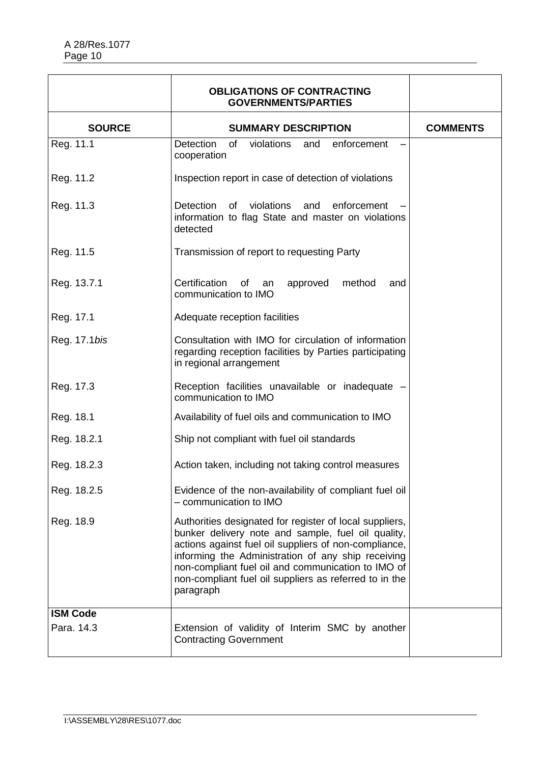|                 | <b>OBLIGATIONS OF CONTRACTING</b><br><b>GOVERNMENTS/PARTIES</b>                                                                                                                                                                                                                                                                                           |                 |
|-----------------|-----------------------------------------------------------------------------------------------------------------------------------------------------------------------------------------------------------------------------------------------------------------------------------------------------------------------------------------------------------|-----------------|
| <b>SOURCE</b>   | <b>SUMMARY DESCRIPTION</b>                                                                                                                                                                                                                                                                                                                                | <b>COMMENTS</b> |
| Reg. 11.1       | of<br>violations<br><b>Detection</b><br>and<br>enforcement<br>cooperation                                                                                                                                                                                                                                                                                 |                 |
| Reg. 11.2       | Inspection report in case of detection of violations                                                                                                                                                                                                                                                                                                      |                 |
| Reg. 11.3       | <b>Detection</b><br>of<br>violations<br>enforcement<br>and<br>information to flag State and master on violations<br>detected                                                                                                                                                                                                                              |                 |
| Reg. 11.5       | Transmission of report to requesting Party                                                                                                                                                                                                                                                                                                                |                 |
| Reg. 13.7.1     | Certification<br>method<br>οf<br>approved<br>an<br>and<br>communication to IMO                                                                                                                                                                                                                                                                            |                 |
| Reg. 17.1       | Adequate reception facilities                                                                                                                                                                                                                                                                                                                             |                 |
| Reg. 17.1bis    | Consultation with IMO for circulation of information<br>regarding reception facilities by Parties participating<br>in regional arrangement                                                                                                                                                                                                                |                 |
| Reg. 17.3       | Reception facilities unavailable or inadequate -<br>communication to IMO                                                                                                                                                                                                                                                                                  |                 |
| Reg. 18.1       | Availability of fuel oils and communication to IMO                                                                                                                                                                                                                                                                                                        |                 |
| Reg. 18.2.1     | Ship not compliant with fuel oil standards                                                                                                                                                                                                                                                                                                                |                 |
| Reg. 18.2.3     | Action taken, including not taking control measures                                                                                                                                                                                                                                                                                                       |                 |
| Reg. 18.2.5     | Evidence of the non-availability of compliant fuel oil<br>- communication to IMO                                                                                                                                                                                                                                                                          |                 |
| Reg. 18.9       | Authorities designated for register of local suppliers,<br>bunker delivery note and sample, fuel oil quality,<br>actions against fuel oil suppliers of non-compliance,<br>informing the Administration of any ship receiving<br>non-compliant fuel oil and communication to IMO of<br>non-compliant fuel oil suppliers as referred to in the<br>paragraph |                 |
| <b>ISM Code</b> |                                                                                                                                                                                                                                                                                                                                                           |                 |
| Para. 14.3      | Extension of validity of Interim SMC by another<br><b>Contracting Government</b>                                                                                                                                                                                                                                                                          |                 |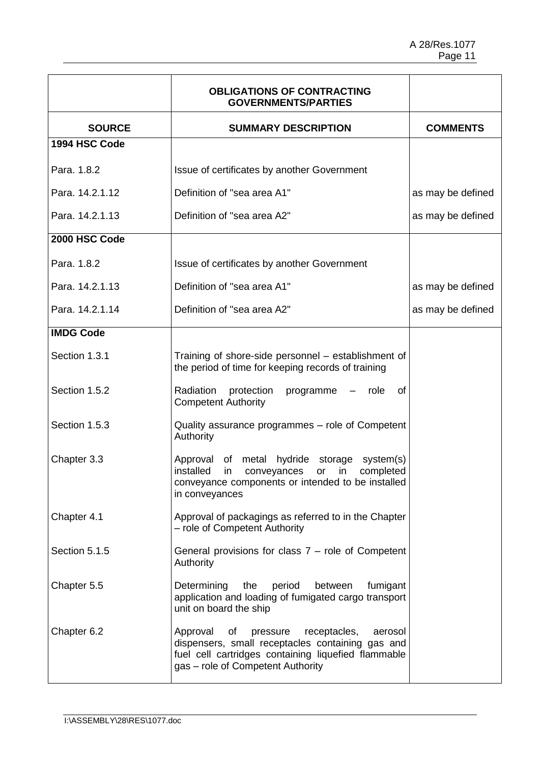|                  | <b>OBLIGATIONS OF CONTRACTING</b><br><b>GOVERNMENTS/PARTIES</b>                                                                                                                                       |                   |
|------------------|-------------------------------------------------------------------------------------------------------------------------------------------------------------------------------------------------------|-------------------|
| <b>SOURCE</b>    | <b>SUMMARY DESCRIPTION</b>                                                                                                                                                                            | <b>COMMENTS</b>   |
| 1994 HSC Code    |                                                                                                                                                                                                       |                   |
| Para. 1.8.2      | Issue of certificates by another Government                                                                                                                                                           |                   |
| Para, 14.2.1.12  | Definition of "sea area A1"                                                                                                                                                                           | as may be defined |
| Para. 14.2.1.13  | Definition of "sea area A2"                                                                                                                                                                           | as may be defined |
| 2000 HSC Code    |                                                                                                                                                                                                       |                   |
| Para, 1.8.2      | Issue of certificates by another Government                                                                                                                                                           |                   |
| Para. 14.2.1.13  | Definition of "sea area A1"                                                                                                                                                                           | as may be defined |
| Para. 14.2.1.14  | Definition of "sea area A2"                                                                                                                                                                           | as may be defined |
| <b>IMDG Code</b> |                                                                                                                                                                                                       |                   |
| Section 1.3.1    | Training of shore-side personnel – establishment of<br>the period of time for keeping records of training                                                                                             |                   |
| Section 1.5.2    | Radiation<br>protection programme<br>role<br>0f<br>$ -$<br><b>Competent Authority</b>                                                                                                                 |                   |
| Section 1.5.3    | Quality assurance programmes - role of Competent<br>Authority                                                                                                                                         |                   |
| Chapter 3.3      | Approval of metal hydride storage system(s)<br>installed<br>conveyances<br>or<br>completed<br>in<br>in<br>conveyance components or intended to be installed<br>in conveyances                         |                   |
| Chapter 4.1      | Approval of packagings as referred to in the Chapter<br>- role of Competent Authority                                                                                                                 |                   |
| Section 5.1.5    | General provisions for class $7 -$ role of Competent<br>Authority                                                                                                                                     |                   |
| Chapter 5.5      | Determining<br>the<br>period<br>fumigant<br>between<br>application and loading of fumigated cargo transport<br>unit on board the ship                                                                 |                   |
| Chapter 6.2      | Approval<br>of<br>pressure<br>receptacles,<br>aerosol<br>dispensers, small receptacles containing gas and<br>fuel cell cartridges containing liquefied flammable<br>gas - role of Competent Authority |                   |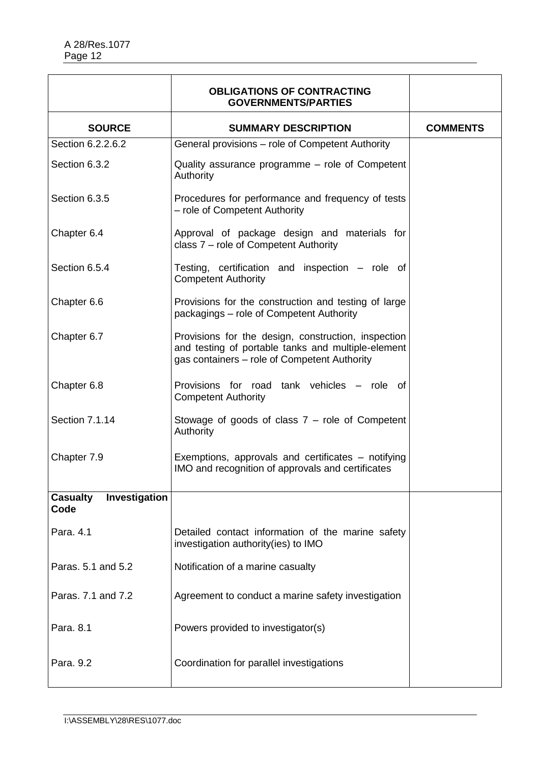|                                          | <b>OBLIGATIONS OF CONTRACTING</b><br><b>GOVERNMENTS/PARTIES</b>                                                                                           |                 |
|------------------------------------------|-----------------------------------------------------------------------------------------------------------------------------------------------------------|-----------------|
| <b>SOURCE</b>                            | <b>SUMMARY DESCRIPTION</b>                                                                                                                                | <b>COMMENTS</b> |
| Section 6.2.2.6.2                        | General provisions – role of Competent Authority                                                                                                          |                 |
| Section 6.3.2                            | Quality assurance programme - role of Competent<br>Authority                                                                                              |                 |
| Section 6.3.5                            | Procedures for performance and frequency of tests<br>- role of Competent Authority                                                                        |                 |
| Chapter 6.4                              | Approval of package design and materials for<br>class 7 - role of Competent Authority                                                                     |                 |
| Section 6.5.4                            | Testing, certification and inspection – role of<br><b>Competent Authority</b>                                                                             |                 |
| Chapter 6.6                              | Provisions for the construction and testing of large<br>packagings - role of Competent Authority                                                          |                 |
| Chapter 6.7                              | Provisions for the design, construction, inspection<br>and testing of portable tanks and multiple-element<br>gas containers - role of Competent Authority |                 |
| Chapter 6.8                              | Provisions for road tank vehicles – role of<br><b>Competent Authority</b>                                                                                 |                 |
| Section 7.1.14                           | Stowage of goods of class $7 -$ role of Competent<br>Authority                                                                                            |                 |
| Chapter 7.9                              | Exemptions, approvals and certificates – notifying<br>IMO and recognition of approvals and certificates                                                   |                 |
| Investigation<br><b>Casualty</b><br>Code |                                                                                                                                                           |                 |
| Para. 4.1                                | Detailed contact information of the marine safety<br>investigation authority(ies) to IMO                                                                  |                 |
| Paras. 5.1 and 5.2                       | Notification of a marine casualty                                                                                                                         |                 |
| Paras, 7.1 and 7.2                       | Agreement to conduct a marine safety investigation                                                                                                        |                 |
| Para, 8.1                                | Powers provided to investigator(s)                                                                                                                        |                 |
| Para, 9.2                                | Coordination for parallel investigations                                                                                                                  |                 |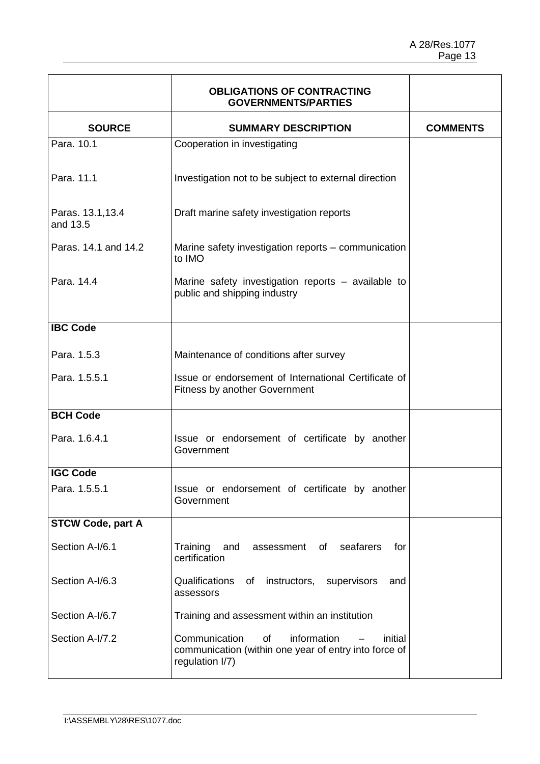|                               | <b>OBLIGATIONS OF CONTRACTING</b><br><b>GOVERNMENTS/PARTIES</b>                                                           |                 |
|-------------------------------|---------------------------------------------------------------------------------------------------------------------------|-----------------|
| <b>SOURCE</b>                 | <b>SUMMARY DESCRIPTION</b>                                                                                                | <b>COMMENTS</b> |
| Para, 10.1                    | Cooperation in investigating                                                                                              |                 |
| Para, 11.1                    | Investigation not to be subject to external direction                                                                     |                 |
| Paras. 13.1, 13.4<br>and 13.5 | Draft marine safety investigation reports                                                                                 |                 |
| Paras, 14.1 and 14.2          | Marine safety investigation reports – communication<br>to IMO                                                             |                 |
| Para, 14.4                    | Marine safety investigation reports - available to<br>public and shipping industry                                        |                 |
| <b>IBC Code</b>               |                                                                                                                           |                 |
| Para, 1.5.3                   | Maintenance of conditions after survey                                                                                    |                 |
| Para, 1.5.5.1                 | Issue or endorsement of International Certificate of<br><b>Fitness by another Government</b>                              |                 |
| <b>BCH Code</b>               |                                                                                                                           |                 |
| Para, 1.6.4.1                 | Issue or endorsement of certificate by another<br>Government                                                              |                 |
| <b>IGC Code</b>               |                                                                                                                           |                 |
| Para. 1.5.5.1                 | Issue or endorsement of certificate by another<br>Government                                                              |                 |
| <b>STCW Code, part A</b>      |                                                                                                                           |                 |
| Section A-I/6.1               | seafarers<br>Training<br>and<br>assessment<br>of<br>for<br>certification                                                  |                 |
| Section A-I/6.3               | Qualifications<br>of<br>instructors, supervisors<br>and<br>assessors                                                      |                 |
| Section A-I/6.7               | Training and assessment within an institution                                                                             |                 |
| Section A-I/7.2               | Communication<br>information<br>of<br>initial<br>communication (within one year of entry into force of<br>regulation I/7) |                 |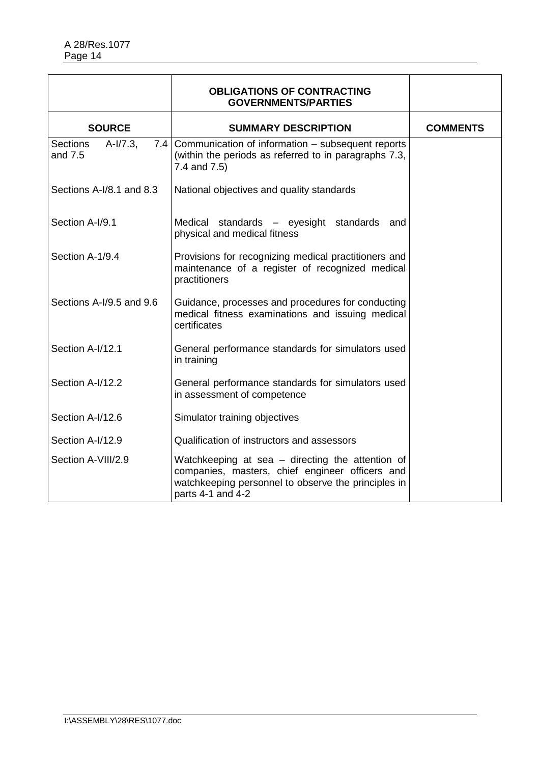|                                           | <b>OBLIGATIONS OF CONTRACTING</b><br><b>GOVERNMENTS/PARTIES</b>                                                                                                                 |                 |
|-------------------------------------------|---------------------------------------------------------------------------------------------------------------------------------------------------------------------------------|-----------------|
| <b>SOURCE</b>                             | <b>SUMMARY DESCRIPTION</b>                                                                                                                                                      | <b>COMMENTS</b> |
| $A-I/7.3$ ,<br><b>Sections</b><br>and 7.5 | 7.4 Communication of information – subsequent reports<br>(within the periods as referred to in paragraphs 7.3,<br>7.4 and 7.5)                                                  |                 |
| Sections A-I/8.1 and 8.3                  | National objectives and quality standards                                                                                                                                       |                 |
| Section A-I/9.1                           | Medical standards - eyesight standards<br>and<br>physical and medical fitness                                                                                                   |                 |
| Section A-1/9.4                           | Provisions for recognizing medical practitioners and<br>maintenance of a register of recognized medical<br>practitioners                                                        |                 |
| Sections A-I/9.5 and 9.6                  | Guidance, processes and procedures for conducting<br>medical fitness examinations and issuing medical<br>certificates                                                           |                 |
| Section A-I/12.1                          | General performance standards for simulators used<br>in training                                                                                                                |                 |
| Section A-I/12.2                          | General performance standards for simulators used<br>in assessment of competence                                                                                                |                 |
| Section A-I/12.6                          | Simulator training objectives                                                                                                                                                   |                 |
| Section A-I/12.9                          | Qualification of instructors and assessors                                                                                                                                      |                 |
| Section A-VIII/2.9                        | Watchkeeping at sea – directing the attention of<br>companies, masters, chief engineer officers and<br>watchkeeping personnel to observe the principles in<br>parts 4-1 and 4-2 |                 |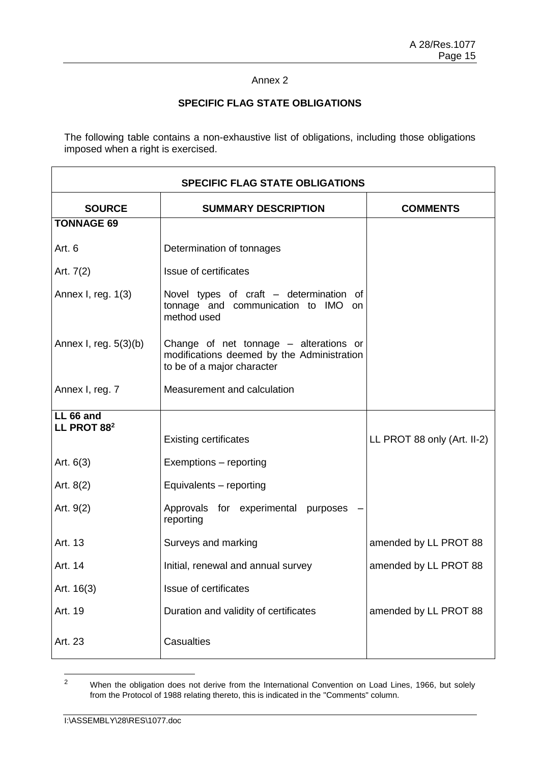# **SPECIFIC FLAG STATE OBLIGATIONS**

The following table contains a non-exhaustive list of obligations, including those obligations imposed when a right is exercised.

| <b>SPECIFIC FLAG STATE OBLIGATIONS</b> |                                                                                                                    |                             |
|----------------------------------------|--------------------------------------------------------------------------------------------------------------------|-----------------------------|
| <b>SOURCE</b>                          | <b>SUMMARY DESCRIPTION</b>                                                                                         | <b>COMMENTS</b>             |
| <b>TONNAGE 69</b>                      |                                                                                                                    |                             |
| Art. 6                                 | Determination of tonnages                                                                                          |                             |
| Art. 7(2)                              | Issue of certificates                                                                                              |                             |
| Annex I, reg. 1(3)                     | Novel types of craft - determination of<br>tonnage and communication to IMO on<br>method used                      |                             |
| Annex I, reg. $5(3)(b)$                | Change of net tonnage – alterations or<br>modifications deemed by the Administration<br>to be of a major character |                             |
| Annex I, reg. 7                        | Measurement and calculation                                                                                        |                             |
| LL 66 and<br>LL PROT 88 <sup>2</sup>   |                                                                                                                    |                             |
|                                        | <b>Existing certificates</b>                                                                                       | LL PROT 88 only (Art. II-2) |
| Art. $6(3)$                            | Exemptions - reporting                                                                                             |                             |
| Art. $8(2)$                            | Equivalents - reporting                                                                                            |                             |
| Art. 9(2)                              | Approvals for experimental purposes<br>reporting                                                                   |                             |
| Art. 13                                | Surveys and marking                                                                                                | amended by LL PROT 88       |
| Art. 14                                | Initial, renewal and annual survey                                                                                 | amended by LL PROT 88       |
| Art. 16(3)                             | Issue of certificates                                                                                              |                             |
| Art. 19                                | Duration and validity of certificates                                                                              | amended by LL PROT 88       |
| Art. 23                                | Casualties                                                                                                         |                             |

 $\overline{2}$ <sup>2</sup> When the obligation does not derive from the International Convention on Load Lines, 1966, but solely from the Protocol of 1988 relating thereto, this is indicated in the "Comments" column.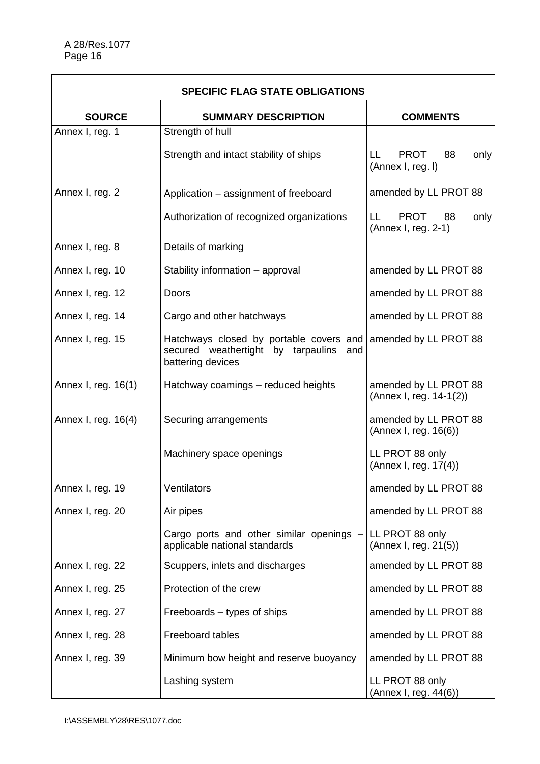| <b>SPECIFIC FLAG STATE OBLIGATIONS</b> |                                                                                                           |                                                         |
|----------------------------------------|-----------------------------------------------------------------------------------------------------------|---------------------------------------------------------|
| <b>SOURCE</b>                          | <b>SUMMARY DESCRIPTION</b>                                                                                | <b>COMMENTS</b>                                         |
| Annex I, reg. 1                        | Strength of hull                                                                                          |                                                         |
|                                        | Strength and intact stability of ships                                                                    | <b>PROT</b><br>88<br>LL.<br>only<br>(Annex I, reg. I)   |
| Annex I, reg. 2                        | Application – assignment of freeboard                                                                     | amended by LL PROT 88                                   |
|                                        | Authorization of recognized organizations                                                                 | <b>PROT</b><br>LL.<br>88<br>only<br>(Annex I, reg. 2-1) |
| Annex I, reg. 8                        | Details of marking                                                                                        |                                                         |
| Annex I, reg. 10                       | Stability information - approval                                                                          | amended by LL PROT 88                                   |
| Annex I, reg. 12                       | Doors                                                                                                     | amended by LL PROT 88                                   |
| Annex I, reg. 14                       | Cargo and other hatchways                                                                                 | amended by LL PROT 88                                   |
| Annex I, reg. 15                       | Hatchways closed by portable covers and<br>secured weathertight by tarpaulins<br>and<br>battering devices | amended by LL PROT 88                                   |
| Annex I, reg. 16(1)                    | Hatchway coamings - reduced heights                                                                       | amended by LL PROT 88<br>(Annex I, reg. 14-1(2))        |
| Annex I, reg. 16(4)                    | Securing arrangements                                                                                     | amended by LL PROT 88<br>(Annex I, reg. 16(6))          |
|                                        | Machinery space openings                                                                                  | LL PROT 88 only<br>(Annex I, reg. 17(4))                |
| Annex I, reg. 19                       | <b>Ventilators</b>                                                                                        | amended by LL PROT 88                                   |
| Annex I, reg. 20                       | Air pipes                                                                                                 | amended by LL PROT 88                                   |
|                                        | Cargo ports and other similar openings -<br>applicable national standards                                 | LL PROT 88 only<br>(Annex I, reg. 21(5))                |
| Annex I, reg. 22                       | Scuppers, inlets and discharges                                                                           | amended by LL PROT 88                                   |
| Annex I, reg. 25                       | Protection of the crew                                                                                    | amended by LL PROT 88                                   |
| Annex I, reg. 27                       | Freeboards - types of ships                                                                               | amended by LL PROT 88                                   |
| Annex I, reg. 28                       | Freeboard tables                                                                                          | amended by LL PROT 88                                   |
| Annex I, reg. 39                       | Minimum bow height and reserve buoyancy                                                                   | amended by LL PROT 88                                   |
|                                        | Lashing system                                                                                            | LL PROT 88 only<br>(Annex I, reg. 44(6))                |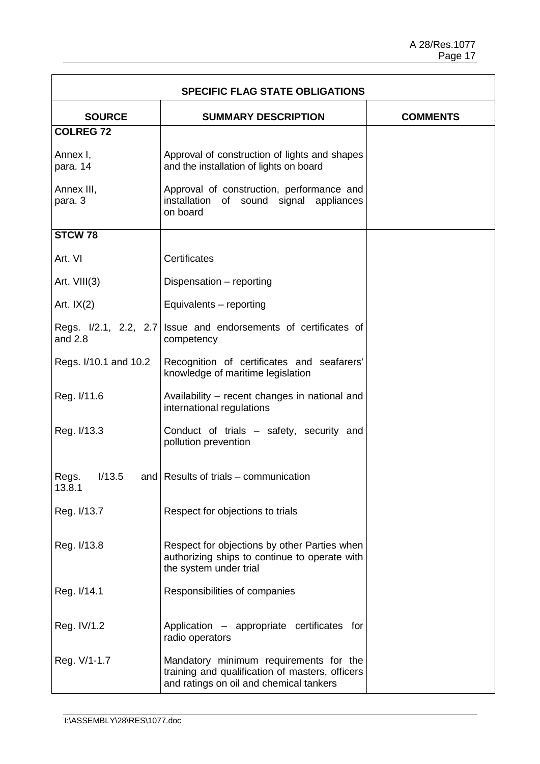| <b>SPECIFIC FLAG STATE OBLIGATIONS</b> |                                                                                                                                      |                 |
|----------------------------------------|--------------------------------------------------------------------------------------------------------------------------------------|-----------------|
| <b>SOURCE</b>                          | <b>SUMMARY DESCRIPTION</b>                                                                                                           | <b>COMMENTS</b> |
| <b>COLREG 72</b>                       |                                                                                                                                      |                 |
| Annex I,<br>para. 14                   | Approval of construction of lights and shapes<br>and the installation of lights on board                                             |                 |
| Annex III,<br>para. 3                  | Approval of construction, performance and<br>installation of sound signal appliances<br>on board                                     |                 |
| STCW <sub>78</sub>                     |                                                                                                                                      |                 |
| Art. VI                                | <b>Certificates</b>                                                                                                                  |                 |
| Art. VIII(3)                           | Dispensation - reporting                                                                                                             |                 |
| Art. $IX(2)$                           | Equivalents - reporting                                                                                                              |                 |
| Regs. I/2.1, 2.2, 2.7<br>and $2.8$     | Issue and endorsements of certificates of<br>competency                                                                              |                 |
| Regs. I/10.1 and 10.2                  | Recognition of certificates and seafarers'<br>knowledge of maritime legislation                                                      |                 |
| Reg. I/11.6                            | Availability – recent changes in national and<br>international regulations                                                           |                 |
| Reg. I/13.3                            | Conduct of trials - safety, security and<br>pollution prevention                                                                     |                 |
| 1/13.5<br>Regs.<br>13.8.1              | and Results of trials – communication                                                                                                |                 |
| Reg. I/13.7                            | Respect for objections to trials                                                                                                     |                 |
| Reg. I/13.8                            | Respect for objections by other Parties when<br>authorizing ships to continue to operate with<br>the system under trial              |                 |
| Reg. I/14.1                            | Responsibilities of companies                                                                                                        |                 |
| Reg. IV/1.2                            | Application - appropriate certificates for<br>radio operators                                                                        |                 |
| Reg. V/1-1.7                           | Mandatory minimum requirements for the<br>training and qualification of masters, officers<br>and ratings on oil and chemical tankers |                 |

F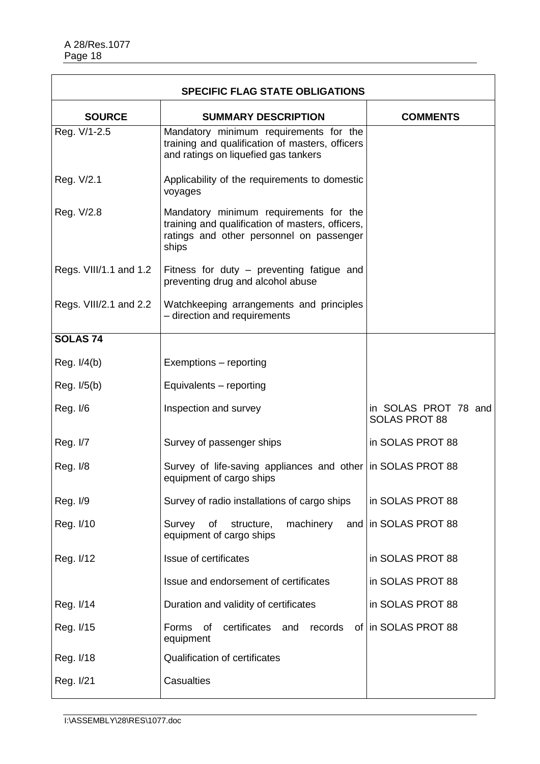| <b>SPECIFIC FLAG STATE OBLIGATIONS</b> |                                                                                                                                                 |                                              |
|----------------------------------------|-------------------------------------------------------------------------------------------------------------------------------------------------|----------------------------------------------|
| <b>SOURCE</b>                          | <b>SUMMARY DESCRIPTION</b>                                                                                                                      | <b>COMMENTS</b>                              |
| Reg. V/1-2.5                           | Mandatory minimum requirements for the<br>training and qualification of masters, officers<br>and ratings on liquefied gas tankers               |                                              |
| Reg. V/2.1                             | Applicability of the requirements to domestic<br>voyages                                                                                        |                                              |
| Reg. V/2.8                             | Mandatory minimum requirements for the<br>training and qualification of masters, officers,<br>ratings and other personnel on passenger<br>ships |                                              |
| Regs. VIII/1.1 and 1.2                 | Fitness for duty - preventing fatigue and<br>preventing drug and alcohol abuse                                                                  |                                              |
| Regs. VIII/2.1 and 2.2                 | Watchkeeping arrangements and principles<br>- direction and requirements                                                                        |                                              |
| SOLAS <sub>74</sub>                    |                                                                                                                                                 |                                              |
| Reg. I/4(b)                            | Exemptions - reporting                                                                                                                          |                                              |
| Reg. I/5(b)                            | Equivalents - reporting                                                                                                                         |                                              |
| Reg. I/6                               | Inspection and survey                                                                                                                           | in SOLAS PROT 78 and<br><b>SOLAS PROT 88</b> |
| Reg. I/7                               | Survey of passenger ships                                                                                                                       | in SOLAS PROT 88                             |
| Reg. I/8                               | Survey of life-saving appliances and other in SOLAS PROT 88<br>equipment of cargo ships                                                         |                                              |
| Reg. I/9                               | Survey of radio installations of cargo ships                                                                                                    | in SOLAS PROT 88                             |
| Reg. I/10                              | of<br>Survey<br>structure,<br>machinery<br>equipment of cargo ships                                                                             | and in SOLAS PROT 88                         |
| Reg. I/12                              | Issue of certificates                                                                                                                           | in SOLAS PROT 88                             |
|                                        | Issue and endorsement of certificates                                                                                                           | in SOLAS PROT 88                             |
| Reg. I/14                              | Duration and validity of certificates                                                                                                           | in SOLAS PROT 88                             |
| Reg. I/15                              | of<br>certificates<br>Forms<br>and<br>records<br>equipment                                                                                      | of in SOLAS PROT 88                          |
| Reg. I/18                              | <b>Qualification of certificates</b>                                                                                                            |                                              |
| Reg. I/21                              | <b>Casualties</b>                                                                                                                               |                                              |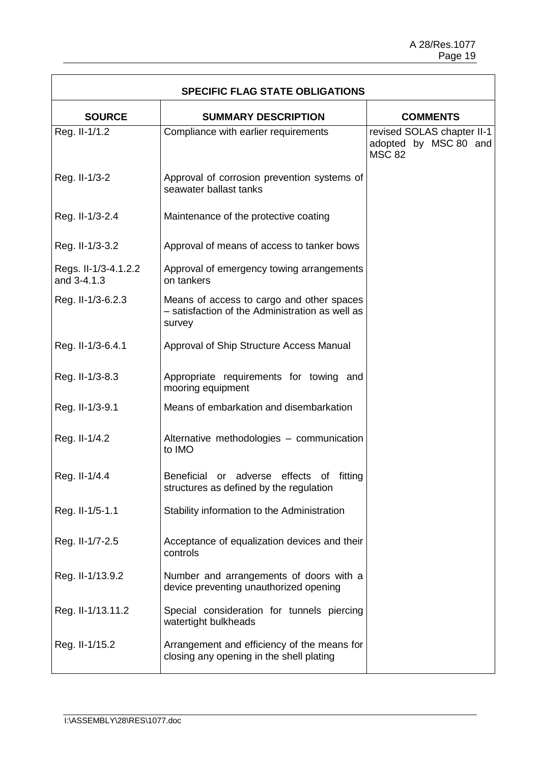$\overline{\phantom{a}}$ 

| <b>SPECIFIC FLAG STATE OBLIGATIONS</b> |                                                                                                        |                                                                      |
|----------------------------------------|--------------------------------------------------------------------------------------------------------|----------------------------------------------------------------------|
| <b>SOURCE</b>                          | <b>SUMMARY DESCRIPTION</b>                                                                             | <b>COMMENTS</b>                                                      |
| Reg. II-1/1.2                          | Compliance with earlier requirements                                                                   | revised SOLAS chapter II-1<br>adopted by MSC 80 and<br><b>MSC 82</b> |
| Reg. II-1/3-2                          | Approval of corrosion prevention systems of<br>seawater ballast tanks                                  |                                                                      |
| Reg. II-1/3-2.4                        | Maintenance of the protective coating                                                                  |                                                                      |
| Reg. II-1/3-3.2                        | Approval of means of access to tanker bows                                                             |                                                                      |
| Regs. II-1/3-4.1.2.2<br>and 3-4.1.3    | Approval of emergency towing arrangements<br>on tankers                                                |                                                                      |
| Reg. II-1/3-6.2.3                      | Means of access to cargo and other spaces<br>- satisfaction of the Administration as well as<br>survey |                                                                      |
| Reg. II-1/3-6.4.1                      | Approval of Ship Structure Access Manual                                                               |                                                                      |
| Reg. II-1/3-8.3                        | Appropriate requirements for towing and<br>mooring equipment                                           |                                                                      |
| Reg. II-1/3-9.1                        | Means of embarkation and disembarkation                                                                |                                                                      |
| Reg. II-1/4.2                          | Alternative methodologies - communication<br>to IMO                                                    |                                                                      |
| Reg. II-1/4.4                          | Beneficial or adverse effects of fitting<br>structures as defined by the regulation                    |                                                                      |
| Reg. II-1/5-1.1                        | Stability information to the Administration                                                            |                                                                      |
| Reg. II-1/7-2.5                        | Acceptance of equalization devices and their<br>controls                                               |                                                                      |
| Reg. II-1/13.9.2                       | Number and arrangements of doors with a<br>device preventing unauthorized opening                      |                                                                      |
| Reg. II-1/13.11.2                      | Special consideration for tunnels piercing<br>watertight bulkheads                                     |                                                                      |
| Reg. II-1/15.2                         | Arrangement and efficiency of the means for<br>closing any opening in the shell plating                |                                                                      |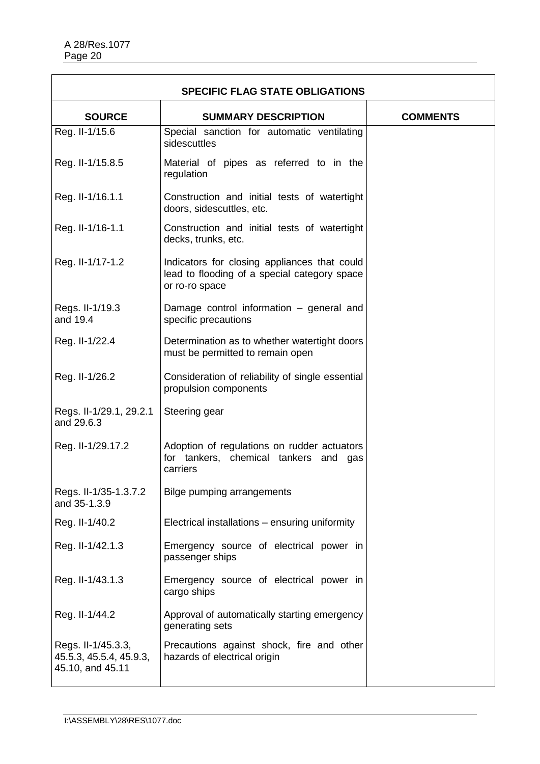| <b>SPECIFIC FLAG STATE OBLIGATIONS</b>                            |                                                                                                                |                 |
|-------------------------------------------------------------------|----------------------------------------------------------------------------------------------------------------|-----------------|
| <b>SOURCE</b>                                                     | <b>SUMMARY DESCRIPTION</b>                                                                                     | <b>COMMENTS</b> |
| Reg. II-1/15.6                                                    | Special sanction for automatic ventilating<br>sidescuttles                                                     |                 |
| Reg. II-1/15.8.5                                                  | Material of pipes as referred to in the<br>regulation                                                          |                 |
| Reg. II-1/16.1.1                                                  | Construction and initial tests of watertight<br>doors, sidescuttles, etc.                                      |                 |
| Reg. II-1/16-1.1                                                  | Construction and initial tests of watertight<br>decks, trunks, etc.                                            |                 |
| Reg. II-1/17-1.2                                                  | Indicators for closing appliances that could<br>lead to flooding of a special category space<br>or ro-ro space |                 |
| Regs. II-1/19.3<br>and 19.4                                       | Damage control information – general and<br>specific precautions                                               |                 |
| Reg. II-1/22.4                                                    | Determination as to whether watertight doors<br>must be permitted to remain open                               |                 |
| Reg. II-1/26.2                                                    | Consideration of reliability of single essential<br>propulsion components                                      |                 |
| Regs. II-1/29.1, 29.2.1<br>and 29.6.3                             | Steering gear                                                                                                  |                 |
| Reg. II-1/29.17.2                                                 | Adoption of regulations on rudder actuators<br>for tankers, chemical tankers<br>and gas<br>carriers            |                 |
| Regs. II-1/35-1.3.7.2<br>and 35-1.3.9                             | Bilge pumping arrangements                                                                                     |                 |
| Reg. II-1/40.2                                                    | Electrical installations - ensuring uniformity                                                                 |                 |
| Reg. II-1/42.1.3                                                  | Emergency source of electrical power in<br>passenger ships                                                     |                 |
| Reg. II-1/43.1.3                                                  | Emergency source of electrical power in<br>cargo ships                                                         |                 |
| Reg. II-1/44.2                                                    | Approval of automatically starting emergency<br>generating sets                                                |                 |
| Regs. II-1/45.3.3,<br>45.5.3, 45.5.4, 45.9.3,<br>45.10, and 45.11 | Precautions against shock, fire and other<br>hazards of electrical origin                                      |                 |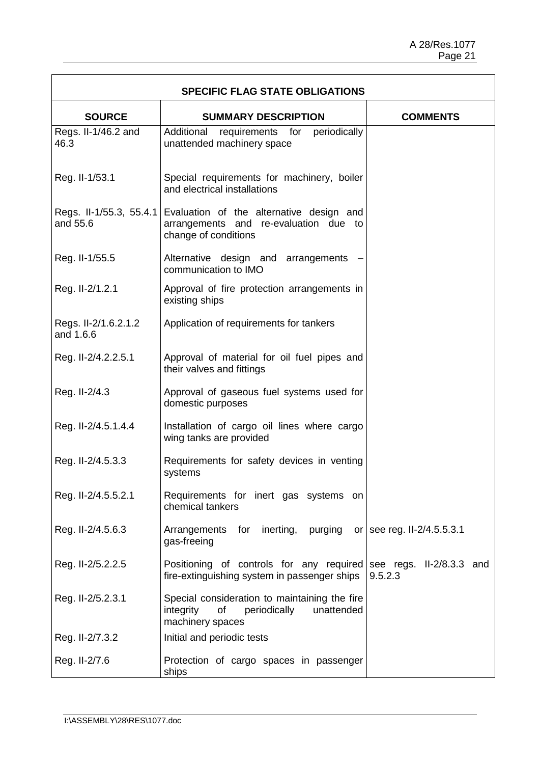$\overline{\mathsf{I}}$ 

| <b>SPECIFIC FLAG STATE OBLIGATIONS</b> |                                                                                                                    |                                     |
|----------------------------------------|--------------------------------------------------------------------------------------------------------------------|-------------------------------------|
| <b>SOURCE</b>                          | <b>SUMMARY DESCRIPTION</b>                                                                                         | <b>COMMENTS</b>                     |
| Regs. II-1/46.2 and<br>46.3            | periodically<br>Additional<br>requirements for<br>unattended machinery space                                       |                                     |
| Reg. II-1/53.1                         | Special requirements for machinery, boiler<br>and electrical installations                                         |                                     |
| Regs. II-1/55.3, 55.4.1<br>and 55.6    | Evaluation of the alternative design and<br>arrangements and re-evaluation due to<br>change of conditions          |                                     |
| Reg. II-1/55.5                         | Alternative design and arrangements<br>communication to IMO                                                        |                                     |
| Reg. II-2/1.2.1                        | Approval of fire protection arrangements in<br>existing ships                                                      |                                     |
| Regs. II-2/1.6.2.1.2<br>and 1.6.6      | Application of requirements for tankers                                                                            |                                     |
| Reg. II-2/4.2.2.5.1                    | Approval of material for oil fuel pipes and<br>their valves and fittings                                           |                                     |
| Reg. II-2/4.3                          | Approval of gaseous fuel systems used for<br>domestic purposes                                                     |                                     |
| Reg. II-2/4.5.1.4.4                    | Installation of cargo oil lines where cargo<br>wing tanks are provided                                             |                                     |
| Reg. II-2/4.5.3.3                      | Requirements for safety devices in venting<br>systems                                                              |                                     |
| Reg. II-2/4.5.5.2.1                    | Requirements for inert gas systems on<br>chemical tankers                                                          |                                     |
| Reg. II-2/4.5.6.3                      | Arrangements for<br>inerting,<br>purging<br>gas-freeing                                                            | or   see reg. II-2/4.5.5.3.1        |
| Reg. II-2/5.2.2.5                      | Positioning of controls for any required<br>fire-extinguishing system in passenger ships                           | see regs. II-2/8.3.3 and<br>9.5.2.3 |
| Reg. II-2/5.2.3.1                      | Special consideration to maintaining the fire<br>periodically<br>integrity<br>of<br>unattended<br>machinery spaces |                                     |
| Reg. II-2/7.3.2                        | Initial and periodic tests                                                                                         |                                     |
| Reg. II-2/7.6                          | Protection of cargo spaces in passenger<br>ships                                                                   |                                     |

 $\Gamma$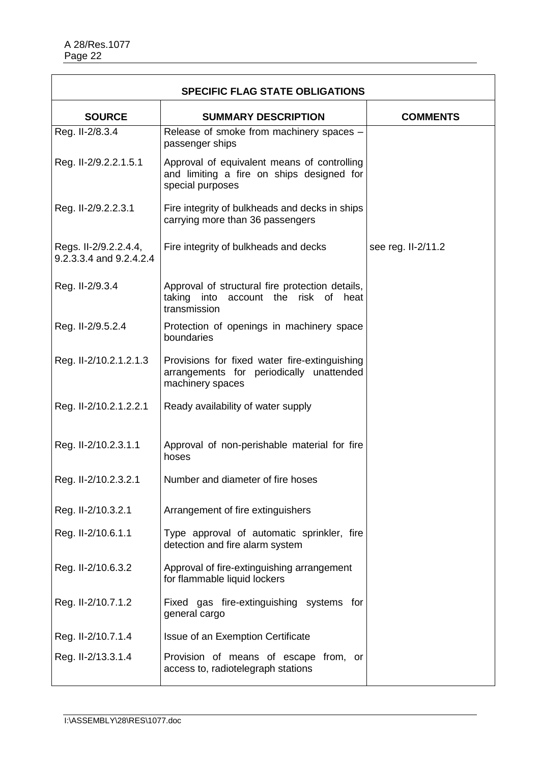| <b>SPECIFIC FLAG STATE OBLIGATIONS</b>           |                                                                                                               |                    |
|--------------------------------------------------|---------------------------------------------------------------------------------------------------------------|--------------------|
| <b>SOURCE</b>                                    | <b>SUMMARY DESCRIPTION</b>                                                                                    | <b>COMMENTS</b>    |
| Reg. II-2/8.3.4                                  | Release of smoke from machinery spaces -<br>passenger ships                                                   |                    |
| Reg. II-2/9.2.2.1.5.1                            | Approval of equivalent means of controlling<br>and limiting a fire on ships designed for<br>special purposes  |                    |
| Reg. II-2/9.2.2.3.1                              | Fire integrity of bulkheads and decks in ships<br>carrying more than 36 passengers                            |                    |
| Regs. II-2/9.2.2.4.4,<br>9.2.3.3.4 and 9.2.4.2.4 | Fire integrity of bulkheads and decks                                                                         | see reg. II-2/11.2 |
| Reg. II-2/9.3.4                                  | Approval of structural fire protection details,<br>taking into account the<br>risk of<br>heat<br>transmission |                    |
| Reg. II-2/9.5.2.4                                | Protection of openings in machinery space<br>boundaries                                                       |                    |
| Reg. II-2/10.2.1.2.1.3                           | Provisions for fixed water fire-extinguishing<br>arrangements for periodically unattended<br>machinery spaces |                    |
| Reg. II-2/10.2.1.2.2.1                           | Ready availability of water supply                                                                            |                    |
| Reg. II-2/10.2.3.1.1                             | Approval of non-perishable material for fire<br>hoses                                                         |                    |
| Reg. II-2/10.2.3.2.1                             | Number and diameter of fire hoses                                                                             |                    |
| Reg. II-2/10.3.2.1                               | Arrangement of fire extinguishers                                                                             |                    |
| Reg. II-2/10.6.1.1                               | Type approval of automatic sprinkler, fire<br>detection and fire alarm system                                 |                    |
| Reg. II-2/10.6.3.2                               | Approval of fire-extinguishing arrangement<br>for flammable liquid lockers                                    |                    |
| Reg. II-2/10.7.1.2                               | Fixed gas fire-extinguishing systems for<br>general cargo                                                     |                    |
| Reg. II-2/10.7.1.4                               | Issue of an Exemption Certificate                                                                             |                    |
| Reg. II-2/13.3.1.4                               | Provision of means of escape from, or<br>access to, radiotelegraph stations                                   |                    |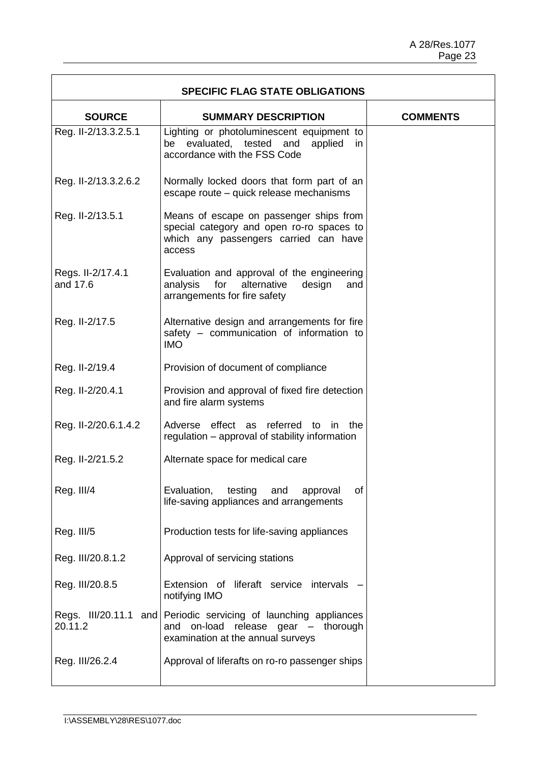| <b>SPECIFIC FLAG STATE OBLIGATIONS</b> |                                                                                                                                         |                 |
|----------------------------------------|-----------------------------------------------------------------------------------------------------------------------------------------|-----------------|
| <b>SOURCE</b>                          | <b>SUMMARY DESCRIPTION</b>                                                                                                              | <b>COMMENTS</b> |
| Reg. II-2/13.3.2.5.1                   | Lighting or photoluminescent equipment to<br>be evaluated, tested and<br>applied<br>in<br>accordance with the FSS Code                  |                 |
| Reg. II-2/13.3.2.6.2                   | Normally locked doors that form part of an<br>escape route - quick release mechanisms                                                   |                 |
| Reg. II-2/13.5.1                       | Means of escape on passenger ships from<br>special category and open ro-ro spaces to<br>which any passengers carried can have<br>access |                 |
| Regs. II-2/17.4.1<br>and 17.6          | Evaluation and approval of the engineering<br>analysis<br>for<br>alternative<br>design<br>and<br>arrangements for fire safety           |                 |
| Reg. II-2/17.5                         | Alternative design and arrangements for fire<br>safety - communication of information to<br><b>IMO</b>                                  |                 |
| Reg. II-2/19.4                         | Provision of document of compliance                                                                                                     |                 |
| Reg. II-2/20.4.1                       | Provision and approval of fixed fire detection<br>and fire alarm systems                                                                |                 |
| Reg. II-2/20.6.1.4.2                   | Adverse effect as referred to in<br>the<br>regulation – approval of stability information                                               |                 |
| Reg. II-2/21.5.2                       | Alternate space for medical care                                                                                                        |                 |
| Reg. III/4                             | Evaluation,<br>testing<br>and<br>of<br>approval<br>life-saving appliances and arrangements                                              |                 |
| Reg. III/5                             | Production tests for life-saving appliances                                                                                             |                 |
| Reg. III/20.8.1.2                      | Approval of servicing stations                                                                                                          |                 |
| Reg. III/20.8.5                        | Extension of liferaft service intervals<br>notifying IMO                                                                                |                 |
| Regs. III/20.11.1 and<br>20.11.2       | Periodic servicing of launching appliances<br>on-load release gear - thorough<br>and<br>examination at the annual surveys               |                 |
| Reg. III/26.2.4                        | Approval of liferafts on ro-ro passenger ships                                                                                          |                 |

F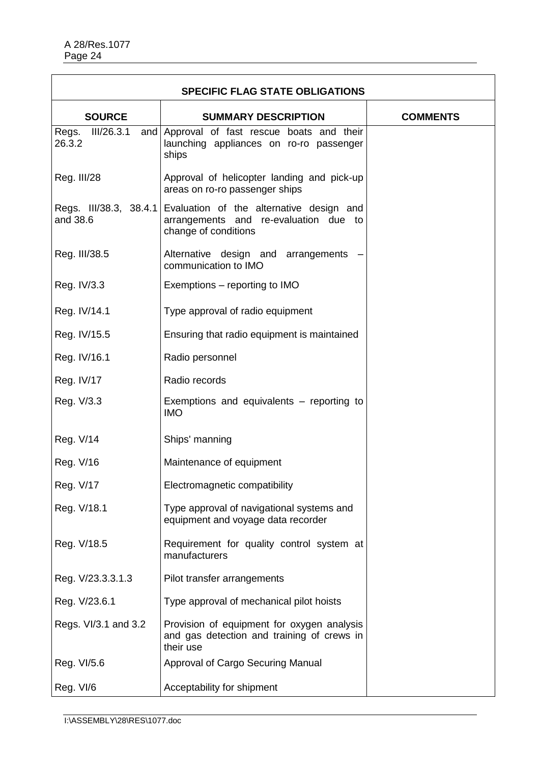| <b>SPECIFIC FLAG STATE OBLIGATIONS</b> |                                                                                                           |                 |
|----------------------------------------|-----------------------------------------------------------------------------------------------------------|-----------------|
| <b>SOURCE</b>                          | <b>SUMMARY DESCRIPTION</b>                                                                                | <b>COMMENTS</b> |
| III/26.3.1<br>Regs.<br>and<br>26.3.2   | Approval of fast rescue boats and their<br>launching appliances on ro-ro passenger<br>ships               |                 |
| Reg. III/28                            | Approval of helicopter landing and pick-up<br>areas on ro-ro passenger ships                              |                 |
| Regs. III/38.3, 38.4.1<br>and 38.6     | Evaluation of the alternative design and<br>arrangements and re-evaluation due to<br>change of conditions |                 |
| Reg. III/38.5                          | Alternative design and arrangements<br>communication to IMO                                               |                 |
| Reg. IV/3.3                            | Exemptions – reporting to IMO                                                                             |                 |
| Reg. IV/14.1                           | Type approval of radio equipment                                                                          |                 |
| Reg. IV/15.5                           | Ensuring that radio equipment is maintained                                                               |                 |
| Reg. IV/16.1                           | Radio personnel                                                                                           |                 |
| Reg. IV/17                             | Radio records                                                                                             |                 |
| Reg. V/3.3                             | Exemptions and equivalents – reporting to<br><b>IMO</b>                                                   |                 |
| Reg. V/14                              | Ships' manning                                                                                            |                 |
| Reg. V/16                              | Maintenance of equipment                                                                                  |                 |
| Reg. V/17                              | Electromagnetic compatibility                                                                             |                 |
| Reg. V/18.1                            | Type approval of navigational systems and<br>equipment and voyage data recorder                           |                 |
| Reg. V/18.5                            | Requirement for quality control system at<br>manufacturers                                                |                 |
| Reg. V/23.3.3.1.3                      | Pilot transfer arrangements                                                                               |                 |
| Reg. V/23.6.1                          | Type approval of mechanical pilot hoists                                                                  |                 |
| Regs. VI/3.1 and 3.2                   | Provision of equipment for oxygen analysis<br>and gas detection and training of crews in<br>their use     |                 |
| Reg. VI/5.6                            | Approval of Cargo Securing Manual                                                                         |                 |
| Reg. VI/6                              | Acceptability for shipment                                                                                |                 |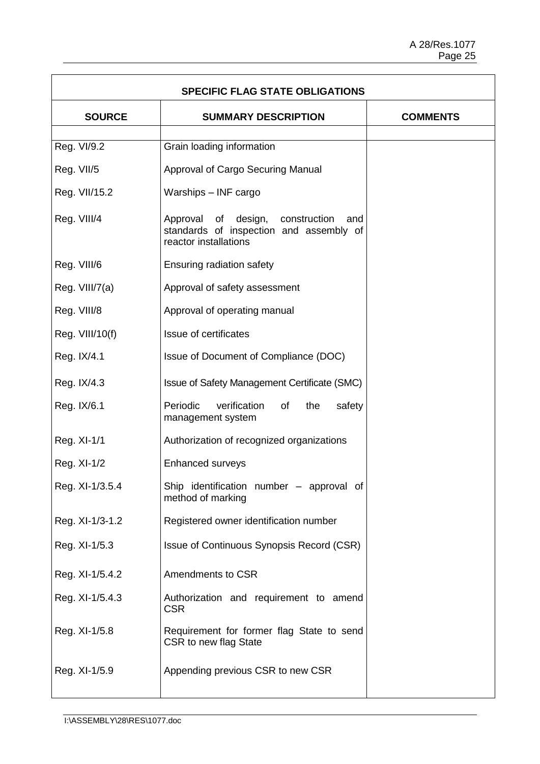ă.

| <b>SPECIFIC FLAG STATE OBLIGATIONS</b> |                                                                                                                |                 |
|----------------------------------------|----------------------------------------------------------------------------------------------------------------|-----------------|
| <b>SOURCE</b>                          | <b>SUMMARY DESCRIPTION</b>                                                                                     | <b>COMMENTS</b> |
| Reg. VI/9.2                            | Grain loading information                                                                                      |                 |
| Reg. VII/5                             | Approval of Cargo Securing Manual                                                                              |                 |
| Reg. VII/15.2                          | Warships - INF cargo                                                                                           |                 |
| Reg. VIII/4                            | Approval of design,<br>construction<br>and<br>standards of inspection and assembly of<br>reactor installations |                 |
| Reg. VIII/6                            | Ensuring radiation safety                                                                                      |                 |
| Reg. VIII/7(a)                         | Approval of safety assessment                                                                                  |                 |
| Reg. VIII/8                            | Approval of operating manual                                                                                   |                 |
| Reg. VIII/10(f)                        | Issue of certificates                                                                                          |                 |
| Reg. IX/4.1                            | Issue of Document of Compliance (DOC)                                                                          |                 |
| Reg. IX/4.3                            | Issue of Safety Management Certificate (SMC)                                                                   |                 |
| Reg. IX/6.1                            | Periodic<br>verification<br>of<br>the<br>safety<br>management system                                           |                 |
| Reg. XI-1/1                            | Authorization of recognized organizations                                                                      |                 |
| Reg. XI-1/2                            | <b>Enhanced surveys</b>                                                                                        |                 |
| Reg. XI-1/3.5.4                        | Ship identification number - approval of<br>method of marking                                                  |                 |
| Reg. XI-1/3-1.2                        | Registered owner identification number                                                                         |                 |
| Reg. XI-1/5.3                          | Issue of Continuous Synopsis Record (CSR)                                                                      |                 |
| Reg. XI-1/5.4.2                        | Amendments to CSR                                                                                              |                 |
| Reg. XI-1/5.4.3                        | Authorization and requirement to amend<br><b>CSR</b>                                                           |                 |
| Reg. XI-1/5.8                          | Requirement for former flag State to send<br>CSR to new flag State                                             |                 |
| Reg. XI-1/5.9                          | Appending previous CSR to new CSR                                                                              |                 |

F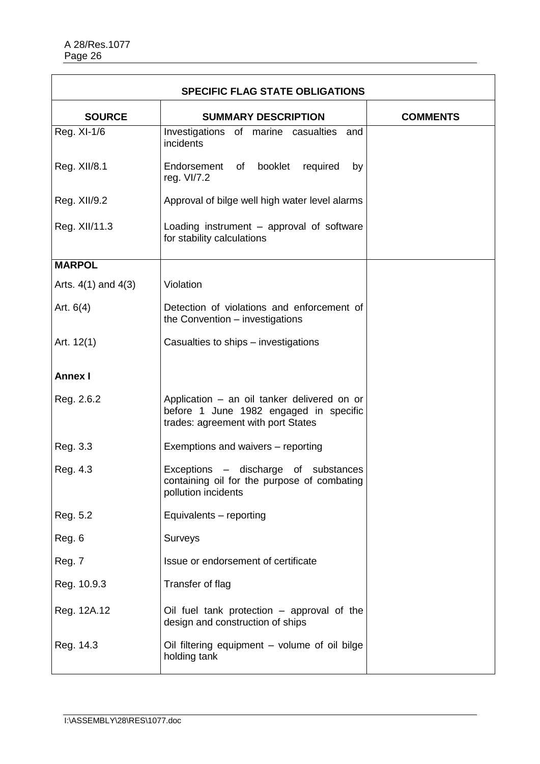| <b>SPECIFIC FLAG STATE OBLIGATIONS</b> |                                                                                                                             |                 |
|----------------------------------------|-----------------------------------------------------------------------------------------------------------------------------|-----------------|
| <b>SOURCE</b>                          | <b>SUMMARY DESCRIPTION</b>                                                                                                  | <b>COMMENTS</b> |
| Reg. XI-1/6                            | Investigations of marine casualties and<br>incidents                                                                        |                 |
| Reg. XII/8.1                           | Endorsement of booklet<br>required<br>by<br>reg. VI/7.2                                                                     |                 |
| Reg. XII/9.2                           | Approval of bilge well high water level alarms                                                                              |                 |
| Reg. XII/11.3                          | Loading instrument – approval of software<br>for stability calculations                                                     |                 |
| <b>MARPOL</b>                          |                                                                                                                             |                 |
| Arts. $4(1)$ and $4(3)$                | Violation                                                                                                                   |                 |
| Art. $6(4)$                            | Detection of violations and enforcement of<br>the Convention - investigations                                               |                 |
| Art. 12(1)                             | Casualties to ships – investigations                                                                                        |                 |
| <b>Annex I</b>                         |                                                                                                                             |                 |
| Reg. 2.6.2                             | Application - an oil tanker delivered on or<br>before 1 June 1982 engaged in specific<br>trades: agreement with port States |                 |
| Reg. 3.3                               | Exemptions and waivers - reporting                                                                                          |                 |
| Reg. 4.3                               | Exceptions – discharge of substances<br>containing oil for the purpose of combating<br>pollution incidents                  |                 |
| Reg. 5.2                               | Equivalents - reporting                                                                                                     |                 |
| Reg. 6                                 | Surveys                                                                                                                     |                 |
| Reg. 7                                 | Issue or endorsement of certificate                                                                                         |                 |
| Reg. 10.9.3                            | Transfer of flag                                                                                                            |                 |
| Reg. 12A.12                            | Oil fuel tank protection $-$ approval of the<br>design and construction of ships                                            |                 |
| Reg. 14.3                              | Oil filtering equipment - volume of oil bilge<br>holding tank                                                               |                 |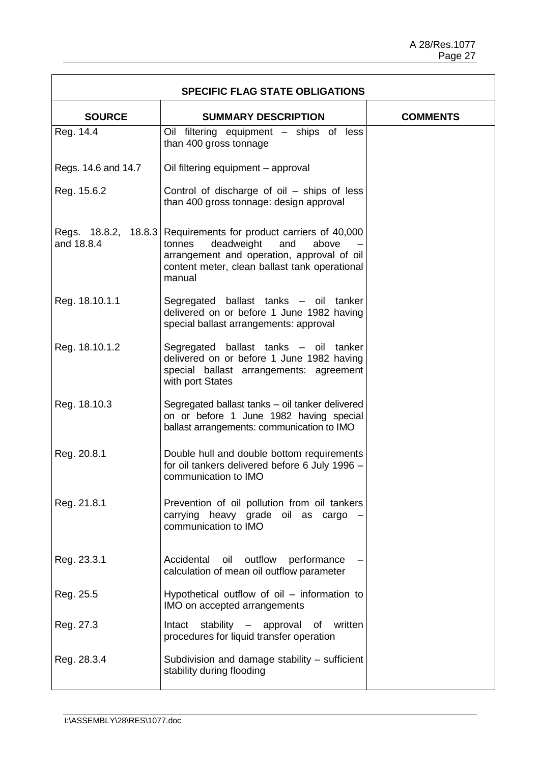| <b>SPECIFIC FLAG STATE OBLIGATIONS</b> |                                                                                                                                                                                              |                 |
|----------------------------------------|----------------------------------------------------------------------------------------------------------------------------------------------------------------------------------------------|-----------------|
| <b>SOURCE</b>                          | <b>SUMMARY DESCRIPTION</b>                                                                                                                                                                   | <b>COMMENTS</b> |
| Reg. 14.4                              | Oil filtering equipment - ships of less<br>than 400 gross tonnage                                                                                                                            |                 |
| Regs. 14.6 and 14.7                    | Oil filtering equipment - approval                                                                                                                                                           |                 |
| Reg. 15.6.2                            | Control of discharge of oil – ships of less<br>than 400 gross tonnage: design approval                                                                                                       |                 |
| Regs. 18.8.2, 18.8.3<br>and 18.8.4     | Requirements for product carriers of 40,000<br>deadweight<br>and<br>tonnes<br>above<br>arrangement and operation, approval of oil<br>content meter, clean ballast tank operational<br>manual |                 |
| Reg. 18.10.1.1                         | Segregated ballast tanks - oil tanker<br>delivered on or before 1 June 1982 having<br>special ballast arrangements: approval                                                                 |                 |
| Reg. 18.10.1.2                         | Segregated ballast tanks – oil tanker<br>delivered on or before 1 June 1982 having<br>special ballast arrangements: agreement<br>with port States                                            |                 |
| Reg. 18.10.3                           | Segregated ballast tanks - oil tanker delivered<br>on or before 1 June 1982 having special<br>ballast arrangements: communication to IMO                                                     |                 |
| Reg. 20.8.1                            | Double hull and double bottom requirements<br>for oil tankers delivered before 6 July 1996 -<br>communication to IMO                                                                         |                 |
| Reg. 21.8.1                            | Prevention of oil pollution from oil tankers<br>carrying heavy grade oil as cargo<br>communication to IMO                                                                                    |                 |
| Reg. 23.3.1                            | outflow<br>Accidental<br>oil<br>performance<br>calculation of mean oil outflow parameter                                                                                                     |                 |
| Reg. 25.5                              | Hypothetical outflow of oil – information to<br>IMO on accepted arrangements                                                                                                                 |                 |
| Reg. 27.3                              | written<br>stability – approval of<br>Intact<br>procedures for liquid transfer operation                                                                                                     |                 |
| Reg. 28.3.4                            | Subdivision and damage stability - sufficient<br>stability during flooding                                                                                                                   |                 |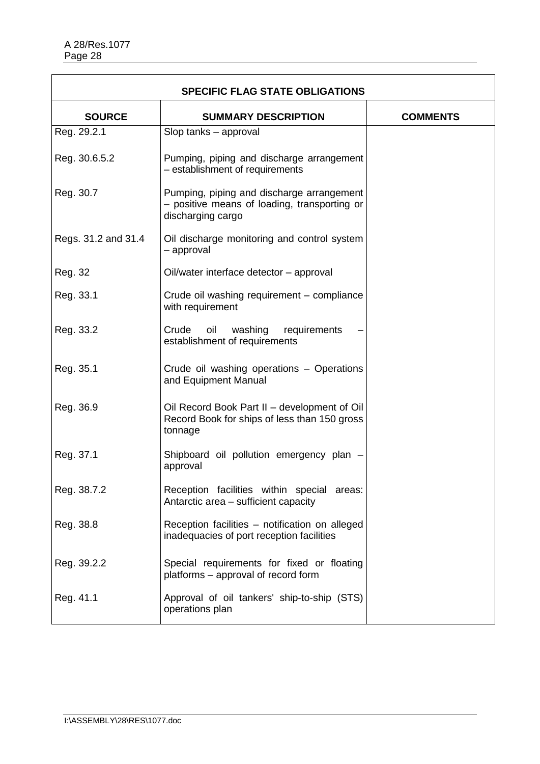| <b>SPECIFIC FLAG STATE OBLIGATIONS</b> |                                                                                                                |                 |
|----------------------------------------|----------------------------------------------------------------------------------------------------------------|-----------------|
| <b>SOURCE</b>                          | <b>SUMMARY DESCRIPTION</b>                                                                                     | <b>COMMENTS</b> |
| Reg. 29.2.1                            | Slop tanks - approval                                                                                          |                 |
| Reg. 30.6.5.2                          | Pumping, piping and discharge arrangement<br>- establishment of requirements                                   |                 |
| Reg. 30.7                              | Pumping, piping and discharge arrangement<br>- positive means of loading, transporting or<br>discharging cargo |                 |
| Regs. 31.2 and 31.4                    | Oil discharge monitoring and control system<br>- approval                                                      |                 |
| Reg. 32                                | Oil/water interface detector - approval                                                                        |                 |
| Reg. 33.1                              | Crude oil washing requirement - compliance<br>with requirement                                                 |                 |
| Reg. 33.2                              | Crude<br>oil<br>washing requirements<br>establishment of requirements                                          |                 |
| Reg. 35.1                              | Crude oil washing operations - Operations<br>and Equipment Manual                                              |                 |
| Reg. 36.9                              | Oil Record Book Part II – development of Oil<br>Record Book for ships of less than 150 gross<br>tonnage        |                 |
| Reg. 37.1                              | Shipboard oil pollution emergency plan -<br>approval                                                           |                 |
| Reg. 38.7.2                            | Reception facilities within special areas:<br>Antarctic area – sufficient capacity                             |                 |
| Reg. 38.8                              | Reception facilities - notification on alleged<br>inadequacies of port reception facilities                    |                 |
| Reg. 39.2.2                            | Special requirements for fixed or floating<br>platforms – approval of record form                              |                 |
| Reg. 41.1                              | Approval of oil tankers' ship-to-ship (STS)<br>operations plan                                                 |                 |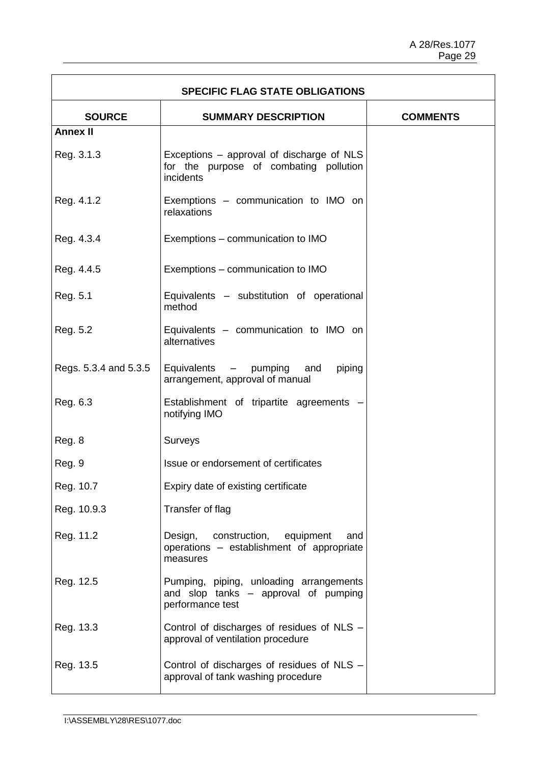| <b>SPECIFIC FLAG STATE OBLIGATIONS</b> |                                                                                                     |                 |
|----------------------------------------|-----------------------------------------------------------------------------------------------------|-----------------|
| <b>SOURCE</b>                          | <b>SUMMARY DESCRIPTION</b>                                                                          | <b>COMMENTS</b> |
| <b>Annex II</b>                        |                                                                                                     |                 |
| Reg. 3.1.3                             | Exceptions – approval of discharge of NLS<br>for the purpose of combating pollution<br>incidents    |                 |
| Reg. 4.1.2                             | Exemptions - communication to IMO on<br>relaxations                                                 |                 |
| Reg. 4.3.4                             | Exemptions – communication to IMO                                                                   |                 |
| Reg. 4.4.5                             | Exemptions – communication to IMO                                                                   |                 |
| Reg. 5.1                               | Equivalents - substitution of operational<br>method                                                 |                 |
| Reg. 5.2                               | Equivalents - communication to IMO on<br>alternatives                                               |                 |
| Regs. 5.3.4 and 5.3.5                  | Equivalents - pumping<br>piping<br>and<br>arrangement, approval of manual                           |                 |
| Reg. 6.3                               | Establishment of tripartite agreements -<br>notifying IMO                                           |                 |
| Reg. 8                                 | <b>Surveys</b>                                                                                      |                 |
| Reg. 9                                 | Issue or endorsement of certificates                                                                |                 |
| Reg. 10.7                              | Expiry date of existing certificate                                                                 |                 |
| Reg. 10.9.3                            | Transfer of flag                                                                                    |                 |
| Reg. 11.2                              | Design, construction, equipment<br>and<br>operations - establishment of appropriate<br>measures     |                 |
| Reg. 12.5                              | Pumping, piping, unloading arrangements<br>and slop tanks - approval of pumping<br>performance test |                 |
| Reg. 13.3                              | Control of discharges of residues of NLS -<br>approval of ventilation procedure                     |                 |
| Reg. 13.5                              | Control of discharges of residues of NLS -<br>approval of tank washing procedure                    |                 |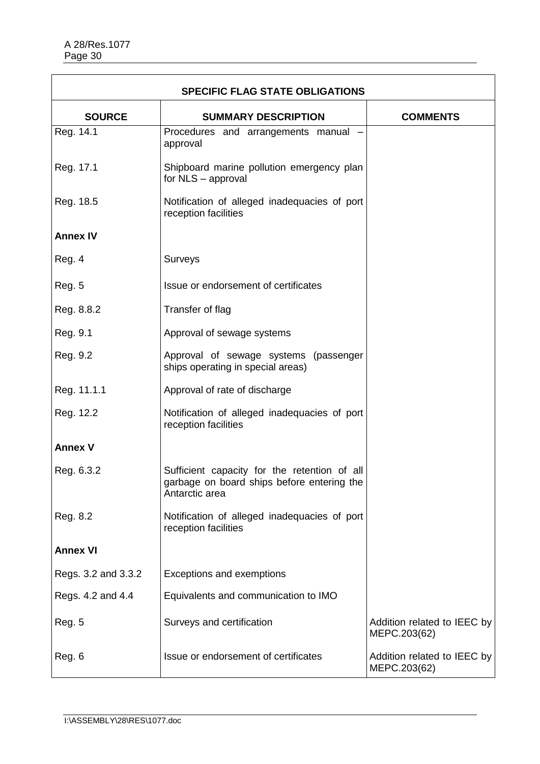Î.

| <b>SPECIFIC FLAG STATE OBLIGATIONS</b> |                                                                                                              |                                             |
|----------------------------------------|--------------------------------------------------------------------------------------------------------------|---------------------------------------------|
| <b>SOURCE</b>                          | <b>SUMMARY DESCRIPTION</b>                                                                                   | <b>COMMENTS</b>                             |
| Reg. 14.1                              | Procedures and arrangements manual<br>approval                                                               |                                             |
| Reg. 17.1                              | Shipboard marine pollution emergency plan<br>for NLS - approval                                              |                                             |
| Reg. 18.5                              | Notification of alleged inadequacies of port<br>reception facilities                                         |                                             |
| <b>Annex IV</b>                        |                                                                                                              |                                             |
| Reg. 4                                 | Surveys                                                                                                      |                                             |
| Reg. 5                                 | Issue or endorsement of certificates                                                                         |                                             |
| Reg. 8.8.2                             | Transfer of flag                                                                                             |                                             |
| Reg. 9.1                               | Approval of sewage systems                                                                                   |                                             |
| Reg. 9.2                               | Approval of sewage systems (passenger<br>ships operating in special areas)                                   |                                             |
| Reg. 11.1.1                            | Approval of rate of discharge                                                                                |                                             |
| Reg. 12.2                              | Notification of alleged inadequacies of port<br>reception facilities                                         |                                             |
| <b>Annex V</b>                         |                                                                                                              |                                             |
| Reg. 6.3.2                             | Sufficient capacity for the retention of all<br>garbage on board ships before entering the<br>Antarctic area |                                             |
| Reg. 8.2                               | Notification of alleged inadequacies of port<br>reception facilities                                         |                                             |
| <b>Annex VI</b>                        |                                                                                                              |                                             |
| Regs. 3.2 and 3.3.2                    | Exceptions and exemptions                                                                                    |                                             |
| Regs. 4.2 and 4.4                      | Equivalents and communication to IMO                                                                         |                                             |
| <b>Reg. 5</b>                          | Surveys and certification                                                                                    | Addition related to IEEC by<br>MEPC.203(62) |
| Reg. 6                                 | Issue or endorsement of certificates                                                                         | Addition related to IEEC by<br>MEPC.203(62) |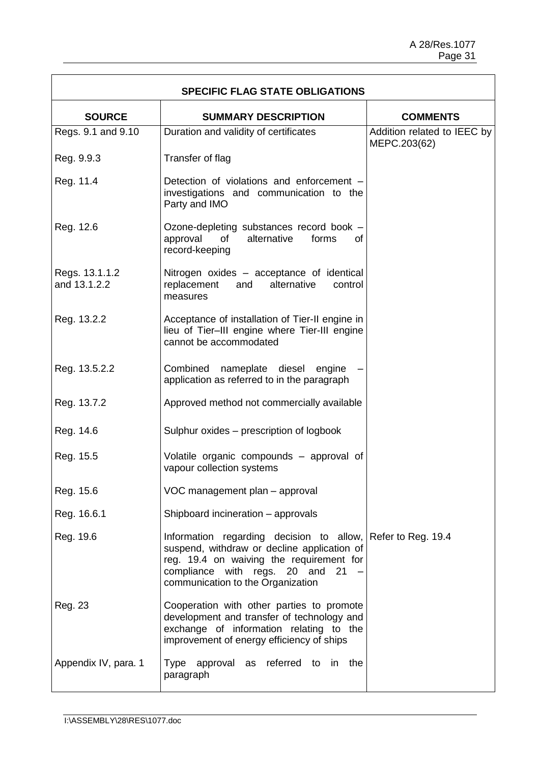$\overline{\phantom{a}}$ 

| <b>SPECIFIC FLAG STATE OBLIGATIONS</b> |                                                                                                                                                                                                                                |                                             |
|----------------------------------------|--------------------------------------------------------------------------------------------------------------------------------------------------------------------------------------------------------------------------------|---------------------------------------------|
| <b>SOURCE</b>                          | <b>SUMMARY DESCRIPTION</b>                                                                                                                                                                                                     | <b>COMMENTS</b>                             |
| Regs. 9.1 and 9.10                     | Duration and validity of certificates                                                                                                                                                                                          | Addition related to IEEC by<br>MEPC.203(62) |
| Reg. 9.9.3                             | Transfer of flag                                                                                                                                                                                                               |                                             |
| Reg. 11.4                              | Detection of violations and enforcement -<br>investigations and communication to the<br>Party and IMO                                                                                                                          |                                             |
| Reg. 12.6                              | Ozone-depleting substances record book -<br>alternative<br>approval<br>of<br>forms<br><b>of</b><br>record-keeping                                                                                                              |                                             |
| Regs. 13.1.1.2<br>and 13.1.2.2         | Nitrogen oxides – acceptance of identical<br>replacement<br>alternative<br>and<br>control<br>measures                                                                                                                          |                                             |
| Reg. 13.2.2                            | Acceptance of installation of Tier-II engine in<br>lieu of Tier-III engine where Tier-III engine<br>cannot be accommodated                                                                                                     |                                             |
| Reg. 13.5.2.2                          | Combined<br>nameplate diesel<br>engine<br>application as referred to in the paragraph                                                                                                                                          |                                             |
| Reg. 13.7.2                            | Approved method not commercially available                                                                                                                                                                                     |                                             |
| Reg. 14.6                              | Sulphur oxides – prescription of logbook                                                                                                                                                                                       |                                             |
| Reg. 15.5                              | Volatile organic compounds – approval of<br>vapour collection systems                                                                                                                                                          |                                             |
| Reg. 15.6                              | VOC management plan - approval                                                                                                                                                                                                 |                                             |
| Reg. 16.6.1                            | Shipboard incineration - approvals                                                                                                                                                                                             |                                             |
| Reg. 19.6                              | Information regarding decision to allow, Refer to Reg. 19.4<br>suspend, withdraw or decline application of<br>reg. 19.4 on waiving the requirement for<br>compliance with regs. 20 and 21<br>communication to the Organization |                                             |
| Reg. 23                                | Cooperation with other parties to promote<br>development and transfer of technology and<br>exchange of information relating to the<br>improvement of energy efficiency of ships                                                |                                             |
| Appendix IV, para. 1                   | Type approval as referred to in the<br>paragraph                                                                                                                                                                               |                                             |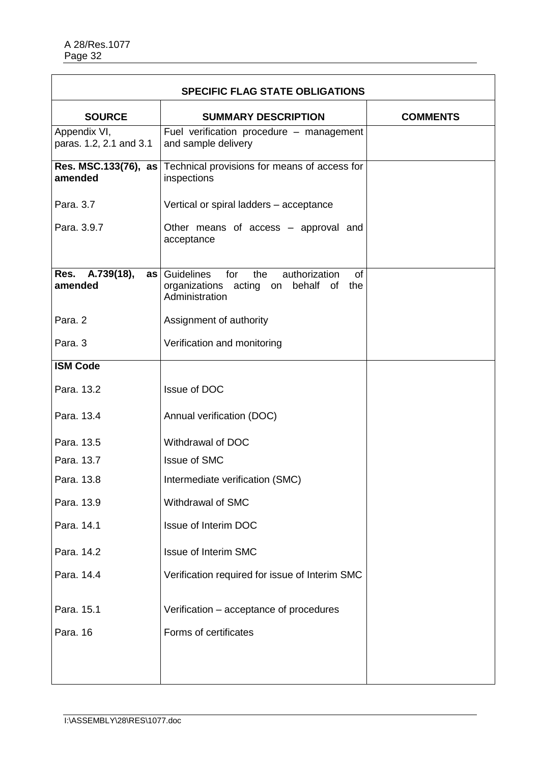Î.

| <b>SPECIFIC FLAG STATE OBLIGATIONS</b>  |                                                                                                                      |                 |
|-----------------------------------------|----------------------------------------------------------------------------------------------------------------------|-----------------|
| <b>SOURCE</b>                           | <b>SUMMARY DESCRIPTION</b>                                                                                           | <b>COMMENTS</b> |
| Appendix VI,<br>paras. 1.2, 2.1 and 3.1 | Fuel verification procedure - management<br>and sample delivery                                                      |                 |
| amended                                 | Res. MSC.133(76), as Technical provisions for means of access for<br>inspections                                     |                 |
| Para. 3.7                               | Vertical or spiral ladders - acceptance                                                                              |                 |
| Para. 3.9.7                             | Other means of access – approval and<br>acceptance                                                                   |                 |
| Res. A.739(18),<br>amended              | as Guidelines<br>for<br>the<br>authorization<br><b>of</b><br>organizations acting on behalf of the<br>Administration |                 |
| Para. 2                                 | Assignment of authority                                                                                              |                 |
| Para, 3                                 | Verification and monitoring                                                                                          |                 |
| <b>ISM Code</b>                         |                                                                                                                      |                 |
| Para. 13.2                              | <b>Issue of DOC</b>                                                                                                  |                 |
| Para. 13.4                              | Annual verification (DOC)                                                                                            |                 |
| Para. 13.5                              | Withdrawal of DOC                                                                                                    |                 |
| Para, 13.7                              | <b>Issue of SMC</b>                                                                                                  |                 |
| Para. 13.8                              | Intermediate verification (SMC)                                                                                      |                 |
| Para. 13.9                              | Withdrawal of SMC                                                                                                    |                 |
| Para. 14.1                              | <b>Issue of Interim DOC</b>                                                                                          |                 |
| Para. 14.2                              | <b>Issue of Interim SMC</b>                                                                                          |                 |
| Para, 14.4                              | Verification required for issue of Interim SMC                                                                       |                 |
| Para. 15.1                              | Verification – acceptance of procedures                                                                              |                 |
| Para. 16                                | Forms of certificates                                                                                                |                 |
|                                         |                                                                                                                      |                 |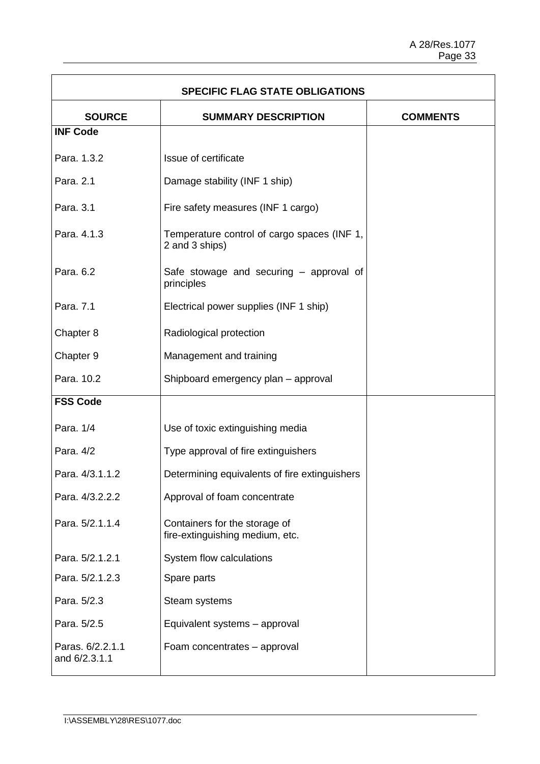$\overline{\phantom{a}}$ 

| <b>SPECIFIC FLAG STATE OBLIGATIONS</b> |                                                                  |                 |
|----------------------------------------|------------------------------------------------------------------|-----------------|
| <b>SOURCE</b>                          | <b>SUMMARY DESCRIPTION</b>                                       | <b>COMMENTS</b> |
| <b>INF Code</b>                        |                                                                  |                 |
| Para. 1.3.2                            | Issue of certificate                                             |                 |
| Para. 2.1                              | Damage stability (INF 1 ship)                                    |                 |
| Para. 3.1                              | Fire safety measures (INF 1 cargo)                               |                 |
| Para. 4.1.3                            | Temperature control of cargo spaces (INF 1,<br>2 and 3 ships)    |                 |
| Para. 6.2                              | Safe stowage and securing - approval of<br>principles            |                 |
| Para. 7.1                              | Electrical power supplies (INF 1 ship)                           |                 |
| Chapter 8                              | Radiological protection                                          |                 |
| Chapter 9                              | Management and training                                          |                 |
| Para. 10.2                             | Shipboard emergency plan - approval                              |                 |
| <b>FSS Code</b>                        |                                                                  |                 |
| Para, 1/4                              | Use of toxic extinguishing media                                 |                 |
| Para. 4/2                              | Type approval of fire extinguishers                              |                 |
| Para, 4/3.1.1.2                        | Determining equivalents of fire extinguishers                    |                 |
| Para. 4/3.2.2.2                        | Approval of foam concentrate                                     |                 |
| Para. 5/2.1.1.4                        | Containers for the storage of<br>fire-extinguishing medium, etc. |                 |
| Para. 5/2.1.2.1                        | System flow calculations                                         |                 |
| Para. 5/2.1.2.3                        | Spare parts                                                      |                 |
| Para. 5/2.3                            | Steam systems                                                    |                 |
| Para. 5/2.5                            | Equivalent systems - approval                                    |                 |
| Paras. 6/2.2.1.1<br>and 6/2.3.1.1      | Foam concentrates - approval                                     |                 |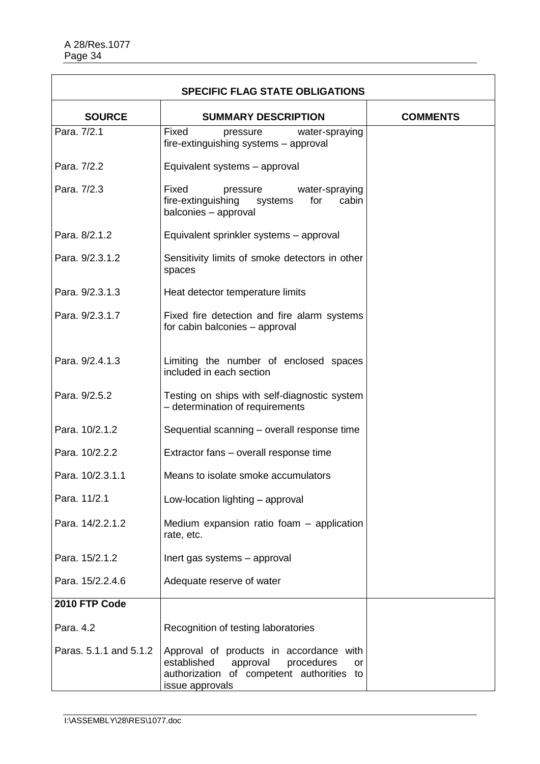| <b>SPECIFIC FLAG STATE OBLIGATIONS</b> |                                                                                                                                                               |                 |
|----------------------------------------|---------------------------------------------------------------------------------------------------------------------------------------------------------------|-----------------|
| <b>SOURCE</b>                          | <b>SUMMARY DESCRIPTION</b>                                                                                                                                    | <b>COMMENTS</b> |
| Para, 7/2.1                            | Fixed<br>pressure<br>water-spraying<br>fire-extinguishing systems - approval                                                                                  |                 |
| Para. 7/2.2                            | Equivalent systems - approval                                                                                                                                 |                 |
| Para. 7/2.3                            | Fixed<br>water-spraying<br>pressure<br>fire-extinguishing<br>systems<br>for<br>cabin<br>balconies - approval                                                  |                 |
| Para, 8/2.1.2                          | Equivalent sprinkler systems - approval                                                                                                                       |                 |
| Para, 9/2.3.1.2                        | Sensitivity limits of smoke detectors in other<br>spaces                                                                                                      |                 |
| Para. 9/2.3.1.3                        | Heat detector temperature limits                                                                                                                              |                 |
| Para. 9/2.3.1.7                        | Fixed fire detection and fire alarm systems<br>for cabin balconies - approval                                                                                 |                 |
| Para. 9/2.4.1.3                        | Limiting the number of enclosed spaces<br>included in each section                                                                                            |                 |
| Para. 9/2.5.2                          | Testing on ships with self-diagnostic system<br>- determination of requirements                                                                               |                 |
| Para. 10/2.1.2                         | Sequential scanning - overall response time                                                                                                                   |                 |
| Para. 10/2.2.2                         | Extractor fans – overall response time                                                                                                                        |                 |
| Para. 10/2.3.1.1                       | Means to isolate smoke accumulators                                                                                                                           |                 |
| Para. 11/2.1                           | Low-location lighting - approval                                                                                                                              |                 |
| Para, 14/2.2.1.2                       | Medium expansion ratio foam - application<br>rate, etc.                                                                                                       |                 |
| Para, 15/2.1.2                         | Inert gas systems - approval                                                                                                                                  |                 |
| Para, 15/2.2.4.6                       | Adequate reserve of water                                                                                                                                     |                 |
| 2010 FTP Code                          |                                                                                                                                                               |                 |
| Para. 4.2                              | Recognition of testing laboratories                                                                                                                           |                 |
| Paras. 5.1.1 and 5.1.2                 | Approval of products in accordance with<br>established<br>approval<br>procedures<br><b>or</b><br>authorization of competent authorities to<br>issue approvals |                 |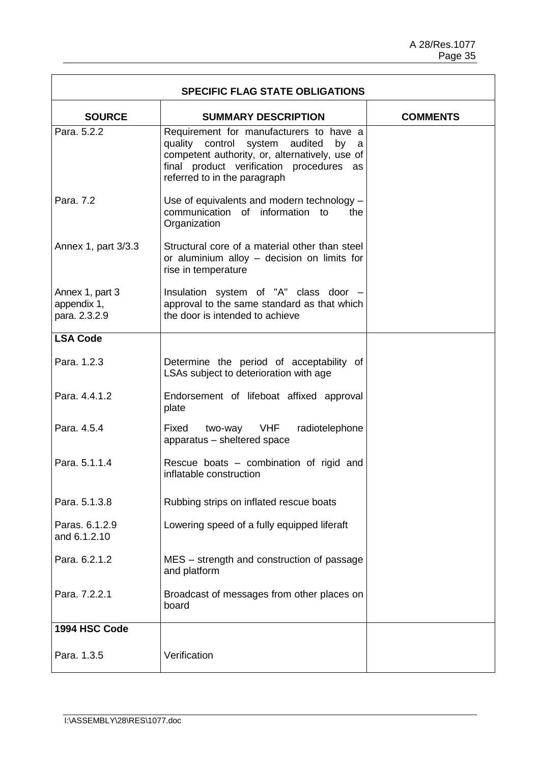$\overline{\mathbf{1}}$ 

| <b>SPECIFIC FLAG STATE OBLIGATIONS</b>          |                                                                                                                                                                                                                    |                 |
|-------------------------------------------------|--------------------------------------------------------------------------------------------------------------------------------------------------------------------------------------------------------------------|-----------------|
| <b>SOURCE</b>                                   | <b>SUMMARY DESCRIPTION</b>                                                                                                                                                                                         | <b>COMMENTS</b> |
| Para, 5.2.2                                     | Requirement for manufacturers to have a<br>quality control system audited<br>by<br>а<br>competent authority, or, alternatively, use of<br>final product verification procedures as<br>referred to in the paragraph |                 |
| Para. 7.2                                       | Use of equivalents and modern technology -<br>communication of information to<br>the<br>Organization                                                                                                               |                 |
| Annex 1, part 3/3.3                             | Structural core of a material other than steel<br>or aluminium alloy - decision on limits for<br>rise in temperature                                                                                               |                 |
| Annex 1, part 3<br>appendix 1,<br>para. 2.3.2.9 | Insulation system of "A" class door -<br>approval to the same standard as that which<br>the door is intended to achieve                                                                                            |                 |
| <b>LSA Code</b>                                 |                                                                                                                                                                                                                    |                 |
| Para. 1.2.3                                     | Determine the period of acceptability of<br>LSAs subject to deterioration with age                                                                                                                                 |                 |
| Para. 4.4.1.2                                   | Endorsement of lifeboat affixed approval<br>plate                                                                                                                                                                  |                 |
| Para, 4.5.4                                     | two-way VHF<br>radiotelephone<br>Fixed<br>apparatus - sheltered space                                                                                                                                              |                 |
| Para. 5.1.1.4                                   | Rescue boats - combination of rigid and<br>inflatable construction                                                                                                                                                 |                 |
| Para. 5.1.3.8                                   | Rubbing strips on inflated rescue boats                                                                                                                                                                            |                 |
| Paras. 6.1.2.9<br>and 6.1.2.10                  | Lowering speed of a fully equipped liferaft                                                                                                                                                                        |                 |
| Para, 6.2.1.2                                   | MES – strength and construction of passage<br>and platform                                                                                                                                                         |                 |
| Para. 7.2.2.1                                   | Broadcast of messages from other places on<br>board                                                                                                                                                                |                 |
| 1994 HSC Code                                   |                                                                                                                                                                                                                    |                 |
| Para. 1.3.5                                     | Verification                                                                                                                                                                                                       |                 |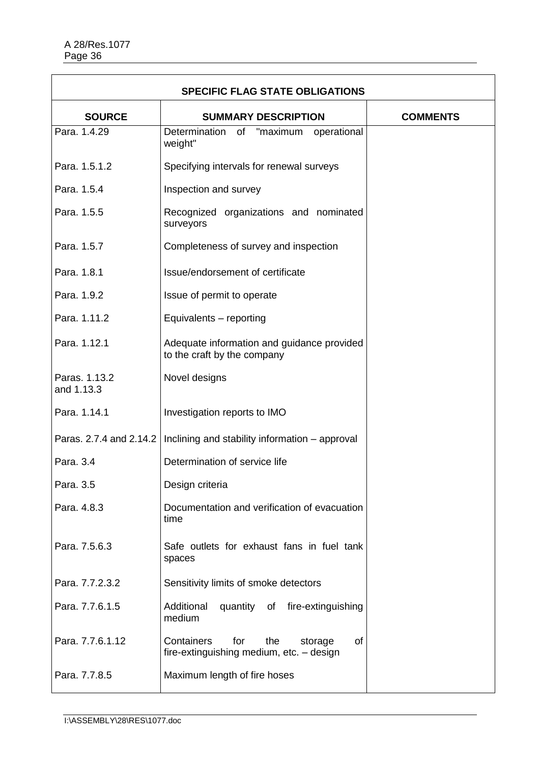| <b>SPECIFIC FLAG STATE OBLIGATIONS</b> |                                                                                              |                 |
|----------------------------------------|----------------------------------------------------------------------------------------------|-----------------|
| <b>SOURCE</b>                          | <b>SUMMARY DESCRIPTION</b>                                                                   | <b>COMMENTS</b> |
| Para, 1.4.29                           | Determination<br>of "maximum operational<br>weight"                                          |                 |
| Para. 1.5.1.2                          | Specifying intervals for renewal surveys                                                     |                 |
| Para, 1.5.4                            | Inspection and survey                                                                        |                 |
| Para. 1.5.5                            | Recognized organizations and nominated<br>surveyors                                          |                 |
| Para. 1.5.7                            | Completeness of survey and inspection                                                        |                 |
| Para. 1.8.1                            | Issue/endorsement of certificate                                                             |                 |
| Para. 1.9.2                            | Issue of permit to operate                                                                   |                 |
| Para. 1.11.2                           | Equivalents - reporting                                                                      |                 |
| Para. 1.12.1                           | Adequate information and guidance provided<br>to the craft by the company                    |                 |
| Paras. 1.13.2<br>and 1.13.3            | Novel designs                                                                                |                 |
| Para. 1.14.1                           | Investigation reports to IMO                                                                 |                 |
| Paras. 2.7.4 and 2.14.2                | Inclining and stability information - approval                                               |                 |
| Para. 3.4                              | Determination of service life                                                                |                 |
| Para. 3.5                              | Design criteria                                                                              |                 |
| Para. 4.8.3                            | Documentation and verification of evacuation<br>time                                         |                 |
| Para. 7.5.6.3                          | Safe outlets for exhaust fans in fuel tank<br>spaces                                         |                 |
| Para. 7.7.2.3.2                        | Sensitivity limits of smoke detectors                                                        |                 |
| Para. 7.7.6.1.5                        | Additional<br>quantity of fire-extinguishing<br>medium                                       |                 |
| Para. 7.7.6.1.12                       | Containers<br>for<br>the<br><b>of</b><br>storage<br>fire-extinguishing medium, etc. - design |                 |
| Para. 7.7.8.5                          | Maximum length of fire hoses                                                                 |                 |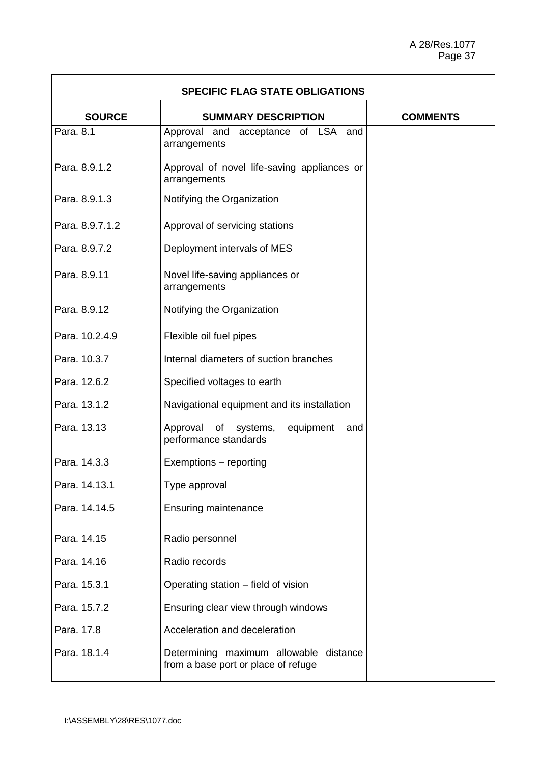$\overline{1}$ 

| <b>SPECIFIC FLAG STATE OBLIGATIONS</b> |                                                                               |                 |
|----------------------------------------|-------------------------------------------------------------------------------|-----------------|
| <b>SOURCE</b>                          | <b>SUMMARY DESCRIPTION</b>                                                    | <b>COMMENTS</b> |
| Para, 8.1                              | Approval and acceptance of LSA and<br>arrangements                            |                 |
| Para, 8.9.1.2                          | Approval of novel life-saving appliances or<br>arrangements                   |                 |
| Para. 8.9.1.3                          | Notifying the Organization                                                    |                 |
| Para. 8.9.7.1.2                        | Approval of servicing stations                                                |                 |
| Para. 8.9.7.2                          | Deployment intervals of MES                                                   |                 |
| Para. 8.9.11                           | Novel life-saving appliances or<br>arrangements                               |                 |
| Para. 8.9.12                           | Notifying the Organization                                                    |                 |
| Para. 10.2.4.9                         | Flexible oil fuel pipes                                                       |                 |
| Para. 10.3.7                           | Internal diameters of suction branches                                        |                 |
| Para. 12.6.2                           | Specified voltages to earth                                                   |                 |
| Para. 13.1.2                           | Navigational equipment and its installation                                   |                 |
| Para. 13.13                            | Approval<br>of<br>systems,<br>equipment<br>and<br>performance standards       |                 |
| Para, 14.3.3                           | Exemptions - reporting                                                        |                 |
| Para. 14.13.1                          | Type approval                                                                 |                 |
| Para. 14.14.5                          | <b>Ensuring maintenance</b>                                                   |                 |
| Para. 14.15                            | Radio personnel                                                               |                 |
| Para. 14.16                            | Radio records                                                                 |                 |
| Para. 15.3.1                           | Operating station - field of vision                                           |                 |
| Para. 15.7.2                           | Ensuring clear view through windows                                           |                 |
| Para. 17.8                             | Acceleration and deceleration                                                 |                 |
| Para. 18.1.4                           | Determining maximum allowable distance<br>from a base port or place of refuge |                 |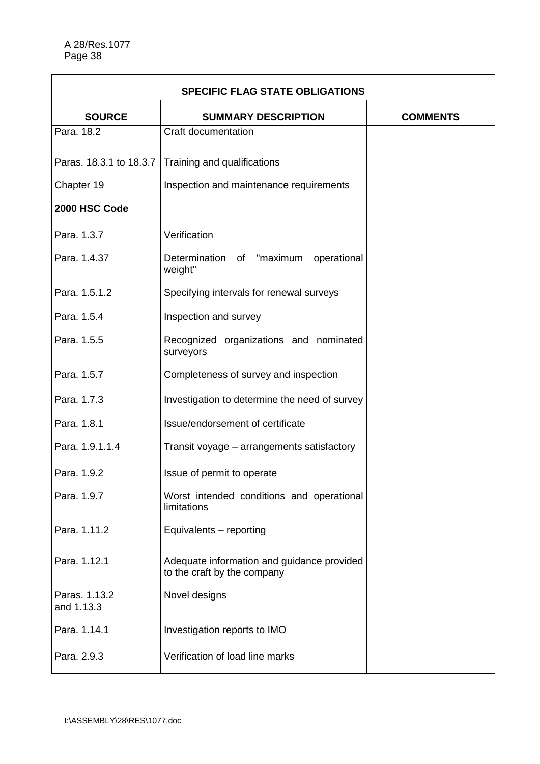| <b>SPECIFIC FLAG STATE OBLIGATIONS</b> |                                                                           |                 |
|----------------------------------------|---------------------------------------------------------------------------|-----------------|
| <b>SOURCE</b>                          | <b>SUMMARY DESCRIPTION</b>                                                | <b>COMMENTS</b> |
| Para, 18.2                             | Craft documentation                                                       |                 |
| Paras. 18.3.1 to 18.3.7                | Training and qualifications                                               |                 |
| Chapter 19                             | Inspection and maintenance requirements                                   |                 |
| 2000 HSC Code                          |                                                                           |                 |
| Para. 1.3.7                            | Verification                                                              |                 |
| Para, 1.4.37                           | Determination of "maximum<br>operational<br>weight"                       |                 |
| Para, 1.5.1.2                          | Specifying intervals for renewal surveys                                  |                 |
| Para, 1.5.4                            | Inspection and survey                                                     |                 |
| Para. 1.5.5                            | Recognized organizations and nominated<br>surveyors                       |                 |
| Para. 1.5.7                            | Completeness of survey and inspection                                     |                 |
| Para. 1.7.3                            | Investigation to determine the need of survey                             |                 |
| Para. 1.8.1                            | Issue/endorsement of certificate                                          |                 |
| Para. 1.9.1.1.4                        | Transit voyage - arrangements satisfactory                                |                 |
| Para. 1.9.2                            | Issue of permit to operate                                                |                 |
| Para. 1.9.7                            | Worst intended conditions and operational<br>limitations                  |                 |
| Para, 1.11.2                           | Equivalents - reporting                                                   |                 |
| Para. 1.12.1                           | Adequate information and guidance provided<br>to the craft by the company |                 |
| Paras. 1.13.2<br>and 1.13.3            | Novel designs                                                             |                 |
| Para. 1.14.1                           | Investigation reports to IMO                                              |                 |
| Para. 2.9.3                            | Verification of load line marks                                           |                 |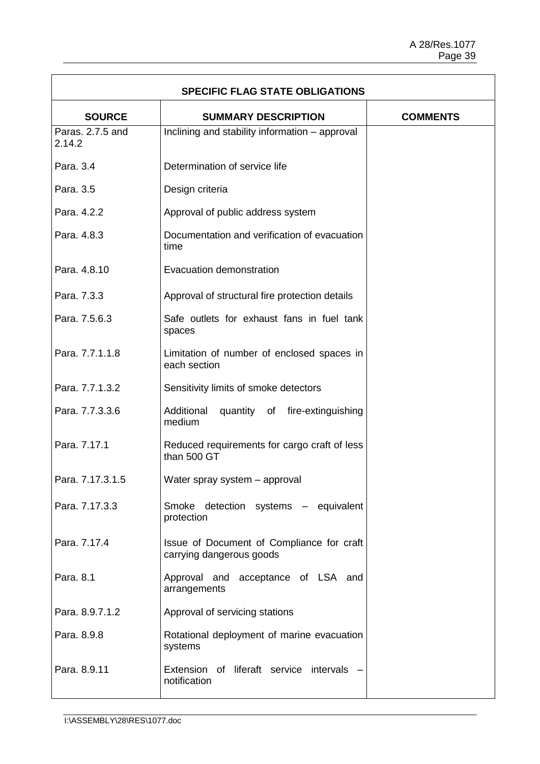| <b>SPECIFIC FLAG STATE OBLIGATIONS</b> |                                                                       |                 |
|----------------------------------------|-----------------------------------------------------------------------|-----------------|
| <b>SOURCE</b>                          | <b>SUMMARY DESCRIPTION</b>                                            | <b>COMMENTS</b> |
| Paras, 2.7.5 and<br>2.14.2             | Inclining and stability information - approval                        |                 |
| Para, 3.4                              | Determination of service life                                         |                 |
| Para, 3.5                              | Design criteria                                                       |                 |
| Para, 4.2.2                            | Approval of public address system                                     |                 |
| Para. 4.8.3                            | Documentation and verification of evacuation<br>time                  |                 |
| Para. 4.8.10                           | Evacuation demonstration                                              |                 |
| Para. 7.3.3                            | Approval of structural fire protection details                        |                 |
| Para, 7.5.6.3                          | Safe outlets for exhaust fans in fuel tank<br>spaces                  |                 |
| Para, 7.7.1.1.8                        | Limitation of number of enclosed spaces in<br>each section            |                 |
| Para. 7.7.1.3.2                        | Sensitivity limits of smoke detectors                                 |                 |
| Para. 7.7.3.3.6                        | Additional<br>quantity of fire-extinguishing<br>medium                |                 |
| Para. 7.17.1                           | Reduced requirements for cargo craft of less<br>than 500 GT           |                 |
| Para. 7.17.3.1.5                       | Water spray system - approval                                         |                 |
| Para, 7.17.3.3                         | Smoke detection systems - equivalent<br>protection                    |                 |
| Para, 7.17.4                           | Issue of Document of Compliance for craft<br>carrying dangerous goods |                 |
| Para. 8.1                              | Approval and acceptance of LSA and<br>arrangements                    |                 |
| Para. 8.9.7.1.2                        | Approval of servicing stations                                        |                 |
| Para. 8.9.8                            | Rotational deployment of marine evacuation<br>systems                 |                 |
| Para. 8.9.11                           | Extension of liferaft service intervals<br>notification               |                 |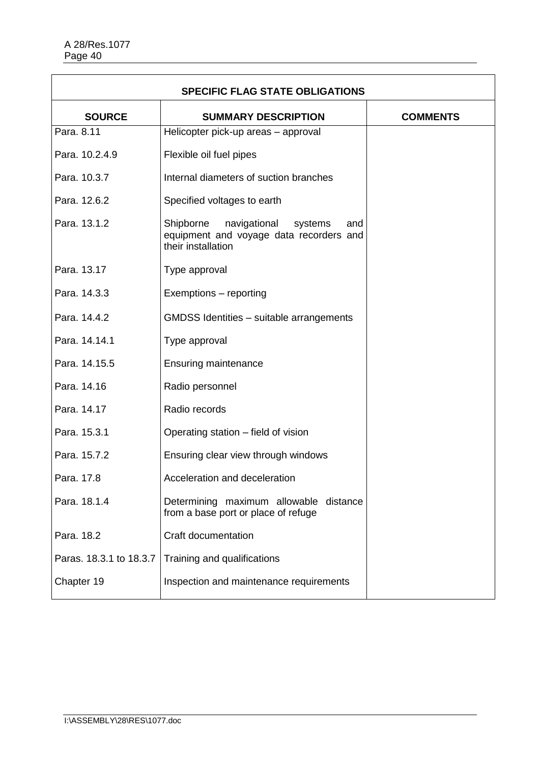| <b>SPECIFIC FLAG STATE OBLIGATIONS</b> |                                                                                                              |                 |
|----------------------------------------|--------------------------------------------------------------------------------------------------------------|-----------------|
| <b>SOURCE</b>                          | <b>SUMMARY DESCRIPTION</b>                                                                                   | <b>COMMENTS</b> |
| Para, 8.11                             | Helicopter pick-up areas - approval                                                                          |                 |
| Para. 10.2.4.9                         | Flexible oil fuel pipes                                                                                      |                 |
| Para. 10.3.7                           | Internal diameters of suction branches                                                                       |                 |
| Para. 12.6.2                           | Specified voltages to earth                                                                                  |                 |
| Para. 13.1.2                           | Shipborne<br>navigational<br>systems<br>and<br>equipment and voyage data recorders and<br>their installation |                 |
| Para. 13.17                            | Type approval                                                                                                |                 |
| Para. 14.3.3                           | Exemptions - reporting                                                                                       |                 |
| Para, 14.4.2                           | GMDSS Identities - suitable arrangements                                                                     |                 |
| Para. 14.14.1                          | Type approval                                                                                                |                 |
| Para. 14.15.5                          | <b>Ensuring maintenance</b>                                                                                  |                 |
| Para. 14.16                            | Radio personnel                                                                                              |                 |
| Para. 14.17                            | Radio records                                                                                                |                 |
| Para. 15.3.1                           | Operating station - field of vision                                                                          |                 |
| Para. 15.7.2                           | Ensuring clear view through windows                                                                          |                 |
| Para. 17.8                             | Acceleration and deceleration                                                                                |                 |
| Para. 18.1.4                           | Determining maximum allowable distance<br>from a base port or place of refuge                                |                 |
| Para. 18.2                             | <b>Craft documentation</b>                                                                                   |                 |
| Paras. 18.3.1 to 18.3.7                | Training and qualifications                                                                                  |                 |
| Chapter 19                             | Inspection and maintenance requirements                                                                      |                 |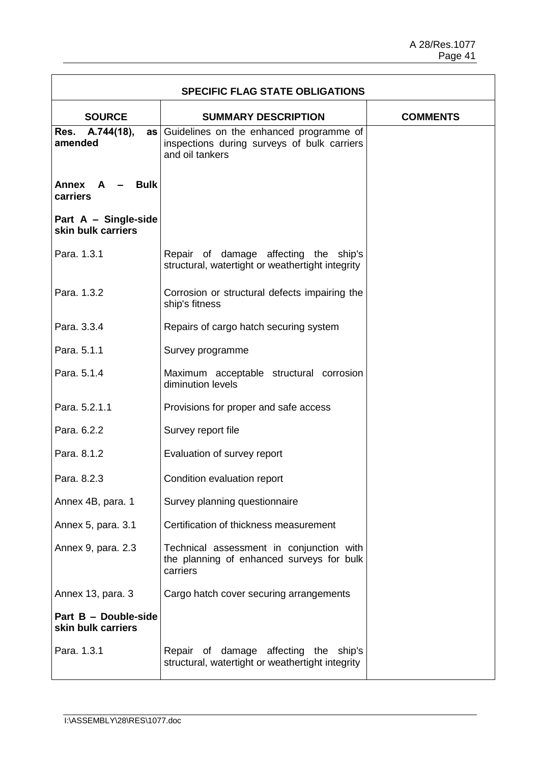$\overline{1}$ 

| <b>SPECIFIC FLAG STATE OBLIGATIONS</b>     |                                                                                                              |                 |
|--------------------------------------------|--------------------------------------------------------------------------------------------------------------|-----------------|
| <b>SOURCE</b>                              | <b>SUMMARY DESCRIPTION</b>                                                                                   | <b>COMMENTS</b> |
| Res. A.744(18),<br>amended                 | as Guidelines on the enhanced programme of<br>inspections during surveys of bulk carriers<br>and oil tankers |                 |
| <b>Bulk</b><br>Annex A<br>carriers         |                                                                                                              |                 |
| Part A - Single-side<br>skin bulk carriers |                                                                                                              |                 |
| Para. 1.3.1                                | Repair of damage affecting the ship's<br>structural, watertight or weathertight integrity                    |                 |
| Para, 1.3.2                                | Corrosion or structural defects impairing the<br>ship's fitness                                              |                 |
| Para, 3.3.4                                | Repairs of cargo hatch securing system                                                                       |                 |
| Para. 5.1.1                                | Survey programme                                                                                             |                 |
| Para. 5.1.4                                | Maximum acceptable structural corrosion<br>diminution levels                                                 |                 |
| Para. 5.2.1.1                              | Provisions for proper and safe access                                                                        |                 |
| Para, 6.2.2                                | Survey report file                                                                                           |                 |
| Para. 8.1.2                                | Evaluation of survey report                                                                                  |                 |
| Para. 8.2.3                                | Condition evaluation report                                                                                  |                 |
| Annex 4B, para. 1                          | Survey planning questionnaire                                                                                |                 |
| Annex 5, para. 3.1                         | Certification of thickness measurement                                                                       |                 |
| Annex 9, para. 2.3                         | Technical assessment in conjunction with<br>the planning of enhanced surveys for bulk<br>carriers            |                 |
| Annex 13, para. 3                          | Cargo hatch cover securing arrangements                                                                      |                 |
| Part B - Double-side<br>skin bulk carriers |                                                                                                              |                 |
| Para. 1.3.1                                | Repair of damage affecting the ship's<br>structural, watertight or weathertight integrity                    |                 |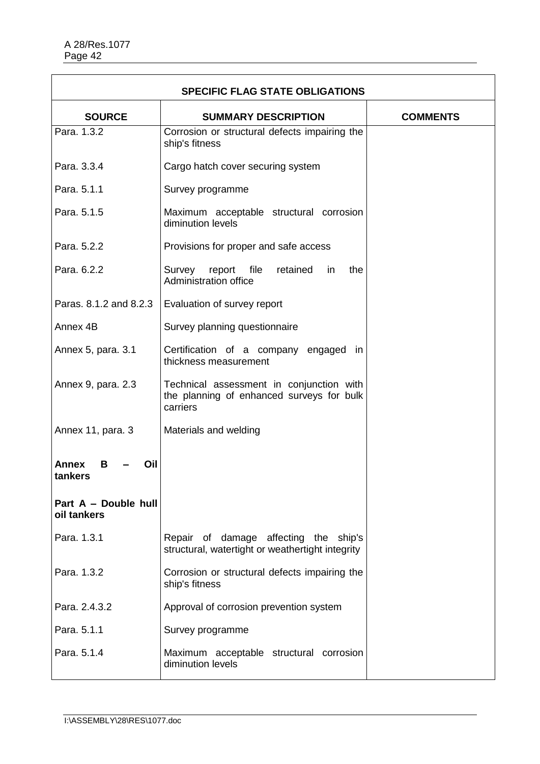| <b>SPECIFIC FLAG STATE OBLIGATIONS</b> |                                                                                                   |                 |
|----------------------------------------|---------------------------------------------------------------------------------------------------|-----------------|
| <b>SOURCE</b>                          | <b>SUMMARY DESCRIPTION</b>                                                                        | <b>COMMENTS</b> |
| Para, 1.3.2                            | Corrosion or structural defects impairing the<br>ship's fitness                                   |                 |
| Para. 3.3.4                            | Cargo hatch cover securing system                                                                 |                 |
| Para. 5.1.1                            | Survey programme                                                                                  |                 |
| Para. 5.1.5                            | Maximum acceptable structural corrosion<br>diminution levels                                      |                 |
| Para, 5.2.2                            | Provisions for proper and safe access                                                             |                 |
| Para. 6.2.2                            | report<br>file<br>retained<br>the<br>Survey<br>in.<br>Administration office                       |                 |
| Paras. 8.1.2 and 8.2.3                 | Evaluation of survey report                                                                       |                 |
| Annex 4B                               | Survey planning questionnaire                                                                     |                 |
| Annex 5, para. 3.1                     | Certification of a company engaged in<br>thickness measurement                                    |                 |
| Annex 9, para. 2.3                     | Technical assessment in conjunction with<br>the planning of enhanced surveys for bulk<br>carriers |                 |
| Annex 11, para. 3                      | Materials and welding                                                                             |                 |
| Annex<br>В<br>Oil<br>tankers           |                                                                                                   |                 |
| Part A - Double hull<br>oil tankers    |                                                                                                   |                 |
| Para. 1.3.1                            | Repair of damage affecting the ship's<br>structural, watertight or weathertight integrity         |                 |
| Para, 1.3.2                            | Corrosion or structural defects impairing the<br>ship's fitness                                   |                 |
| Para, 2.4.3.2                          | Approval of corrosion prevention system                                                           |                 |
| Para. 5.1.1                            | Survey programme                                                                                  |                 |
| Para. 5.1.4                            | Maximum acceptable structural corrosion<br>diminution levels                                      |                 |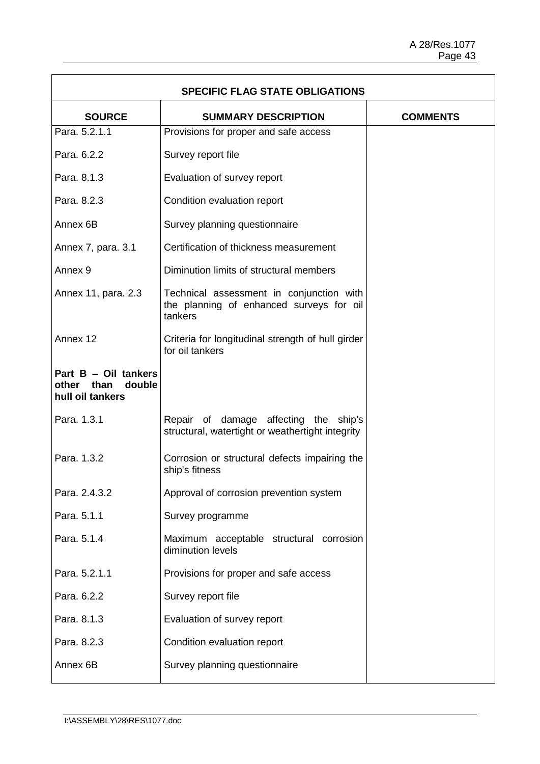| <b>SPECIFIC FLAG STATE OBLIGATIONS</b>                           |                                                                                                 |                 |
|------------------------------------------------------------------|-------------------------------------------------------------------------------------------------|-----------------|
| <b>SOURCE</b>                                                    | <b>SUMMARY DESCRIPTION</b>                                                                      | <b>COMMENTS</b> |
| Para, 5.2.1.1                                                    | Provisions for proper and safe access                                                           |                 |
| Para. 6.2.2                                                      | Survey report file                                                                              |                 |
| Para. 8.1.3                                                      | Evaluation of survey report                                                                     |                 |
| Para. 8.2.3                                                      | Condition evaluation report                                                                     |                 |
| Annex 6B                                                         | Survey planning questionnaire                                                                   |                 |
| Annex 7, para. 3.1                                               | Certification of thickness measurement                                                          |                 |
| Annex <sub>9</sub>                                               | Diminution limits of structural members                                                         |                 |
| Annex 11, para. 2.3                                              | Technical assessment in conjunction with<br>the planning of enhanced surveys for oil<br>tankers |                 |
| Annex 12                                                         | Criteria for longitudinal strength of hull girder<br>for oil tankers                            |                 |
| Part B - Oil tankers<br>double<br>other than<br>hull oil tankers |                                                                                                 |                 |
| Para. 1.3.1                                                      | Repair of damage affecting the ship's<br>structural, watertight or weathertight integrity       |                 |
| Para, 1.3.2                                                      | Corrosion or structural defects impairing the<br>ship's fitness                                 |                 |
| Para, 2.4.3.2                                                    | Approval of corrosion prevention system                                                         |                 |
| Para. 5.1.1                                                      | Survey programme                                                                                |                 |
| Para. 5.1.4                                                      | Maximum acceptable structural corrosion<br>diminution levels                                    |                 |
| Para. 5.2.1.1                                                    | Provisions for proper and safe access                                                           |                 |
| Para. 6.2.2                                                      | Survey report file                                                                              |                 |
| Para. 8.1.3                                                      | Evaluation of survey report                                                                     |                 |
| Para. 8.2.3                                                      | Condition evaluation report                                                                     |                 |
| Annex 6B                                                         | Survey planning questionnaire                                                                   |                 |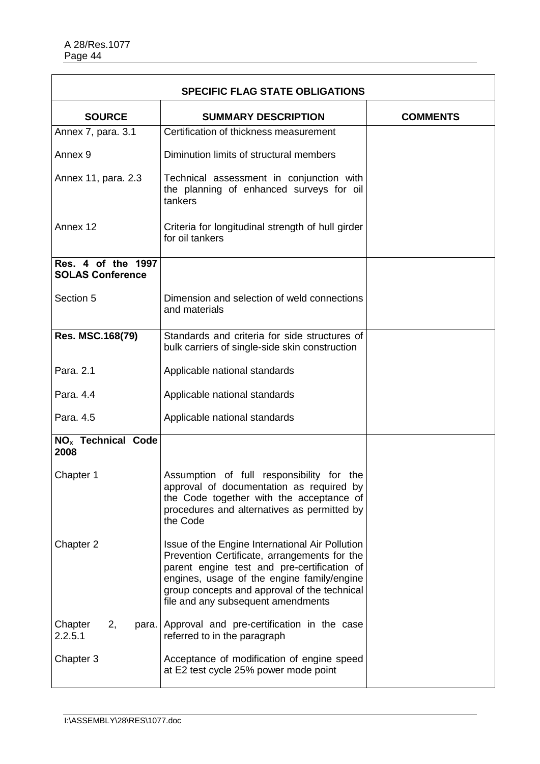| <b>SPECIFIC FLAG STATE OBLIGATIONS</b>        |                                                                                                                                                                                                                                                                                    |                 |
|-----------------------------------------------|------------------------------------------------------------------------------------------------------------------------------------------------------------------------------------------------------------------------------------------------------------------------------------|-----------------|
| <b>SOURCE</b>                                 | <b>SUMMARY DESCRIPTION</b>                                                                                                                                                                                                                                                         | <b>COMMENTS</b> |
| Annex 7, para. 3.1                            | Certification of thickness measurement                                                                                                                                                                                                                                             |                 |
| Annex <sub>9</sub>                            | Diminution limits of structural members                                                                                                                                                                                                                                            |                 |
| Annex 11, para. 2.3                           | Technical assessment in conjunction with<br>the planning of enhanced surveys for oil<br>tankers                                                                                                                                                                                    |                 |
| Annex 12                                      | Criteria for longitudinal strength of hull girder<br>for oil tankers                                                                                                                                                                                                               |                 |
| Res. 4 of the 1997<br><b>SOLAS Conference</b> |                                                                                                                                                                                                                                                                                    |                 |
| Section 5                                     | Dimension and selection of weld connections<br>and materials                                                                                                                                                                                                                       |                 |
| Res. MSC.168(79)                              | Standards and criteria for side structures of<br>bulk carriers of single-side skin construction                                                                                                                                                                                    |                 |
| Para. 2.1                                     | Applicable national standards                                                                                                                                                                                                                                                      |                 |
| Para. 4.4                                     | Applicable national standards                                                                                                                                                                                                                                                      |                 |
| Para. 4.5                                     | Applicable national standards                                                                                                                                                                                                                                                      |                 |
| <b>NO<sub>x</sub></b> Technical Code<br>2008  |                                                                                                                                                                                                                                                                                    |                 |
| Chapter 1                                     | Assumption of full responsibility for the<br>approval of documentation as required by<br>the Code together with the acceptance of<br>procedures and alternatives as permitted by<br>the Code                                                                                       |                 |
| Chapter 2                                     | Issue of the Engine International Air Pollution<br>Prevention Certificate, arrangements for the<br>parent engine test and pre-certification of<br>engines, usage of the engine family/engine<br>group concepts and approval of the technical<br>file and any subsequent amendments |                 |
| Chapter<br>2,<br>para.<br>2.2.5.1             | Approval and pre-certification in the case<br>referred to in the paragraph                                                                                                                                                                                                         |                 |
| Chapter 3                                     | Acceptance of modification of engine speed<br>at E2 test cycle 25% power mode point                                                                                                                                                                                                |                 |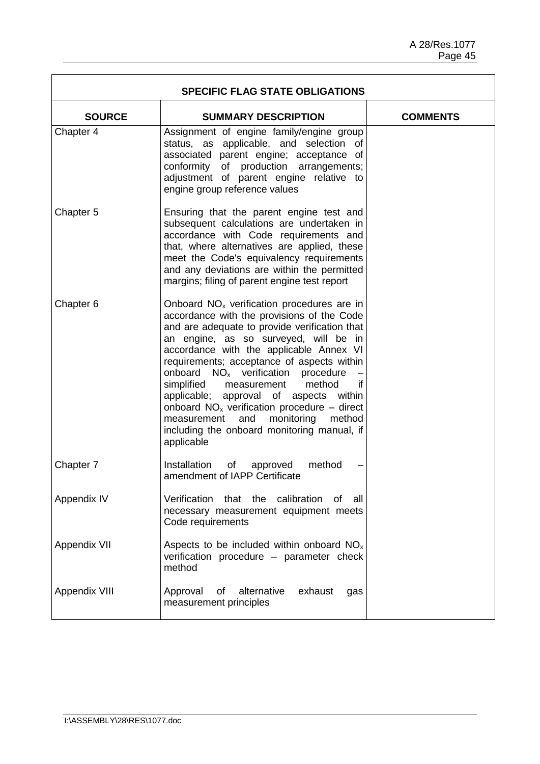| <b>SPECIFIC FLAG STATE OBLIGATIONS</b> |                                                                                                                                                                                                                                                                                                                                                                                                                                                                                                                                                                                              |                 |
|----------------------------------------|----------------------------------------------------------------------------------------------------------------------------------------------------------------------------------------------------------------------------------------------------------------------------------------------------------------------------------------------------------------------------------------------------------------------------------------------------------------------------------------------------------------------------------------------------------------------------------------------|-----------------|
| <b>SOURCE</b>                          | <b>SUMMARY DESCRIPTION</b>                                                                                                                                                                                                                                                                                                                                                                                                                                                                                                                                                                   | <b>COMMENTS</b> |
| Chapter 4                              | Assignment of engine family/engine group<br>status, as applicable, and selection of<br>associated parent engine; acceptance of<br>conformity of production arrangements;<br>adjustment of parent engine relative to<br>engine group reference values                                                                                                                                                                                                                                                                                                                                         |                 |
| Chapter 5                              | Ensuring that the parent engine test and<br>subsequent calculations are undertaken in<br>accordance with Code requirements and<br>that, where alternatives are applied, these<br>meet the Code's equivalency requirements<br>and any deviations are within the permitted<br>margins; filing of parent engine test report                                                                                                                                                                                                                                                                     |                 |
| Chapter 6                              | Onboard NO <sub>x</sub> verification procedures are in<br>accordance with the provisions of the Code<br>and are adequate to provide verification that<br>an engine, as so surveyed, will be in<br>accordance with the applicable Annex VI<br>requirements; acceptance of aspects within<br>onboard NO <sub>x</sub> verification procedure<br>simplified<br>method<br>if<br>measurement<br>applicable; approval of aspects within<br>onboard $NOx$ verification procedure – direct<br>monitoring<br>and<br>method<br>measurement<br>including the onboard monitoring manual, if<br>applicable |                 |
| Chapter 7                              | method<br>Installation<br>of<br>approved<br>amendment of IAPP Certificate                                                                                                                                                                                                                                                                                                                                                                                                                                                                                                                    |                 |
| Appendix IV                            | Verification<br>that the<br>calibration<br>of<br>all a<br>necessary measurement equipment meets<br>Code requirements                                                                                                                                                                                                                                                                                                                                                                                                                                                                         |                 |
| Appendix VII                           | Aspects to be included within onboard $NOx$<br>verification procedure - parameter check<br>method                                                                                                                                                                                                                                                                                                                                                                                                                                                                                            |                 |
| Appendix VIII                          | alternative<br>exhaust<br>Approval<br>of<br>gas<br>measurement principles                                                                                                                                                                                                                                                                                                                                                                                                                                                                                                                    |                 |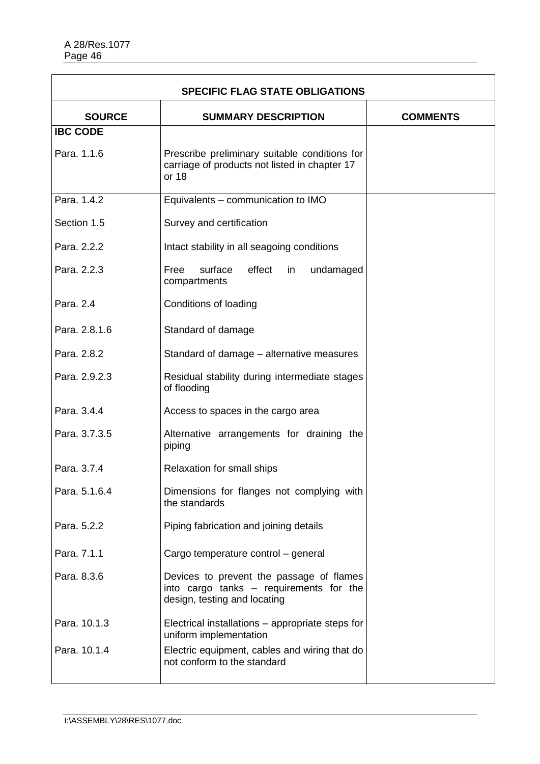| <b>SPECIFIC FLAG STATE OBLIGATIONS</b> |                                                                                                                     |                 |
|----------------------------------------|---------------------------------------------------------------------------------------------------------------------|-----------------|
| <b>SOURCE</b>                          | <b>SUMMARY DESCRIPTION</b>                                                                                          | <b>COMMENTS</b> |
| <b>IBC CODE</b>                        |                                                                                                                     |                 |
| Para. 1.1.6                            | Prescribe preliminary suitable conditions for<br>carriage of products not listed in chapter 17<br>or 18             |                 |
| Para, 1.4.2                            | Equivalents - communication to IMO                                                                                  |                 |
| Section 1.5                            | Survey and certification                                                                                            |                 |
| Para. 2.2.2                            | Intact stability in all seagoing conditions                                                                         |                 |
| Para, 2.2.3                            | surface<br>effect<br>Free<br>in<br>undamaged<br>compartments                                                        |                 |
| Para, 2.4                              | Conditions of loading                                                                                               |                 |
| Para. 2.8.1.6                          | Standard of damage                                                                                                  |                 |
| Para. 2.8.2                            | Standard of damage – alternative measures                                                                           |                 |
| Para. 2.9.2.3                          | Residual stability during intermediate stages<br>of flooding                                                        |                 |
| Para, 3.4.4                            | Access to spaces in the cargo area                                                                                  |                 |
| Para. 3.7.3.5                          | Alternative arrangements for draining the<br>piping                                                                 |                 |
| Para, 3.7.4                            | Relaxation for small ships                                                                                          |                 |
| Para. 5.1.6.4                          | Dimensions for flanges not complying with<br>the standards                                                          |                 |
| Para, 5.2.2                            | Piping fabrication and joining details                                                                              |                 |
| Para. 7.1.1                            | Cargo temperature control - general                                                                                 |                 |
| Para. 8.3.6                            | Devices to prevent the passage of flames<br>into cargo tanks - requirements for the<br>design, testing and locating |                 |
| Para. 10.1.3                           | Electrical installations – appropriate steps for<br>uniform implementation                                          |                 |
| Para, 10.1.4                           | Electric equipment, cables and wiring that do<br>not conform to the standard                                        |                 |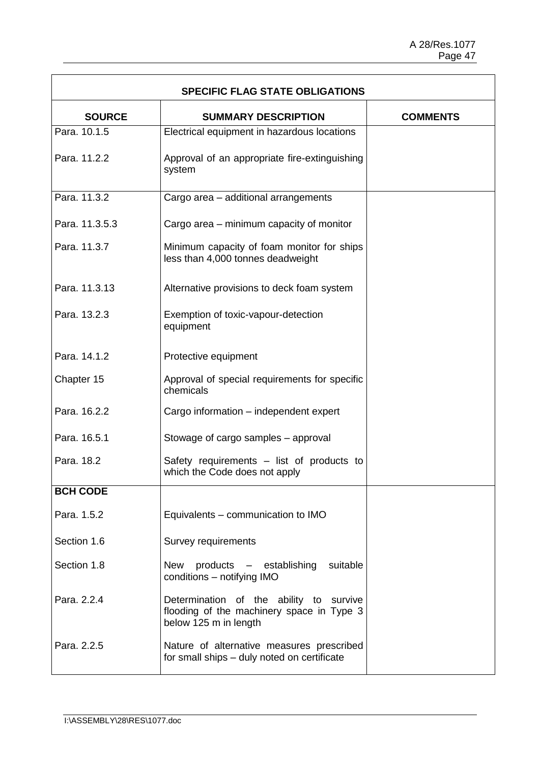T.

| <b>SPECIFIC FLAG STATE OBLIGATIONS</b> |                                                                                                               |                 |
|----------------------------------------|---------------------------------------------------------------------------------------------------------------|-----------------|
| <b>SOURCE</b>                          | <b>SUMMARY DESCRIPTION</b>                                                                                    | <b>COMMENTS</b> |
| Para, 10.1.5                           | Electrical equipment in hazardous locations                                                                   |                 |
| Para. 11.2.2                           | Approval of an appropriate fire-extinguishing<br>system                                                       |                 |
| Para. 11.3.2                           | Cargo area - additional arrangements                                                                          |                 |
| Para. 11.3.5.3                         | Cargo area – minimum capacity of monitor                                                                      |                 |
| Para. 11.3.7                           | Minimum capacity of foam monitor for ships<br>less than 4,000 tonnes deadweight                               |                 |
| Para. 11.3.13                          | Alternative provisions to deck foam system                                                                    |                 |
| Para, 13.2.3                           | Exemption of toxic-vapour-detection<br>equipment                                                              |                 |
| Para. 14.1.2                           | Protective equipment                                                                                          |                 |
| Chapter 15                             | Approval of special requirements for specific<br>chemicals                                                    |                 |
| Para. 16.2.2                           | Cargo information - independent expert                                                                        |                 |
| Para, 16.5.1                           | Stowage of cargo samples - approval                                                                           |                 |
| Para. 18.2                             | Safety requirements - list of products to<br>which the Code does not apply                                    |                 |
| <b>BCH CODE</b>                        |                                                                                                               |                 |
| Para, 1.5.2                            | Equivalents – communication to IMO                                                                            |                 |
| Section 1.6                            | Survey requirements                                                                                           |                 |
| Section 1.8                            | New products - establishing suitable<br>conditions - notifying IMO                                            |                 |
| Para, 2.2.4                            | Determination of the ability to survive<br>flooding of the machinery space in Type 3<br>below 125 m in length |                 |
| Para, 2.2.5                            | Nature of alternative measures prescribed<br>for small ships - duly noted on certificate                      |                 |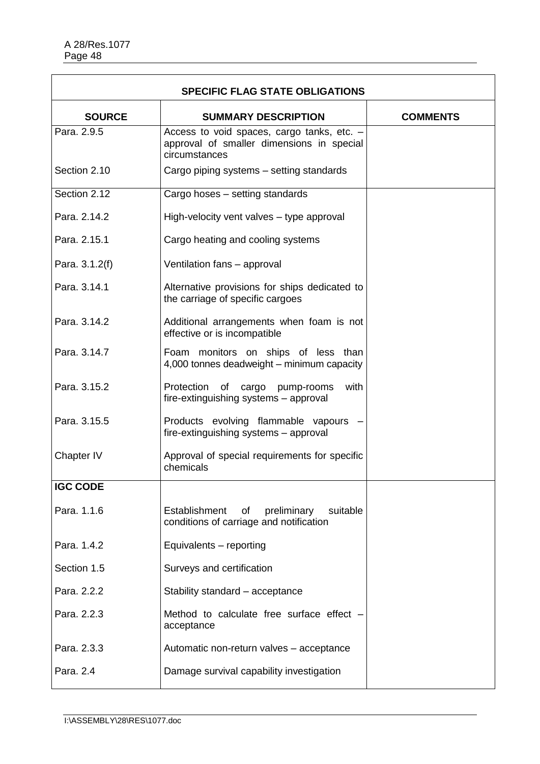| <b>SPECIFIC FLAG STATE OBLIGATIONS</b> |                                                                                                          |                 |
|----------------------------------------|----------------------------------------------------------------------------------------------------------|-----------------|
| <b>SOURCE</b>                          | <b>SUMMARY DESCRIPTION</b>                                                                               | <b>COMMENTS</b> |
| Para, 2.9.5                            | Access to void spaces, cargo tanks, etc. -<br>approval of smaller dimensions in special<br>circumstances |                 |
| Section 2.10                           | Cargo piping systems – setting standards                                                                 |                 |
| Section 2.12                           | Cargo hoses - setting standards                                                                          |                 |
| Para, 2.14.2                           | High-velocity vent valves - type approval                                                                |                 |
| Para. 2.15.1                           | Cargo heating and cooling systems                                                                        |                 |
| Para. 3.1.2(f)                         | Ventilation fans - approval                                                                              |                 |
| Para, 3.14.1                           | Alternative provisions for ships dedicated to<br>the carriage of specific cargoes                        |                 |
| Para, 3.14.2                           | Additional arrangements when foam is not<br>effective or is incompatible                                 |                 |
| Para, 3.14.7                           | Foam monitors on ships of less than<br>4,000 tonnes deadweight - minimum capacity                        |                 |
| Para, 3.15.2                           | Protection of cargo pump-rooms<br>with<br>fire-extinguishing systems - approval                          |                 |
| Para, 3.15.5                           | Products evolving flammable vapours<br>fire-extinguishing systems - approval                             |                 |
| Chapter IV                             | Approval of special requirements for specific<br>chemicals                                               |                 |
| <b>IGC CODE</b>                        |                                                                                                          |                 |
| Para. 1.1.6                            | Establishment<br>preliminary<br>suitable<br>of<br>conditions of carriage and notification                |                 |
| Para. 1.4.2                            | Equivalents - reporting                                                                                  |                 |
| Section 1.5                            | Surveys and certification                                                                                |                 |
| Para. 2.2.2                            | Stability standard - acceptance                                                                          |                 |
| Para. 2.2.3                            | Method to calculate free surface effect -<br>acceptance                                                  |                 |
| Para. 2.3.3                            | Automatic non-return valves - acceptance                                                                 |                 |
| Para. 2.4                              | Damage survival capability investigation                                                                 |                 |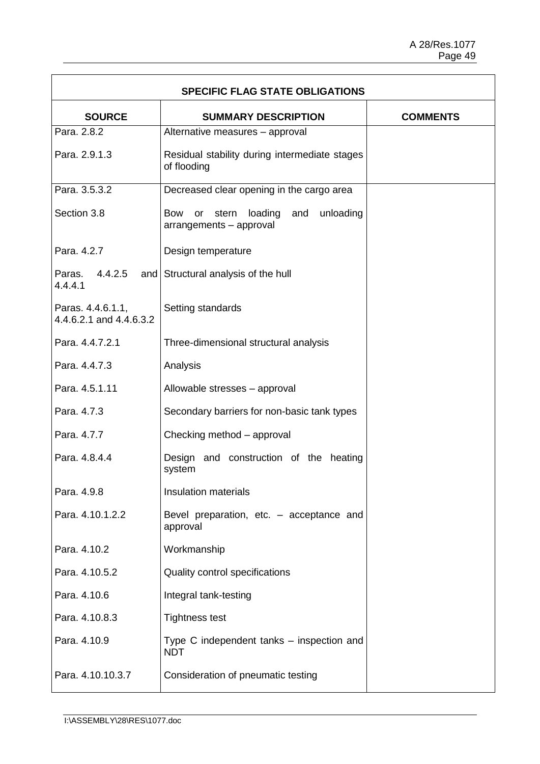$\overline{\mathbf{1}}$ 

| <b>SPECIFIC FLAG STATE OBLIGATIONS</b>       |                                                                                     |                 |
|----------------------------------------------|-------------------------------------------------------------------------------------|-----------------|
| <b>SOURCE</b>                                | <b>SUMMARY DESCRIPTION</b>                                                          | <b>COMMENTS</b> |
| Para, 2.8.2                                  | Alternative measures - approval                                                     |                 |
| Para. 2.9.1.3                                | Residual stability during intermediate stages<br>of flooding                        |                 |
| Para. 3.5.3.2                                | Decreased clear opening in the cargo area                                           |                 |
| Section 3.8                                  | loading<br>and<br>unloading<br><b>Bow</b><br>stern<br>or<br>arrangements - approval |                 |
| Para, 4.2.7                                  | Design temperature                                                                  |                 |
| 4.4.2.5<br>Paras.<br>4.4.4.1                 | and Structural analysis of the hull                                                 |                 |
| Paras. 4.4.6.1.1,<br>4.4.6.2.1 and 4.4.6.3.2 | Setting standards                                                                   |                 |
| Para, 4.4.7.2.1                              | Three-dimensional structural analysis                                               |                 |
| Para. 4.4.7.3                                | Analysis                                                                            |                 |
| Para. 4.5.1.11                               | Allowable stresses - approval                                                       |                 |
| Para. 4.7.3                                  | Secondary barriers for non-basic tank types                                         |                 |
| Para. 4.7.7                                  | Checking method - approval                                                          |                 |
| Para, 4.8.4.4                                | Design and construction of the<br>heating<br>system                                 |                 |
| Para. 4.9.8                                  | Insulation materials                                                                |                 |
| Para. 4.10.1.2.2                             | Bevel preparation, etc. - acceptance and<br>approval                                |                 |
| Para. 4.10.2                                 | Workmanship                                                                         |                 |
| Para. 4.10.5.2                               | Quality control specifications                                                      |                 |
| Para. 4.10.6                                 | Integral tank-testing                                                               |                 |
| Para. 4.10.8.3                               | <b>Tightness test</b>                                                               |                 |
| Para. 4.10.9                                 | Type C independent tanks – inspection and<br><b>NDT</b>                             |                 |
| Para. 4.10.10.3.7                            | Consideration of pneumatic testing                                                  |                 |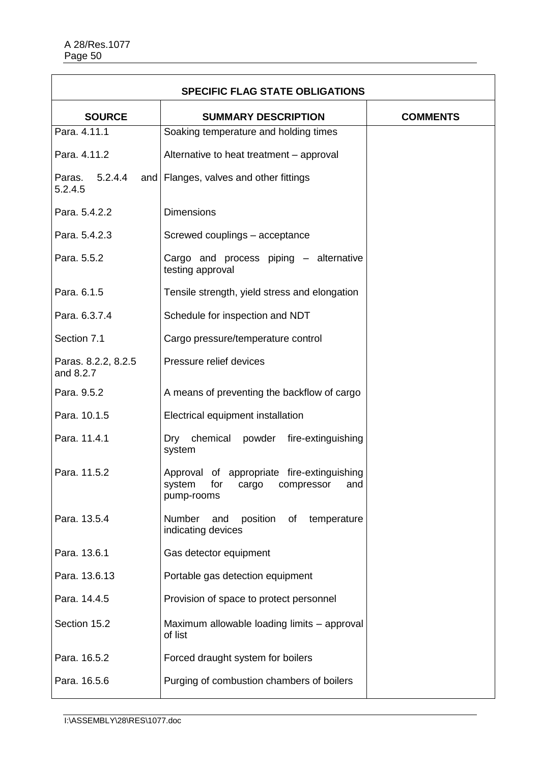| <b>SPECIFIC FLAG STATE OBLIGATIONS</b> |                                                                                                |                 |
|----------------------------------------|------------------------------------------------------------------------------------------------|-----------------|
| <b>SOURCE</b>                          | <b>SUMMARY DESCRIPTION</b>                                                                     | <b>COMMENTS</b> |
| Para. 4.11.1                           | Soaking temperature and holding times                                                          |                 |
| Para. 4.11.2                           | Alternative to heat treatment - approval                                                       |                 |
| 5.2.4.4<br>Paras.<br>5.2.4.5           | and   Flanges, valves and other fittings                                                       |                 |
| Para. 5.4.2.2                          | <b>Dimensions</b>                                                                              |                 |
| Para. 5.4.2.3                          | Screwed couplings - acceptance                                                                 |                 |
| Para. 5.5.2                            | Cargo and process piping - alternative<br>testing approval                                     |                 |
| Para. 6.1.5                            | Tensile strength, yield stress and elongation                                                  |                 |
| Para. 6.3.7.4                          | Schedule for inspection and NDT                                                                |                 |
| Section 7.1                            | Cargo pressure/temperature control                                                             |                 |
| Paras. 8.2.2, 8.2.5<br>and 8.2.7       | Pressure relief devices                                                                        |                 |
| Para. 9.5.2                            | A means of preventing the backflow of cargo                                                    |                 |
| Para. 10.1.5                           | Electrical equipment installation                                                              |                 |
| Para. 11.4.1                           | chemical powder<br>fire-extinguishing<br>Dry<br>system                                         |                 |
| Para. 11.5.2                           | Approval of appropriate fire-extinguishing<br>system for cargo compressor<br>and<br>pump-rooms |                 |
| Para. 13.5.4                           | position<br>Number<br>and<br>temperature<br>of<br>indicating devices                           |                 |
| Para, 13.6.1                           | Gas detector equipment                                                                         |                 |
| Para. 13.6.13                          | Portable gas detection equipment                                                               |                 |
| Para. 14.4.5                           | Provision of space to protect personnel                                                        |                 |
| Section 15.2                           | Maximum allowable loading limits - approval<br>of list                                         |                 |
| Para. 16.5.2                           | Forced draught system for boilers                                                              |                 |
| Para. 16.5.6                           | Purging of combustion chambers of boilers                                                      |                 |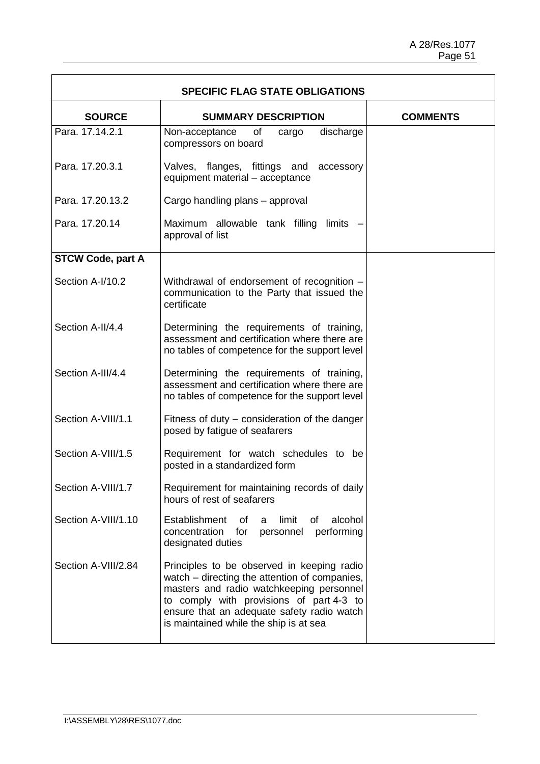$\overline{1}$ 

| <b>SPECIFIC FLAG STATE OBLIGATIONS</b> |                                                                                                                                                                                                                                                                             |                 |
|----------------------------------------|-----------------------------------------------------------------------------------------------------------------------------------------------------------------------------------------------------------------------------------------------------------------------------|-----------------|
| <b>SOURCE</b>                          | <b>SUMMARY DESCRIPTION</b>                                                                                                                                                                                                                                                  | <b>COMMENTS</b> |
| Para, 17.14.2.1                        | of<br>discharge<br>Non-acceptance<br>cargo<br>compressors on board                                                                                                                                                                                                          |                 |
| Para, 17, 20, 3, 1                     | Valves, flanges, fittings and<br>accessory<br>equipment material - acceptance                                                                                                                                                                                               |                 |
| Para, 17.20.13.2                       | Cargo handling plans - approval                                                                                                                                                                                                                                             |                 |
| Para, 17,20,14                         | Maximum allowable tank filling limits -<br>approval of list                                                                                                                                                                                                                 |                 |
| <b>STCW Code, part A</b>               |                                                                                                                                                                                                                                                                             |                 |
| Section A-I/10.2                       | Withdrawal of endorsement of recognition -<br>communication to the Party that issued the<br>certificate                                                                                                                                                                     |                 |
| Section A-II/4.4                       | Determining the requirements of training,<br>assessment and certification where there are<br>no tables of competence for the support level                                                                                                                                  |                 |
| Section A-III/4.4                      | Determining the requirements of training,<br>assessment and certification where there are<br>no tables of competence for the support level                                                                                                                                  |                 |
| Section A-VIII/1.1                     | Fitness of duty – consideration of the danger<br>posed by fatigue of seafarers                                                                                                                                                                                              |                 |
| Section A-VIII/1.5                     | Requirement for watch schedules to be<br>posted in a standardized form                                                                                                                                                                                                      |                 |
| Section A-VIII/1.7                     | Requirement for maintaining records of daily<br>hours of rest of seafarers                                                                                                                                                                                                  |                 |
| Section A-VIII/1.10                    | Establishment<br>alcohol<br>of<br>limit<br>οf<br>a<br>performing<br>concentration<br>for<br>personnel<br>designated duties                                                                                                                                                  |                 |
| Section A-VIII/2.84                    | Principles to be observed in keeping radio<br>watch - directing the attention of companies,<br>masters and radio watchkeeping personnel<br>to comply with provisions of part 4-3 to<br>ensure that an adequate safety radio watch<br>is maintained while the ship is at sea |                 |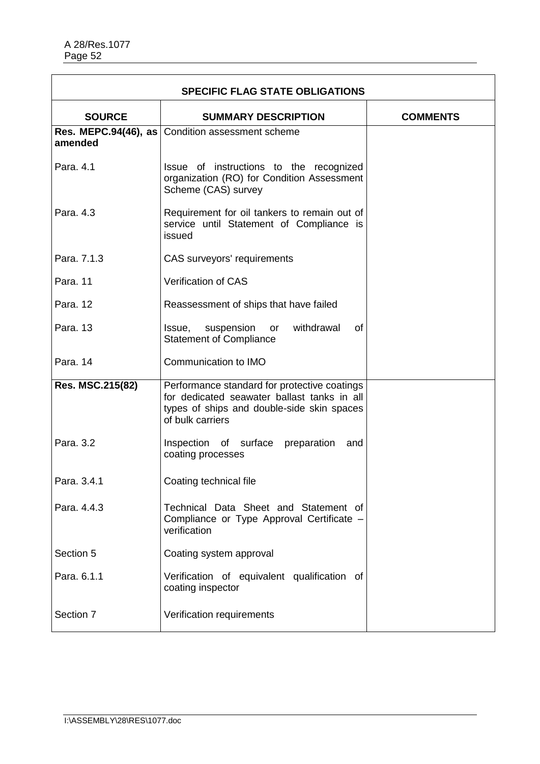| <b>SPECIFIC FLAG STATE OBLIGATIONS</b> |                                                                                                                                                               |  |  |  |
|----------------------------------------|---------------------------------------------------------------------------------------------------------------------------------------------------------------|--|--|--|
| <b>SOURCE</b>                          | <b>COMMENTS</b>                                                                                                                                               |  |  |  |
| amended                                | <b>Res. MEPC.94(46), as Condition assessment scheme</b>                                                                                                       |  |  |  |
| Para, 4.1                              | Issue of instructions to the recognized<br>organization (RO) for Condition Assessment<br>Scheme (CAS) survey                                                  |  |  |  |
| Para, 4.3                              | Requirement for oil tankers to remain out of<br>service until Statement of Compliance is<br>issued                                                            |  |  |  |
| Para, 7.1.3                            | CAS surveyors' requirements                                                                                                                                   |  |  |  |
| Para. 11                               | <b>Verification of CAS</b>                                                                                                                                    |  |  |  |
| Para, 12                               | Reassessment of ships that have failed                                                                                                                        |  |  |  |
| Para. 13                               | suspension<br>withdrawal<br>0f<br>Issue,<br>or<br><b>Statement of Compliance</b>                                                                              |  |  |  |
| Para. 14                               | Communication to IMO                                                                                                                                          |  |  |  |
| Res. MSC.215(82)                       | Performance standard for protective coatings<br>for dedicated seawater ballast tanks in all<br>types of ships and double-side skin spaces<br>of bulk carriers |  |  |  |
| Para, 3.2                              | Inspection of surface preparation<br>and<br>coating processes                                                                                                 |  |  |  |
| Para, 3.4.1                            | Coating technical file                                                                                                                                        |  |  |  |
| Para, 4.4.3                            | Technical Data Sheet and Statement of<br>Compliance or Type Approval Certificate -<br>verification                                                            |  |  |  |
| Section 5                              | Coating system approval                                                                                                                                       |  |  |  |
| Para, 6.1.1                            | Verification of equivalent qualification of<br>coating inspector                                                                                              |  |  |  |
| Section 7                              | Verification requirements                                                                                                                                     |  |  |  |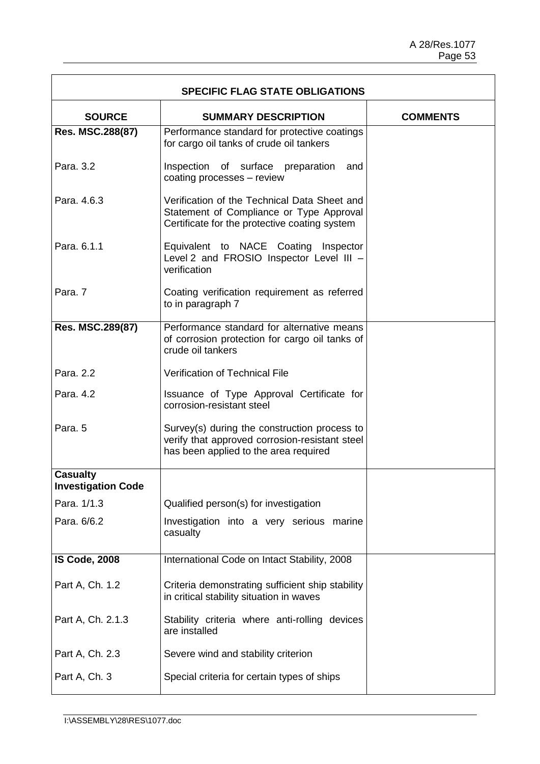$\overline{\mathbf{1}}$ 

| <b>SPECIFIC FLAG STATE OBLIGATIONS</b>                         |                                                                                                                                           |  |  |  |  |  |
|----------------------------------------------------------------|-------------------------------------------------------------------------------------------------------------------------------------------|--|--|--|--|--|
| <b>SOURCE</b><br><b>SUMMARY DESCRIPTION</b><br><b>COMMENTS</b> |                                                                                                                                           |  |  |  |  |  |
| Res. MSC.288(87)                                               | Performance standard for protective coatings<br>for cargo oil tanks of crude oil tankers                                                  |  |  |  |  |  |
| Para. 3.2                                                      | Inspection of surface preparation<br>and<br>coating processes - review                                                                    |  |  |  |  |  |
| Para, 4.6.3                                                    | Verification of the Technical Data Sheet and<br>Statement of Compliance or Type Approval<br>Certificate for the protective coating system |  |  |  |  |  |
| Para, 6.1.1                                                    | Equivalent to NACE Coating Inspector<br>Level 2 and FROSIO Inspector Level III -<br>verification                                          |  |  |  |  |  |
| Para, 7                                                        | Coating verification requirement as referred<br>to in paragraph 7                                                                         |  |  |  |  |  |
| Res. MSC.289(87)                                               | Performance standard for alternative means<br>of corrosion protection for cargo oil tanks of<br>crude oil tankers                         |  |  |  |  |  |
| Para, 2.2                                                      | <b>Verification of Technical File</b>                                                                                                     |  |  |  |  |  |
| Para, 4.2                                                      | Issuance of Type Approval Certificate for<br>corrosion-resistant steel                                                                    |  |  |  |  |  |
| Para, 5                                                        | Survey(s) during the construction process to<br>verify that approved corrosion-resistant steel<br>has been applied to the area required   |  |  |  |  |  |
| <b>Casualty</b><br><b>Investigation Code</b>                   |                                                                                                                                           |  |  |  |  |  |
| Para. 1/1.3                                                    | Qualified person(s) for investigation                                                                                                     |  |  |  |  |  |
| Para. 6/6.2                                                    | Investigation into a very serious marine<br>casualty                                                                                      |  |  |  |  |  |
| <b>IS Code, 2008</b>                                           | International Code on Intact Stability, 2008                                                                                              |  |  |  |  |  |
| Part A, Ch. 1.2                                                | Criteria demonstrating sufficient ship stability<br>in critical stability situation in waves                                              |  |  |  |  |  |
| Part A, Ch. 2.1.3                                              | Stability criteria where anti-rolling devices<br>are installed                                                                            |  |  |  |  |  |
| Part A, Ch. 2.3                                                | Severe wind and stability criterion                                                                                                       |  |  |  |  |  |
| Part A, Ch. 3                                                  | Special criteria for certain types of ships                                                                                               |  |  |  |  |  |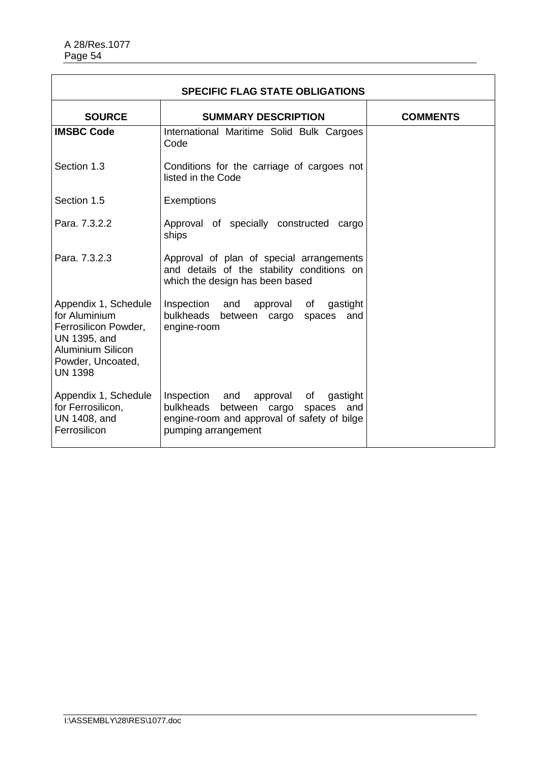| <b>SPECIFIC FLAG STATE OBLIGATIONS</b>                                                                                                           |                                                                                                                                                             |  |  |  |
|--------------------------------------------------------------------------------------------------------------------------------------------------|-------------------------------------------------------------------------------------------------------------------------------------------------------------|--|--|--|
| <b>SOURCE</b>                                                                                                                                    | <b>COMMENTS</b>                                                                                                                                             |  |  |  |
| <b>IMSBC Code</b>                                                                                                                                | International Maritime Solid Bulk Cargoes<br>Code                                                                                                           |  |  |  |
| Section 1.3                                                                                                                                      | Conditions for the carriage of cargoes not<br>listed in the Code                                                                                            |  |  |  |
| Section 1.5                                                                                                                                      | Exemptions                                                                                                                                                  |  |  |  |
| Para, 7.3.2.2                                                                                                                                    | Approval of specially constructed cargo<br>ships                                                                                                            |  |  |  |
| Para, 7.3.2.3                                                                                                                                    | Approval of plan of special arrangements<br>and details of the stability conditions on<br>which the design has been based                                   |  |  |  |
| Appendix 1, Schedule<br>for Aluminium<br>Ferrosilicon Powder,<br>UN 1395, and<br><b>Aluminium Silicon</b><br>Powder, Uncoated,<br><b>UN 1398</b> | Inspection and<br>approval of<br>gastight<br>bulkheads<br>between cargo spaces<br>and<br>engine-room                                                        |  |  |  |
| Appendix 1, Schedule<br>for Ferrosilicon,<br>UN 1408, and<br>Ferrosilicon                                                                        | Inspection and<br>approval of<br>gastight<br>bulkheads<br>between cargo spaces<br>and<br>engine-room and approval of safety of bilge<br>pumping arrangement |  |  |  |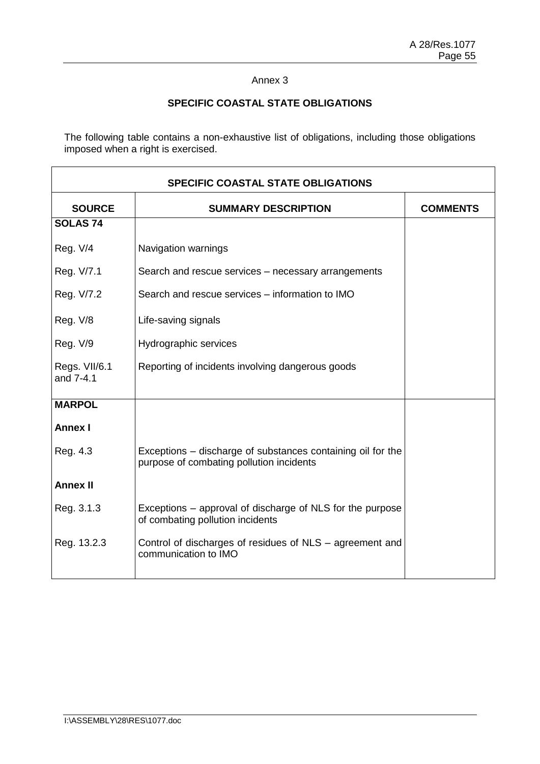# **SPECIFIC COASTAL STATE OBLIGATIONS**

The following table contains a non-exhaustive list of obligations, including those obligations imposed when a right is exercised.

| <b>SPECIFIC COASTAL STATE OBLIGATIONS</b> |                                                                                                         |  |  |
|-------------------------------------------|---------------------------------------------------------------------------------------------------------|--|--|
| <b>SOURCE</b>                             | <b>COMMENTS</b>                                                                                         |  |  |
| <b>SOLAS 74</b>                           |                                                                                                         |  |  |
| <b>Reg. V/4</b>                           | Navigation warnings                                                                                     |  |  |
| Reg. V/7.1                                | Search and rescue services - necessary arrangements                                                     |  |  |
| Reg. V/7.2                                | Search and rescue services – information to IMO                                                         |  |  |
| <b>Reg. V/8</b>                           | Life-saving signals                                                                                     |  |  |
| Reg. V/9                                  | Hydrographic services                                                                                   |  |  |
| Regs. VII/6.1<br>and 7-4.1                | Reporting of incidents involving dangerous goods                                                        |  |  |
| <b>MARPOL</b>                             |                                                                                                         |  |  |
| <b>Annex I</b>                            |                                                                                                         |  |  |
| Reg. 4.3                                  | Exceptions – discharge of substances containing oil for the<br>purpose of combating pollution incidents |  |  |
| <b>Annex II</b>                           |                                                                                                         |  |  |
| Reg. 3.1.3                                | Exceptions – approval of discharge of NLS for the purpose<br>of combating pollution incidents           |  |  |
| Reg. 13.2.3                               | Control of discharges of residues of NLS – agreement and<br>communication to IMO                        |  |  |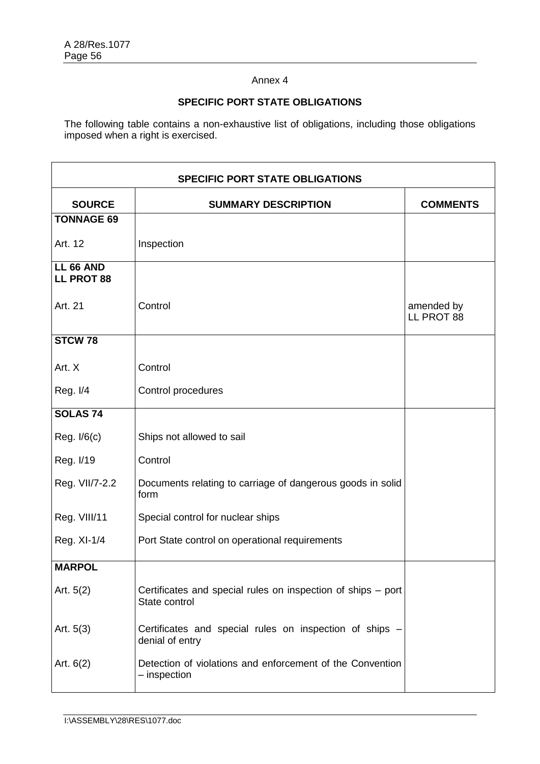# **SPECIFIC PORT STATE OBLIGATIONS**

The following table contains a non-exhaustive list of obligations, including those obligations imposed when a right is exercised.

| <b>SPECIFIC PORT STATE OBLIGATIONS</b> |                                                                               |                          |  |  |  |
|----------------------------------------|-------------------------------------------------------------------------------|--------------------------|--|--|--|
| <b>SOURCE</b>                          | <b>SUMMARY DESCRIPTION</b>                                                    |                          |  |  |  |
| <b>TONNAGE 69</b>                      |                                                                               |                          |  |  |  |
| Art. 12                                | Inspection                                                                    |                          |  |  |  |
| <b>LL 66 AND</b><br><b>LL PROT 88</b>  |                                                                               |                          |  |  |  |
| Art. 21                                | Control                                                                       | amended by<br>LL PROT 88 |  |  |  |
| STCW <sub>78</sub>                     |                                                                               |                          |  |  |  |
| Art. X                                 | Control                                                                       |                          |  |  |  |
| Reg. I/4                               | Control procedures                                                            |                          |  |  |  |
| <b>SOLAS 74</b>                        |                                                                               |                          |  |  |  |
| Reg. I/6(c)                            | Ships not allowed to sail                                                     |                          |  |  |  |
| Reg. I/19                              | Control                                                                       |                          |  |  |  |
| Reg. VII/7-2.2                         | Documents relating to carriage of dangerous goods in solid<br>form            |                          |  |  |  |
| Reg. VIII/11                           | Special control for nuclear ships                                             |                          |  |  |  |
| Reg. XI-1/4                            | Port State control on operational requirements                                |                          |  |  |  |
| <b>MARPOL</b>                          |                                                                               |                          |  |  |  |
| Art. $5(2)$                            | Certificates and special rules on inspection of ships - port<br>State control |                          |  |  |  |
| Art. $5(3)$                            | Certificates and special rules on inspection of ships -<br>denial of entry    |                          |  |  |  |
| Art. $6(2)$                            | Detection of violations and enforcement of the Convention<br>- inspection     |                          |  |  |  |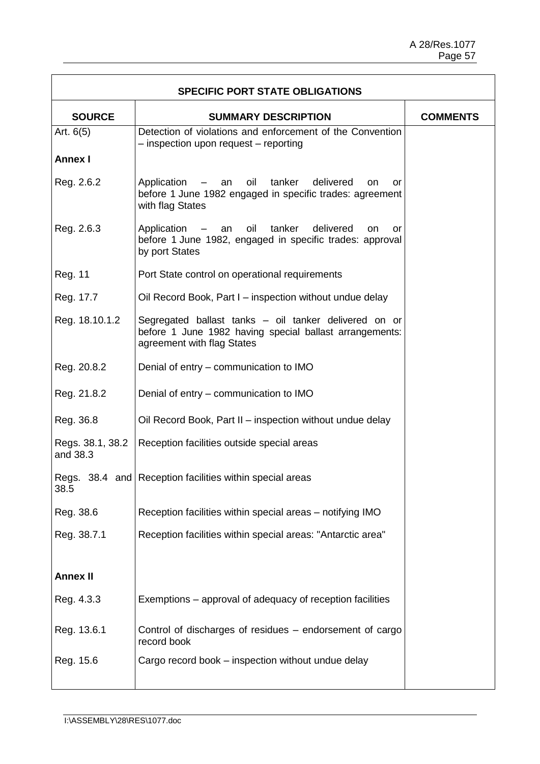| <b>SPECIFIC PORT STATE OBLIGATIONS</b> |                                                                                                                                                 |                 |  |  |
|----------------------------------------|-------------------------------------------------------------------------------------------------------------------------------------------------|-----------------|--|--|
| <b>SOURCE</b>                          | <b>SUMMARY DESCRIPTION</b>                                                                                                                      | <b>COMMENTS</b> |  |  |
| Art. $6(5)$                            | Detection of violations and enforcement of the Convention<br>- inspection upon request - reporting                                              |                 |  |  |
| <b>Annex I</b>                         |                                                                                                                                                 |                 |  |  |
| Reg. 2.6.2                             | oil<br>tanker<br>delivered<br>Application – an<br>on<br>or<br>before 1 June 1982 engaged in specific trades: agreement<br>with flag States      |                 |  |  |
| Reg. 2.6.3                             | oil<br>tanker<br>delivered<br>Application – an<br><b>on</b><br>or<br>before 1 June 1982, engaged in specific trades: approval<br>by port States |                 |  |  |
| Reg. 11                                | Port State control on operational requirements                                                                                                  |                 |  |  |
| Reg. 17.7                              | Oil Record Book, Part I – inspection without undue delay                                                                                        |                 |  |  |
| Reg. 18.10.1.2                         | Segregated ballast tanks - oil tanker delivered on or<br>before 1 June 1982 having special ballast arrangements:<br>agreement with flag States  |                 |  |  |
| Reg. 20.8.2                            | Denial of entry – communication to IMO                                                                                                          |                 |  |  |
| Reg. 21.8.2                            | Denial of entry – communication to IMO                                                                                                          |                 |  |  |
| Reg. 36.8                              | Oil Record Book, Part II - inspection without undue delay                                                                                       |                 |  |  |
| Regs. 38.1, 38.2<br>and 38.3           | Reception facilities outside special areas                                                                                                      |                 |  |  |
| 38.5                                   | Regs. 38.4 and Reception facilities within special areas                                                                                        |                 |  |  |
| Reg. 38.6                              | Reception facilities within special areas - notifying IMO                                                                                       |                 |  |  |
| Reg. 38.7.1                            | Reception facilities within special areas: "Antarctic area"                                                                                     |                 |  |  |
| <b>Annex II</b>                        |                                                                                                                                                 |                 |  |  |
| Reg. 4.3.3                             | Exemptions – approval of adequacy of reception facilities                                                                                       |                 |  |  |
| Reg. 13.6.1                            | Control of discharges of residues – endorsement of cargo<br>record book                                                                         |                 |  |  |
| Reg. 15.6                              | Cargo record book – inspection without undue delay                                                                                              |                 |  |  |

 $\mathsf{r}$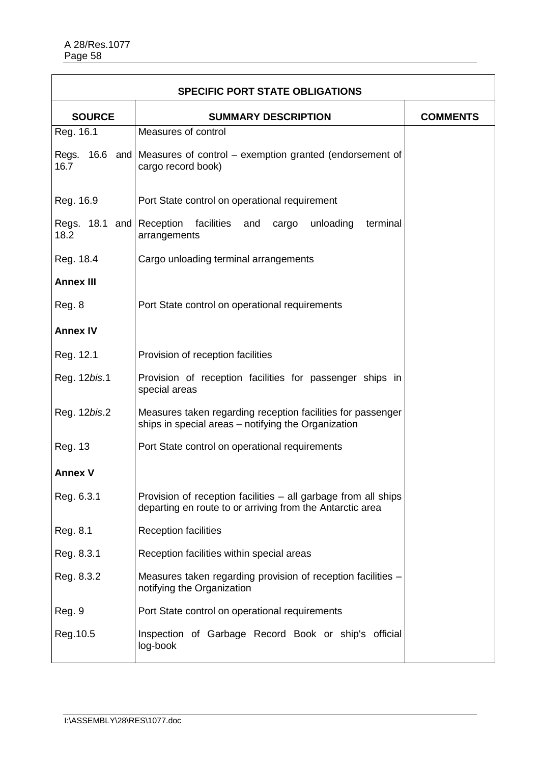| <b>SPECIFIC PORT STATE OBLIGATIONS</b> |                                                                                                                             |                 |  |  |
|----------------------------------------|-----------------------------------------------------------------------------------------------------------------------------|-----------------|--|--|
| <b>SOURCE</b>                          | <b>SUMMARY DESCRIPTION</b>                                                                                                  | <b>COMMENTS</b> |  |  |
| Reg. 16.1                              | Measures of control                                                                                                         |                 |  |  |
| 16.7                                   | Regs. 16.6 and Measures of control – exemption granted (endorsement of<br>cargo record book)                                |                 |  |  |
| Reg. 16.9                              | Port State control on operational requirement                                                                               |                 |  |  |
| Regs. 18.1 and Reception<br>18.2       | facilities<br>unloading<br>terminal<br>and<br>cargo<br>arrangements                                                         |                 |  |  |
| Reg. 18.4                              | Cargo unloading terminal arrangements                                                                                       |                 |  |  |
| <b>Annex III</b>                       |                                                                                                                             |                 |  |  |
| Reg. 8                                 | Port State control on operational requirements                                                                              |                 |  |  |
| <b>Annex IV</b>                        |                                                                                                                             |                 |  |  |
| Reg. 12.1                              | Provision of reception facilities                                                                                           |                 |  |  |
| Reg. 12bis.1                           | Provision of reception facilities for passenger ships in<br>special areas                                                   |                 |  |  |
| Reg. 12bis.2                           | Measures taken regarding reception facilities for passenger<br>ships in special areas – notifying the Organization          |                 |  |  |
| Reg. 13                                | Port State control on operational requirements                                                                              |                 |  |  |
| <b>Annex V</b>                         |                                                                                                                             |                 |  |  |
| Reg. 6.3.1                             | Provision of reception facilities – all garbage from all ships<br>departing en route to or arriving from the Antarctic area |                 |  |  |
| Reg. 8.1                               | <b>Reception facilities</b>                                                                                                 |                 |  |  |
| Reg. 8.3.1                             | Reception facilities within special areas                                                                                   |                 |  |  |
| Reg. 8.3.2                             | Measures taken regarding provision of reception facilities -<br>notifying the Organization                                  |                 |  |  |
| Reg. 9                                 | Port State control on operational requirements                                                                              |                 |  |  |
| Reg. 10.5                              | Inspection of Garbage Record Book or ship's official<br>log-book                                                            |                 |  |  |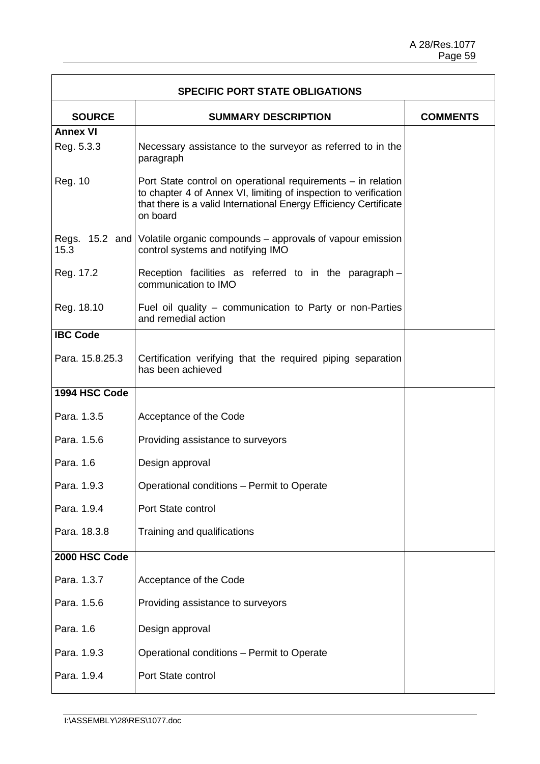| <b>SPECIFIC PORT STATE OBLIGATIONS</b> |                                                                                                                                                                                                                   |  |  |  |
|----------------------------------------|-------------------------------------------------------------------------------------------------------------------------------------------------------------------------------------------------------------------|--|--|--|
| <b>SOURCE</b>                          | <b>COMMENTS</b>                                                                                                                                                                                                   |  |  |  |
| <b>Annex VI</b>                        |                                                                                                                                                                                                                   |  |  |  |
| Reg. 5.3.3                             | Necessary assistance to the surveyor as referred to in the<br>paragraph                                                                                                                                           |  |  |  |
| Reg. 10                                | Port State control on operational requirements – in relation<br>to chapter 4 of Annex VI, limiting of inspection to verification<br>that there is a valid International Energy Efficiency Certificate<br>on board |  |  |  |
| 15.3                                   | Regs. 15.2 and Volatile organic compounds – approvals of vapour emission<br>control systems and notifying IMO                                                                                                     |  |  |  |
| Reg. 17.2                              | Reception facilities as referred to in the paragraph -<br>communication to IMO                                                                                                                                    |  |  |  |
| Reg. 18.10                             | Fuel oil quality – communication to Party or non-Parties<br>and remedial action                                                                                                                                   |  |  |  |
| <b>IBC Code</b>                        |                                                                                                                                                                                                                   |  |  |  |
| Para. 15.8.25.3                        | Certification verifying that the required piping separation<br>has been achieved                                                                                                                                  |  |  |  |
| 1994 HSC Code                          |                                                                                                                                                                                                                   |  |  |  |
| Para. 1.3.5                            | Acceptance of the Code                                                                                                                                                                                            |  |  |  |
| Para, 1.5.6                            | Providing assistance to surveyors                                                                                                                                                                                 |  |  |  |
| Para. 1.6                              | Design approval                                                                                                                                                                                                   |  |  |  |
| Para. 1.9.3                            | Operational conditions - Permit to Operate                                                                                                                                                                        |  |  |  |
| Para. 1.9.4                            | Port State control                                                                                                                                                                                                |  |  |  |
| Para. 18.3.8                           | Training and qualifications                                                                                                                                                                                       |  |  |  |
| 2000 HSC Code                          |                                                                                                                                                                                                                   |  |  |  |
| Para. 1.3.7                            | Acceptance of the Code                                                                                                                                                                                            |  |  |  |
| Para. 1.5.6                            | Providing assistance to surveyors                                                                                                                                                                                 |  |  |  |
| Para. 1.6                              | Design approval                                                                                                                                                                                                   |  |  |  |
| Para. 1.9.3                            | Operational conditions - Permit to Operate                                                                                                                                                                        |  |  |  |
| Para. 1.9.4                            | Port State control                                                                                                                                                                                                |  |  |  |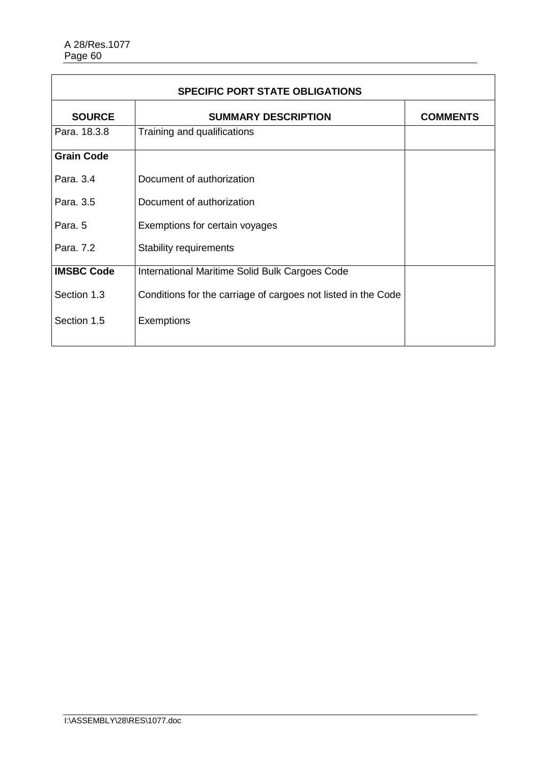| <b>SPECIFIC PORT STATE OBLIGATIONS</b> |                                                               |  |  |
|----------------------------------------|---------------------------------------------------------------|--|--|
| <b>SOURCE</b>                          | <b>COMMENTS</b>                                               |  |  |
| Para. 18.3.8                           | Training and qualifications                                   |  |  |
| <b>Grain Code</b>                      |                                                               |  |  |
| Para, 3.4                              | Document of authorization                                     |  |  |
| Para, 3.5                              | Document of authorization                                     |  |  |
| Para, 5                                | Exemptions for certain voyages                                |  |  |
| Para, 7.2                              | <b>Stability requirements</b>                                 |  |  |
| <b>IMSBC Code</b>                      | International Maritime Solid Bulk Cargoes Code                |  |  |
| Section 1.3                            | Conditions for the carriage of cargoes not listed in the Code |  |  |
| Section 1.5                            | Exemptions                                                    |  |  |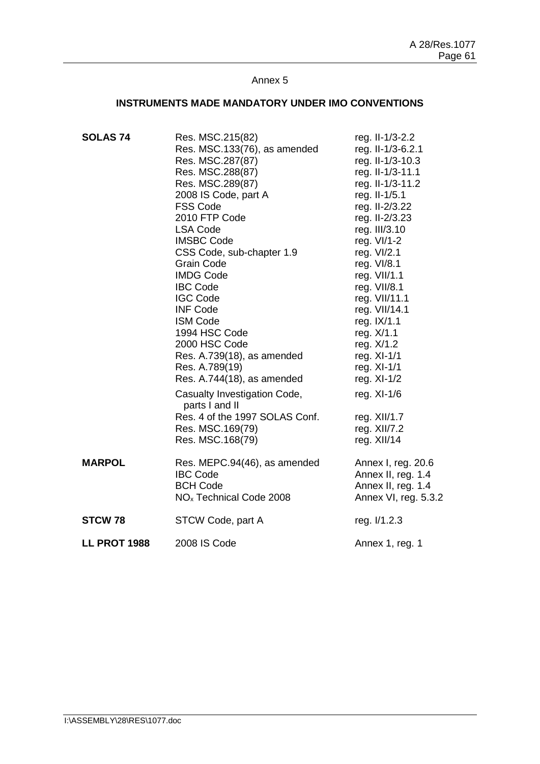### **INSTRUMENTS MADE MANDATORY UNDER IMO CONVENTIONS**

| <b>SOLAS 74</b><br><b>MARPOL</b> | Res. MSC.215(82)<br>Res. MSC.133(76), as amended<br>Res. MSC.287(87)<br>Res. MSC.288(87)<br>Res. MSC.289(87)<br>2008 IS Code, part A<br><b>FSS Code</b><br>2010 FTP Code<br><b>LSA Code</b><br><b>IMSBC Code</b><br>CSS Code, sub-chapter 1.9<br><b>Grain Code</b><br><b>IMDG Code</b><br><b>IBC Code</b><br><b>IGC Code</b><br><b>INF Code</b><br><b>ISM Code</b><br>1994 HSC Code<br>2000 HSC Code<br>Res. A.739(18), as amended<br>Res. A.789(19)<br>Res. A.744(18), as amended<br>Casualty Investigation Code,<br>parts I and II<br>Res. 4 of the 1997 SOLAS Conf.<br>Res. MSC.169(79)<br>Res. MSC.168(79)<br>Res. MEPC.94(46), as amended | reg. II-1/3-2.2<br>reg. II-1/3-6.2.1<br>reg. II-1/3-10.3<br>reg. II-1/3-11.1<br>reg. II-1/3-11.2<br>reg. II-1/5.1<br>reg. II-2/3.22<br>reg. II-2/3.23<br>reg. III/3.10<br>reg. VI/1-2<br>reg. VI/2.1<br>reg. VI/8.1<br>reg. VII/1.1<br>reg. VII/8.1<br>reg. VII/11.1<br>reg. VII/14.1<br>reg. IX/1.1<br>reg. X/1.1<br>reg. X/1.2<br>reg. XI-1/1<br>reg. XI-1/1<br>reg. $XI-1/2$<br>reg. XI-1/6<br>reg. XII/1.7<br>reg. XII/7.2<br>reg. XII/14<br>Annex I, reg. 20.6 |
|----------------------------------|------------------------------------------------------------------------------------------------------------------------------------------------------------------------------------------------------------------------------------------------------------------------------------------------------------------------------------------------------------------------------------------------------------------------------------------------------------------------------------------------------------------------------------------------------------------------------------------------------------------------------------------------|---------------------------------------------------------------------------------------------------------------------------------------------------------------------------------------------------------------------------------------------------------------------------------------------------------------------------------------------------------------------------------------------------------------------------------------------------------------------|
|                                  | <b>IBC Code</b><br><b>BCH Code</b><br>NO <sub>x</sub> Technical Code 2008                                                                                                                                                                                                                                                                                                                                                                                                                                                                                                                                                                      | Annex II, reg. 1.4<br>Annex II, reg. 1.4<br>Annex VI, reg. 5.3.2                                                                                                                                                                                                                                                                                                                                                                                                    |
| <b>STCW 78</b>                   | STCW Code, part A                                                                                                                                                                                                                                                                                                                                                                                                                                                                                                                                                                                                                              | reg. I/1.2.3                                                                                                                                                                                                                                                                                                                                                                                                                                                        |
| <b>LL PROT 1988</b>              | 2008 IS Code                                                                                                                                                                                                                                                                                                                                                                                                                                                                                                                                                                                                                                   | Annex 1, reg. 1                                                                                                                                                                                                                                                                                                                                                                                                                                                     |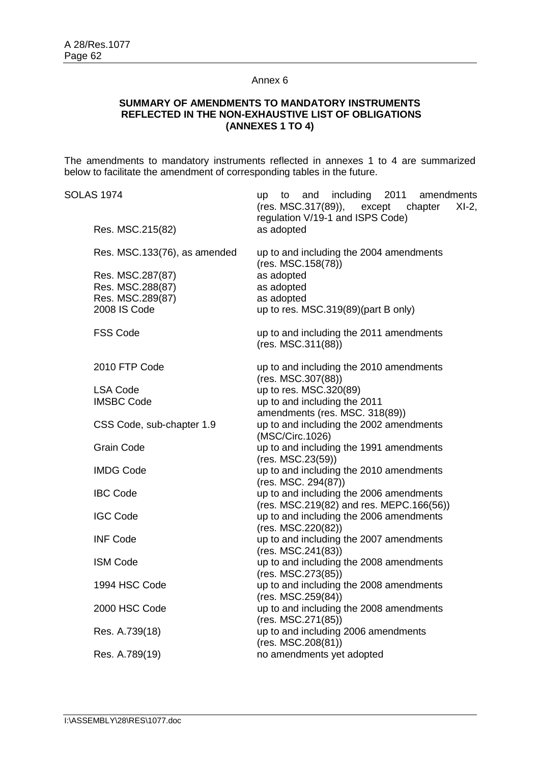### **SUMMARY OF AMENDMENTS TO MANDATORY INSTRUMENTS REFLECTED IN THE NON-EXHAUSTIVE LIST OF OBLIGATIONS (ANNEXES 1 TO 4)**

The amendments to mandatory instruments reflected in annexes 1 to 4 are summarized below to facilitate the amendment of corresponding tables in the future.

| <b>SOLAS 1974</b> |                              | including<br>2011<br>and<br>amendments<br>up to<br>(res. MSC.317(89)),<br>except<br>$XI-2$ ,<br>chapter<br>regulation V/19-1 and ISPS Code) |
|-------------------|------------------------------|---------------------------------------------------------------------------------------------------------------------------------------------|
|                   | Res. MSC.215(82)             | as adopted                                                                                                                                  |
|                   | Res. MSC.133(76), as amended | up to and including the 2004 amendments<br>(res. MSC.158(78))                                                                               |
|                   | Res. MSC.287(87)             | as adopted                                                                                                                                  |
|                   | Res. MSC.288(87)             | as adopted                                                                                                                                  |
|                   | Res. MSC.289(87)             | as adopted                                                                                                                                  |
|                   | 2008 IS Code                 | up to res. MSC.319(89)(part B only)                                                                                                         |
|                   | <b>FSS Code</b>              | up to and including the 2011 amendments<br>(res. MSC.311(88))                                                                               |
|                   | 2010 FTP Code                | up to and including the 2010 amendments<br>(res. MSC.307(88))                                                                               |
|                   | <b>LSA Code</b>              | up to res. MSC.320(89)                                                                                                                      |
|                   | <b>IMSBC Code</b>            | up to and including the 2011                                                                                                                |
|                   |                              | amendments (res. MSC. 318(89))                                                                                                              |
|                   | CSS Code, sub-chapter 1.9    | up to and including the 2002 amendments<br>(MSC/Circ.1026)                                                                                  |
|                   | <b>Grain Code</b>            | up to and including the 1991 amendments<br>(res. MSC.23(59))                                                                                |
|                   | <b>IMDG Code</b>             | up to and including the 2010 amendments<br>(res. MSC. 294(87))                                                                              |
|                   | <b>IBC Code</b>              | up to and including the 2006 amendments                                                                                                     |
|                   |                              | (res. MSC.219(82) and res. MEPC.166(56))                                                                                                    |
|                   | <b>IGC Code</b>              | up to and including the 2006 amendments                                                                                                     |
|                   |                              | (res. MSC.220(82))                                                                                                                          |
|                   | <b>INF Code</b>              | up to and including the 2007 amendments                                                                                                     |
|                   |                              | (res. MSC.241(83))                                                                                                                          |
|                   | <b>ISM Code</b>              | up to and including the 2008 amendments                                                                                                     |
|                   |                              | (res. MSC.273(85))                                                                                                                          |
|                   | 1994 HSC Code                | up to and including the 2008 amendments                                                                                                     |
|                   |                              | (res. MSC.259(84))                                                                                                                          |
|                   | 2000 HSC Code                | up to and including the 2008 amendments                                                                                                     |
|                   |                              | (res. MSC.271(85))                                                                                                                          |
|                   | Res. A.739(18)               | up to and including 2006 amendments                                                                                                         |
|                   |                              | (res. MSC.208(81))                                                                                                                          |
|                   | Res. A.789(19)               | no amendments yet adopted                                                                                                                   |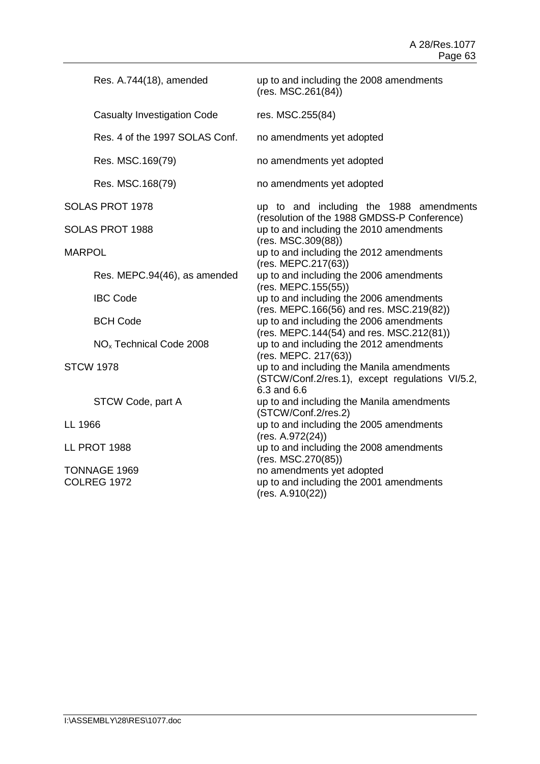| Res. A.744(18), amended             |  | up to and including the 2008 amendments<br>(res. MSC.261(84))                                                |  |  |  |                                                 |
|-------------------------------------|--|--------------------------------------------------------------------------------------------------------------|--|--|--|-------------------------------------------------|
| <b>Casualty Investigation Code</b>  |  | res. MSC.255(84)                                                                                             |  |  |  |                                                 |
| Res. 4 of the 1997 SOLAS Conf.      |  | no amendments yet adopted                                                                                    |  |  |  |                                                 |
| Res. MSC.169(79)                    |  | no amendments yet adopted                                                                                    |  |  |  |                                                 |
| Res. MSC.168(79)                    |  | no amendments yet adopted                                                                                    |  |  |  |                                                 |
| SOLAS PROT 1978                     |  |                                                                                                              |  |  |  | up to and including the 1988 amendments         |
| SOLAS PROT 1988                     |  | (resolution of the 1988 GMDSS-P Conference)<br>up to and including the 2010 amendments<br>(res. MSC.309(88)) |  |  |  |                                                 |
| <b>MARPOL</b>                       |  | up to and including the 2012 amendments<br>(res. MEPC.217(63))                                               |  |  |  |                                                 |
| Res. MEPC.94(46), as amended        |  | up to and including the 2006 amendments<br>(res. MEPC.155(55))                                               |  |  |  |                                                 |
| <b>IBC Code</b>                     |  | up to and including the 2006 amendments                                                                      |  |  |  |                                                 |
| <b>BCH Code</b>                     |  | (res. MEPC.166(56) and res. MSC.219(82))<br>up to and including the 2006 amendments                          |  |  |  |                                                 |
| NO <sub>x</sub> Technical Code 2008 |  | (res. MEPC.144(54) and res. MSC.212(81))<br>up to and including the 2012 amendments<br>(res. MEPC. 217(63))  |  |  |  |                                                 |
| <b>STCW 1978</b>                    |  | up to and including the Manila amendments<br>6.3 and 6.6                                                     |  |  |  | (STCW/Conf.2/res.1), except regulations VI/5.2, |
| STCW Code, part A                   |  | up to and including the Manila amendments<br>(STCW/Conf.2/res.2)                                             |  |  |  |                                                 |
| LL 1966                             |  | up to and including the 2005 amendments<br>(res. A.972(24))                                                  |  |  |  |                                                 |
| <b>LL PROT 1988</b>                 |  | up to and including the 2008 amendments<br>(res. MSC.270(85))                                                |  |  |  |                                                 |
| TONNAGE 1969<br><b>COLREG 1972</b>  |  | no amendments yet adopted<br>up to and including the 2001 amendments<br>(res. A.910(22))                     |  |  |  |                                                 |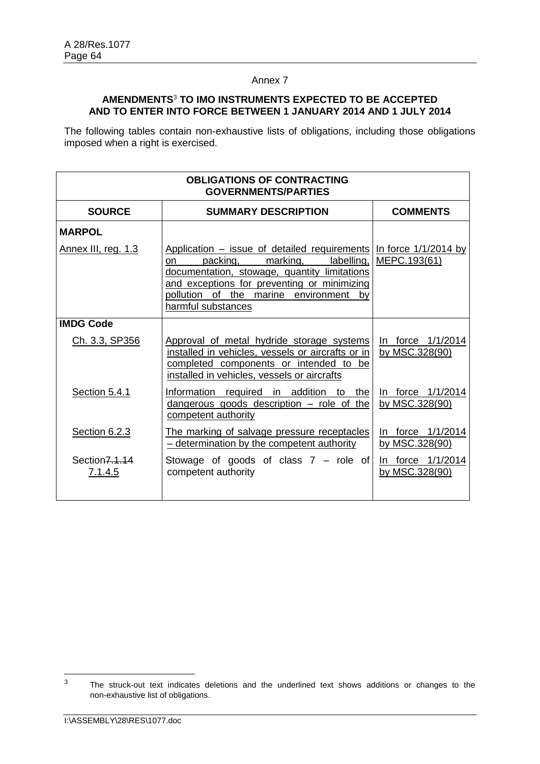# **AMENDMENTS**<sup>3</sup> **TO IMO INSTRUMENTS EXPECTED TO BE ACCEPTED AND TO ENTER INTO FORCE BETWEEN 1 JANUARY 2014 AND 1 JULY 2014**

The following tables contain non-exhaustive lists of obligations, including those obligations imposed when a right is exercised.

| <b>OBLIGATIONS OF CONTRACTING</b><br><b>GOVERNMENTS/PARTIES</b> |                                                                                                                                                                                                                                                                                         |                                     |  |  |
|-----------------------------------------------------------------|-----------------------------------------------------------------------------------------------------------------------------------------------------------------------------------------------------------------------------------------------------------------------------------------|-------------------------------------|--|--|
| <b>SOURCE</b>                                                   | <b>SUMMARY DESCRIPTION</b>                                                                                                                                                                                                                                                              | <b>COMMENTS</b>                     |  |  |
| <b>MARPOL</b>                                                   |                                                                                                                                                                                                                                                                                         |                                     |  |  |
| Annex III, reg. 1.3                                             | Application – issue of detailed requirements In force $1/1/2014$ by<br>packing,<br>marking,<br>labelling,<br>on<br>documentation, stowage, quantity limitations<br>and exceptions for preventing or minimizing<br>pollution<br>of the<br>marine environment<br>by<br>harmful substances | MEPC.193(61)                        |  |  |
| <b>IMDG Code</b>                                                |                                                                                                                                                                                                                                                                                         |                                     |  |  |
| Ch. 3.3, SP356                                                  | Approval of metal hydride storage systems<br>installed in vehicles, vessels or aircrafts or in<br>completed components or intended to be<br>installed in vehicles, vessels or aircrafts                                                                                                 | In force 1/1/2014<br>by MSC.328(90) |  |  |
| Section 5.4.1                                                   | Information required in addition to the<br>dangerous goods description - role of the<br>competent authority                                                                                                                                                                             | In force 1/1/2014<br>by MSC.328(90) |  |  |
| <b>Section 6.2.3</b>                                            | The marking of salvage pressure receptacles<br>- determination by the competent authority                                                                                                                                                                                               | In force 1/1/2014<br>by MSC.328(90) |  |  |
| Section 7.1.14<br>7.1.4.5                                       | Stowage of goods of class $7 -$ role of<br>competent authority                                                                                                                                                                                                                          | In force 1/1/2014<br>by MSC.328(90) |  |  |

 $\overline{3}$ The struck-out text indicates deletions and the underlined text shows additions or changes to the non-exhaustive list of obligations.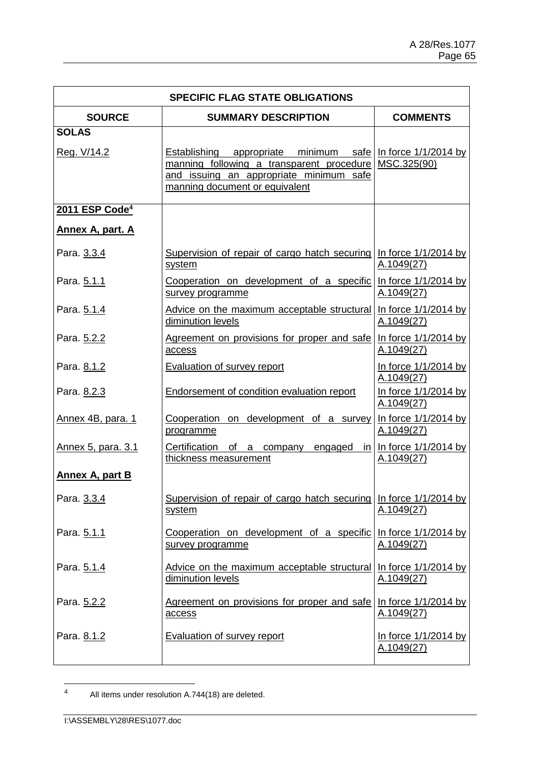| <b>SPECIFIC FLAG STATE OBLIGATIONS</b> |                                                                                                                                                                                            |                                             |  |
|----------------------------------------|--------------------------------------------------------------------------------------------------------------------------------------------------------------------------------------------|---------------------------------------------|--|
| <b>SOURCE</b>                          | <b>SUMMARY DESCRIPTION</b>                                                                                                                                                                 | <b>COMMENTS</b>                             |  |
| <b>SOLAS</b><br>Reg. V/14.2            | <b>Establishing</b> appropriate minimum safe Inforce 1/1/2014 by<br>manning following a transparent procedure<br>and issuing an appropriate minimum safe<br>manning document or equivalent | MSC.325(90)                                 |  |
| 2011 ESP Code <sup>4</sup>             |                                                                                                                                                                                            |                                             |  |
| <b>Annex A, part. A</b>                |                                                                                                                                                                                            |                                             |  |
| Para. 3.3.4                            | Supervision of repair of cargo hatch securing<br>system                                                                                                                                    | In force $1/1/2014$ by<br>A.1049(27)        |  |
| Para. 5.1.1                            | Cooperation on development of a specific<br>survey programme                                                                                                                               | In force 1/1/2014 by<br>A.1049(27)          |  |
| Para. 5.1.4                            | Advice on the maximum acceptable structural<br>diminution levels                                                                                                                           | In force $1/1/2014$ by<br>A.1049(27)        |  |
| Para. 5.2.2                            | Agreement on provisions for proper and safe<br>access                                                                                                                                      | In force $1/1/2014$ by<br><u>A.1049(27)</u> |  |
| Para. 8.1.2                            | <b>Evaluation of survey report</b>                                                                                                                                                         | In force 1/1/2014 by<br>A.1049(27)          |  |
| Para. 8.2.3                            | <b>Endorsement of condition evaluation report</b>                                                                                                                                          | In force 1/1/2014 by<br>A.1049(27)          |  |
| Annex 4B, para. 1                      | Cooperation on development of a survey Inforce $1/1/2014$ by<br>programme                                                                                                                  | A.1049(27)                                  |  |
| Annex 5, para. 3.1                     | Certification of a<br>engaged<br>company<br>thickness measurement                                                                                                                          | in $\ln$ force 1/1/2014 by<br>A.1049(27)    |  |
| Annex A, part B                        |                                                                                                                                                                                            |                                             |  |
| Para. 3.3.4                            | Supervision of repair of cargo hatch securing In force 1/1/2014 by<br>system                                                                                                               | A.1049(27)                                  |  |
| Para. 5.1.1                            | Cooperation on development of a specific<br>survey programme                                                                                                                               | In force 1/1/2014 by<br><u>A.1049(27)</u>   |  |
| Para. 5.1.4                            | Advice on the maximum acceptable structural<br>diminution levels                                                                                                                           | In force 1/1/2014 by<br><u>A.1049(27)</u>   |  |
| Para. 5.2.2                            | Agreement on provisions for proper and safe<br>access                                                                                                                                      | In force 1/1/2014 by<br>A.1049(27)          |  |
| Para. 8.1.2                            | Evaluation of survey report                                                                                                                                                                | In force 1/1/2014 by<br><u>A.1049(27)</u>   |  |

 $\overline{4}$ All items under resolution A.744(18) are deleted.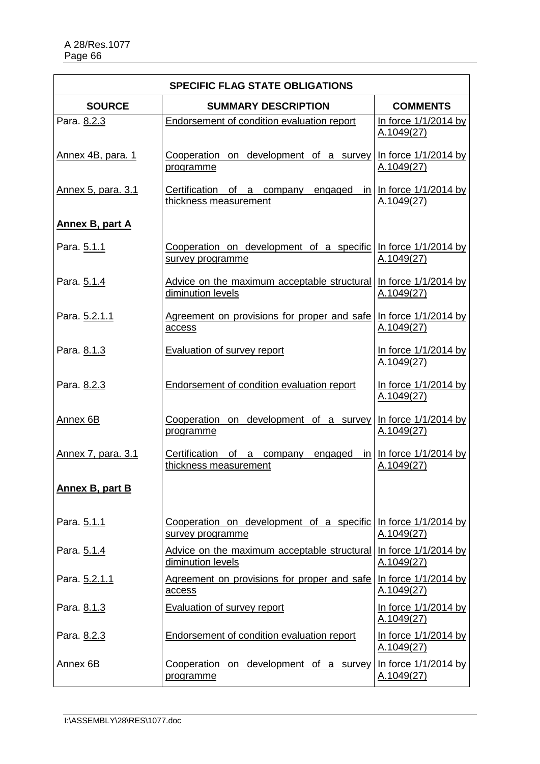| <b>SPECIFIC FLAG STATE OBLIGATIONS</b> |                                                                                       |                                                                  |  |
|----------------------------------------|---------------------------------------------------------------------------------------|------------------------------------------------------------------|--|
| <b>SOURCE</b>                          | <b>SUMMARY DESCRIPTION</b>                                                            | <b>COMMENTS</b>                                                  |  |
| Para. 8.2.3                            | Endorsement of condition evaluation report                                            | In force 1/1/2014 by<br>A.1049(27)                               |  |
| Annex 4B, para. 1                      | Cooperation on development of a survey<br>programme                                   | In force 1/1/2014 by<br>A.1049(27)                               |  |
| <u>Annex 5, para. 3.1</u>              | Certification of a company engaged<br>thickness measurement                           | $\frac{\text{in}}{\text{in}}$ In force 1/1/2014 by<br>A.1049(27) |  |
| <b>Annex B, part A</b>                 |                                                                                       |                                                                  |  |
| Para. 5.1.1                            | Cooperation on development of a specific Inforce 1/1/2014 by<br>survey programme      | A.1049(27)                                                       |  |
| Para. 5.1.4                            | Advice on the maximum acceptable structural In force 1/1/2014 by<br>diminution levels | A.1049(27)                                                       |  |
| Para. 5.2.1.1                          | Agreement on provisions for proper and safe<br>access                                 | In force 1/1/2014 by<br>A.1049(27)                               |  |
| Para. 8.1.3                            | <b>Evaluation of survey report</b>                                                    | In force 1/1/2014 by<br>A.1049(27)                               |  |
| Para. 8.2.3                            | Endorsement of condition evaluation report                                            | In force 1/1/2014 by<br>A.1049(27)                               |  |
| Annex 6B                               | Cooperation on development of a survey Inforce 1/1/2014 by<br>programme               | A.1049(27)                                                       |  |
| Annex 7, para. 3.1                     | Certification of a company<br>engaged<br>thickness measurement                        | $\frac{\text{in}}{\text{in}}$ In force 1/1/2014 by<br>A.1049(27) |  |
| <b>Annex B, part B</b>                 |                                                                                       |                                                                  |  |
| Para. 5.1.1                            | Cooperation on development of a specific<br>survey programme                          | In force 1/1/2014 by<br>A.1049(27)                               |  |
| Para. 5.1.4                            | Advice on the maximum acceptable structural<br>diminution levels                      | In force 1/1/2014 by<br>A.1049(27)                               |  |
| Para. 5.2.1.1                          | Agreement on provisions for proper and safe<br>access                                 | In force 1/1/2014 by<br><u>A.1049(27)</u>                        |  |
| Para. 8.1.3                            | <b>Evaluation of survey report</b>                                                    | In force 1/1/2014 by<br>A.1049(27)                               |  |
| Para. 8.2.3                            | Endorsement of condition evaluation report                                            | In force 1/1/2014 by<br>A.1049(27)                               |  |
| Annex 6B                               | Cooperation on development of a survey<br>programme                                   | In force 1/1/2014 by<br><u>A.1049(27)</u>                        |  |